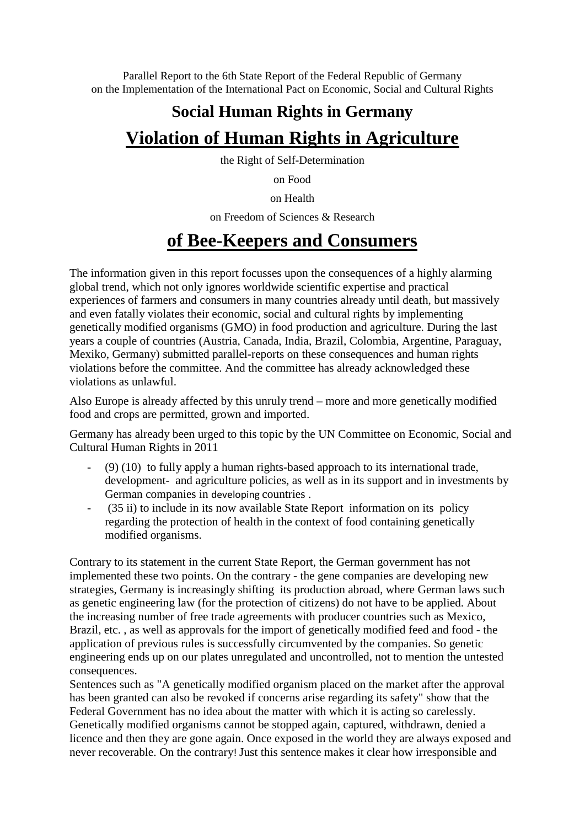Parallel Report to the 6th State Report of the Federal Republic of Germany on the Implementation of the International Pact on Economic, Social and Cultural Rights

# **Social Human Rights in Germany Violation of Human Rights in Agriculture**

the Right of Self-Determination

on Food

on Health

on Freedom of Sciences & Research

# **of Bee-Keepers and Consumers**

The information given in this report focusses upon the consequences of a highly alarming global trend, which not only ignores worldwide scientific expertise and practical experiences of farmers and consumers in many countries [already](https://de.pons.com/übersetzung/englisch-deutsch/already) [until](https://de.pons.com/übersetzung/englisch-deutsch/ntil) [death,](https://de.pons.com/übersetzung/englisch-deutsch/death) but massively and even fatally violates their economic, social and cultural rights by implementing genetically modified organisms (GMO) in food production and agriculture. During the last years a couple of countries (Austria, Canada, India, Brazil, Colombia, Argentine, Paraguay, Mexiko, Germany) submitted parallel-reports on these consequences and human rights violations before the committee. And the committee has already acknowledged these violations as unlawful.

Also Europe is already affected by this unruly trend – more and more genetically modified food and crops are permitted, grown and imported.

[Germany](https://de.pons.com/übersetzung/englisch-deutsch/Germany) [has](https://de.pons.com/übersetzung/englisch-deutsch/has) [already](https://de.pons.com/übersetzung/englisch-deutsch/already) [been](https://de.pons.com/übersetzung/englisch-deutsch/een) urged [to](https://de.pons.com/übersetzung/englisch-deutsch/to) [this](https://de.pons.com/übersetzung/englisch-deutsch/this) [topic](https://de.pons.com/übersetzung/englisch-deutsch/topic) [by](https://de.pons.com/übersetzung/englisch-deutsch/by) [the](https://de.pons.com/übersetzung/englisch-deutsch/the) [UN](https://de.pons.com/übersetzung/englisch-deutsch/UN) [Committee](https://de.pons.com/übersetzung/englisch-deutsch/Committee) [on](https://de.pons.com/übersetzung/englisch-deutsch/on) [Economic,](https://de.pons.com/übersetzung/englisch-deutsch/Economic) [Social](https://de.pons.com/übersetzung/englisch-deutsch/Social) [and](https://de.pons.com/übersetzung/englisch-deutsch/and) [Cultural](https://de.pons.com/übersetzung/englisch-deutsch/Cultural) [Human](https://de.pons.com/übersetzung/englisch-deutsch/Human) [Rights](https://de.pons.com/übersetzung/englisch-deutsch/Rights) [in](https://de.pons.com/übersetzung/englisch-deutsch/in) 2011

- (9) (10) to fully apply a human rights-based approach to its international trade, development- and agriculture policies, [as](https://de.pons.com/übersetzung/englisch-deutsch/as) [well](https://de.pons.com/übersetzung/englisch-deutsch/well) [as](https://de.pons.com/übersetzung/englisch-deutsch/as) [in](https://de.pons.com/übersetzung/englisch-deutsch/in) [its](https://de.pons.com/übersetzung/englisch-deutsch/its) [support](https://de.pons.com/übersetzung/englisch-deutsch/support) [and](https://de.pons.com/übersetzung/englisch-deutsch/and) [in](https://de.pons.com/übersetzung/englisch-deutsch/in) [investments](https://de.pons.com/übersetzung/englisch-deutsch/investments) [by](https://de.pons.com/übersetzung/englisch-deutsch/of)  [German](https://de.pons.com/übersetzung/englisch-deutsch/German) [companies](https://de.pons.com/übersetzung/englisch-deutsch/companies) [in](https://de.pons.com/übersetzung/englisch-deutsch/in) developing [countries](https://de.pons.com/übersetzung/englisch-deutsch/countries) .
- (35 ii) to include in its now available State Report information on its policy regarding the protection of health in the context of food containing genetically modified organisms.

[Contrary](https://de.pons.com/übersetzung/englisch-deutsch/Contrary) [to](https://de.pons.com/übersetzung/englisch-deutsch/to) [its](https://de.pons.com/übersetzung/englisch-deutsch/its) [statement](https://de.pons.com/übersetzung/englisch-deutsch/statement) [in](https://de.pons.com/übersetzung/englisch-deutsch/in) [the](https://de.pons.com/übersetzung/englisch-deutsch/the) [current](https://de.pons.com/übersetzung/englisch-deutsch/current) [State](https://de.pons.com/übersetzung/englisch-deutsch/State) [Report,](https://de.pons.com/übersetzung/englisch-deutsch/Report) [the](https://de.pons.com/übersetzung/englisch-deutsch/the) [German](https://de.pons.com/übersetzung/englisch-deutsch/German) [government](https://de.pons.com/übersetzung/englisch-deutsch/government) [has](https://de.pons.com/übersetzung/englisch-deutsch/has) [not](https://de.pons.com/übersetzung/englisch-deutsch/not) [implemented](https://de.pons.com/übersetzung/englisch-deutsch/implemented) [these](https://de.pons.com/übersetzung/englisch-deutsch/these) [two](https://de.pons.com/übersetzung/englisch-deutsch/two) [points.](https://de.pons.com/übersetzung/englisch-deutsch/points) [On](https://de.pons.com/übersetzung/englisch-deutsch/On) [the](https://de.pons.com/übersetzung/englisch-deutsch/the) [contrary](https://de.pons.com/übersetzung/englisch-deutsch/contrary) [-](https://de.pons.com/übersetzung/englisch-deutsch/-) [the](https://de.pons.com/übersetzung/englisch-deutsch/the) [gene](https://de.pons.com/übersetzung/englisch-deutsch/gene) [companies](https://de.pons.com/übersetzung/englisch-deutsch/companies) [are](https://de.pons.com/übersetzung/englisch-deutsch/are) [developing](https://de.pons.com/übersetzung/englisch-deutsch/developing) [new](https://de.pons.com/übersetzung/englisch-deutsch/new) [strategies,](https://de.pons.com/übersetzung/englisch-deutsch/strategies) [Germany](https://de.pons.com/übersetzung/englisch-deutsch/Germany) [is](https://de.pons.com/übersetzung/englisch-deutsch/is) [increasingly](https://de.pons.com/übersetzung/englisch-deutsch/increasingly) [shifting](https://de.pons.com/übersetzung/englisch-deutsch/relocating) [its](https://de.pons.com/übersetzung/englisch-deutsch/its) [production](https://de.pons.com/übersetzung/englisch-deutsch/production) [abroad,](https://de.pons.com/übersetzung/englisch-deutsch/abroad) [where](https://de.pons.com/übersetzung/englisch-deutsch/where) [German](https://de.pons.com/übersetzung/englisch-deutsch/German) [laws](https://de.pons.com/übersetzung/englisch-deutsch/laws) [such](https://de.pons.com/übersetzung/englisch-deutsch/such) [as](https://de.pons.com/übersetzung/englisch-deutsch/as) [genetic](https://de.pons.com/übersetzung/englisch-deutsch/genetic) [engineering](https://de.pons.com/übersetzung/englisch-deutsch/engineering) [law](https://de.pons.com/übersetzung/englisch-deutsch/law) [\(for](https://de.pons.com/übersetzung/englisch-deutsch/for) [the](https://de.pons.com/übersetzung/englisch-deutsch/the) [protection](https://de.pons.com/übersetzung/englisch-deutsch/protection) [of](https://de.pons.com/übersetzung/englisch-deutsch/of) [citizens\)](https://de.pons.com/übersetzung/englisch-deutsch/citizens) [do](https://de.pons.com/übersetzung/englisch-deutsch/do) [not](https://de.pons.com/übersetzung/englisch-deutsch/not) [have](https://de.pons.com/übersetzung/englisch-deutsch/have) [to](https://de.pons.com/übersetzung/englisch-deutsch/to) [be](https://de.pons.com/übersetzung/englisch-deutsch/be) [applied.](https://de.pons.com/übersetzung/englisch-deutsch/applied) About [the](https://de.pons.com/übersetzung/englisch-deutsch/the) [increasing](https://de.pons.com/übersetzung/englisch-deutsch/increasing) [number](https://de.pons.com/übersetzung/englisch-deutsch/number) [of](https://de.pons.com/übersetzung/englisch-deutsch/of) [free](https://de.pons.com/übersetzung/englisch-deutsch/free) [trade](https://de.pons.com/übersetzung/englisch-deutsch/trade) [agreements](https://de.pons.com/übersetzung/englisch-deutsch/agreements) [with](https://de.pons.com/übersetzung/englisch-deutsch/with) [producer](https://de.pons.com/übersetzung/englisch-deutsch/producer) [countries](https://de.pons.com/übersetzung/englisch-deutsch/countries) [such](https://de.pons.com/übersetzung/englisch-deutsch/such) [as](https://de.pons.com/übersetzung/englisch-deutsch/as) [Mexico,](https://de.pons.com/übersetzung/englisch-deutsch/Mexico) [Brazil,](https://de.pons.com/übersetzung/englisch-deutsch/Brazil) [etc.](https://de.pons.com/übersetzung/englisch-deutsch/etc) [,](https://de.pons.com/übersetzung/englisch-deutsch/,) [as](https://de.pons.com/übersetzung/englisch-deutsch/as) [well](https://de.pons.com/übersetzung/englisch-deutsch/well) [as](https://de.pons.com/übersetzung/englisch-deutsch/as) [approvals](https://de.pons.com/übersetzung/englisch-deutsch/approvals) [for](https://de.pons.com/übersetzung/englisch-deutsch/for) [the](https://de.pons.com/übersetzung/englisch-deutsch/the) [import](https://de.pons.com/übersetzung/englisch-deutsch/import) [of](https://de.pons.com/übersetzung/englisch-deutsch/of) [genetically](https://de.pons.com/übersetzung/englisch-deutsch/genetically) [modified](https://de.pons.com/übersetzung/englisch-deutsch/modified) [feed](https://de.pons.com/übersetzung/englisch-deutsch/feed) [and](https://de.pons.com/übersetzung/englisch-deutsch/and) [food](https://de.pons.com/übersetzung/englisch-deutsch/food) [-](https://de.pons.com/übersetzung/englisch-deutsch/-) [the](https://de.pons.com/übersetzung/englisch-deutsch/the) [application](https://de.pons.com/übersetzung/englisch-deutsch/application) [of](https://de.pons.com/übersetzung/englisch-deutsch/of) [previous](https://de.pons.com/übersetzung/englisch-deutsch/previous) [rules](https://de.pons.com/übersetzung/englisch-deutsch/rules) [is](https://de.pons.com/übersetzung/englisch-deutsch/is) [successfully](https://de.pons.com/übersetzung/englisch-deutsch/successfully) [circumvented](https://de.pons.com/übersetzung/englisch-deutsch/circumvented) [by](https://de.pons.com/übersetzung/englisch-deutsch/by) [the](https://de.pons.com/übersetzung/englisch-deutsch/the) [companies.](https://de.pons.com/übersetzung/englisch-deutsch/companies) So [ge](https://de.pons.com/übersetzung/englisch-deutsch/genetic)netic [engineering](https://de.pons.com/übersetzung/englisch-deutsch/engineering) [ends](https://de.pons.com/übersetzung/englisch-deutsch/ends) [up](https://de.pons.com/übersetzung/englisch-deutsch/up) [on](https://de.pons.com/übersetzung/englisch-deutsch/on) [our](https://de.pons.com/übersetzung/englisch-deutsch/our) [plates](https://de.pons.com/übersetzung/englisch-deutsch/plates) [unregulated](https://de.pons.com/übersetzung/englisch-deutsch/nregulated) [and](https://de.pons.com/übersetzung/englisch-deutsch/and) [uncontrolled,](https://de.pons.com/übersetzung/englisch-deutsch/ncontrolled) [not](https://de.pons.com/übersetzung/englisch-deutsch/not) [to](https://de.pons.com/übersetzung/englisch-deutsch/to) [mention](https://de.pons.com/übersetzung/englisch-deutsch/mention) [the](https://de.pons.com/übersetzung/englisch-deutsch/the) [untested](https://de.pons.com/übersetzung/englisch-deutsch/ntested) [consequences.](https://de.pons.com/übersetzung/englisch-deutsch/consequences)

[Sentences](https://de.pons.com/übersetzung/englisch-deutsch/Sentences) [such](https://de.pons.com/übersetzung/englisch-deutsch/such) [as](https://de.pons.com/übersetzung/englisch-deutsch/as) ["A](https://de.pons.com/übersetzung/englisch-deutsch/) [genetically](https://de.pons.com/übersetzung/englisch-deutsch/genetically) [modified](https://de.pons.com/übersetzung/englisch-deutsch/modified) [organism](https://de.pons.com/übersetzung/englisch-deutsch/organism) [placed](https://de.pons.com/übersetzung/englisch-deutsch/placed) [on](https://de.pons.com/übersetzung/englisch-deutsch/on) [the](https://de.pons.com/übersetzung/englisch-deutsch/the) [market](https://de.pons.com/übersetzung/englisch-deutsch/market) [after](https://de.pons.com/übersetzung/englisch-deutsch/after) [the](https://de.pons.com/übersetzung/englisch-deutsch/the) [approval](https://de.pons.com/übersetzung/englisch-deutsch/approval) [has](https://de.pons.com/übersetzung/englisch-deutsch/has) [been](https://de.pons.com/übersetzung/englisch-deutsch/een) [granted](https://de.pons.com/übersetzung/englisch-deutsch/granted) [can](https://de.pons.com/übersetzung/englisch-deutsch/can) [also](https://de.pons.com/übersetzung/englisch-deutsch/also) [be](https://de.pons.com/übersetzung/englisch-deutsch/be) [revoked](https://de.pons.com/übersetzung/englisch-deutsch/revoked) [if](https://de.pons.com/übersetzung/englisch-deutsch/if) [concerns](https://de.pons.com/übersetzung/englisch-deutsch/concerns) [arise](https://de.pons.com/übersetzung/englisch-deutsch/arise) [regarding](https://de.pons.com/übersetzung/englisch-deutsch/regarding) [its](https://de.pons.com/übersetzung/englisch-deutsch/its) [safety"](https://de.pons.com/übersetzung/englisch-deutsch/safety) [show](https://de.pons.com/übersetzung/englisch-deutsch/show) [that](https://de.pons.com/übersetzung/englisch-deutsch/that) [the](https://de.pons.com/übersetzung/englisch-deutsch/the) [Federal](https://de.pons.com/übersetzung/englisch-deutsch/Federal) [Government](https://de.pons.com/übersetzung/englisch-deutsch/Government) [has](https://de.pons.com/übersetzung/englisch-deutsch/has) [no](https://de.pons.com/übersetzung/englisch-deutsch/no) [idea](https://de.pons.com/übersetzung/englisch-deutsch/idea) [about](https://de.pons.com/übersetzung/englisch-deutsch/about) [the](https://de.pons.com/übersetzung/englisch-deutsch/the) [matter](https://de.pons.com/übersetzung/englisch-deutsch/matter) [with](https://de.pons.com/übersetzung/englisch-deutsch/with) [which](https://de.pons.com/übersetzung/englisch-deutsch/which) [it](https://de.pons.com/übersetzung/englisch-deutsch/it) [is](https://de.pons.com/übersetzung/englisch-deutsch/is) [acting](https://de.pons.com/übersetzung/englisch-deutsch/acting) [so](https://de.pons.com/übersetzung/englisch-deutsch/so) [carelessly.](https://de.pons.com/übersetzung/englisch-deutsch/carelessly) [Genetically](https://de.pons.com/übersetzung/englisch-deutsch/Genetically) [modified](https://de.pons.com/übersetzung/englisch-deutsch/modified) [organisms](https://de.pons.com/übersetzung/englisch-deutsch/organisms) [cannot](https://de.pons.com/übersetzung/englisch-deutsch/cannot) [be](https://de.pons.com/übersetzung/englisch-deutsch/be) [stopped](https://de.pons.com/übersetzung/englisch-deutsch/stopped) [again,](https://de.pons.com/übersetzung/englisch-deutsch/again) [captured,](https://de.pons.com/übersetzung/englisch-deutsch/captured) [withdrawn,](https://de.pons.com/übersetzung/englisch-deutsch/withdrawn) [denied](https://de.pons.com/übersetzung/englisch-deutsch/denied) [a](https://de.pons.com/übersetzung/englisch-deutsch/a) [licence](https://de.pons.com/übersetzung/englisch-deutsch/licence) [and](https://de.pons.com/übersetzung/englisch-deutsch/and) [then](https://de.pons.com/übersetzung/englisch-deutsch/then) [they](https://de.pons.com/übersetzung/englisch-deutsch/they) [are](https://de.pons.com/übersetzung/englisch-deutsch/are) [gone](https://de.pons.com/übersetzung/englisch-deutsch/gone) [again.](https://de.pons.com/übersetzung/englisch-deutsch/again) [Once](https://de.pons.com/übersetzung/englisch-deutsch/once) [exposed](https://de.pons.com/übersetzung/englisch-deutsch/exposed) [in](https://de.pons.com/übersetzung/englisch-deutsch/in) [the](https://de.pons.com/übersetzung/englisch-deutsch/the) [world](https://de.pons.com/übersetzung/englisch-deutsch/world) [they](https://de.pons.com/übersetzung/englisch-deutsch/they) [are](https://de.pons.com/übersetzung/englisch-deutsch/are) [always](https://de.pons.com/übersetzung/englisch-deutsch/always) [exposed](https://de.pons.com/übersetzung/englisch-deutsch/exposed) [and](https://de.pons.com/übersetzung/englisch-deutsch/and) [never](https://de.pons.com/übersetzung/englisch-deutsch/never) [recoverable.](https://de.pons.com/übersetzung/englisch-deutsch/recoverable) [On](https://de.pons.com/übersetzung/englisch-deutsch/On) [the](https://de.pons.com/übersetzung/englisch-deutsch/the) [contrary](https://de.pons.com/übersetzung/englisch-deutsch/contrary)! Just this sentence makes it clear how irresponsible and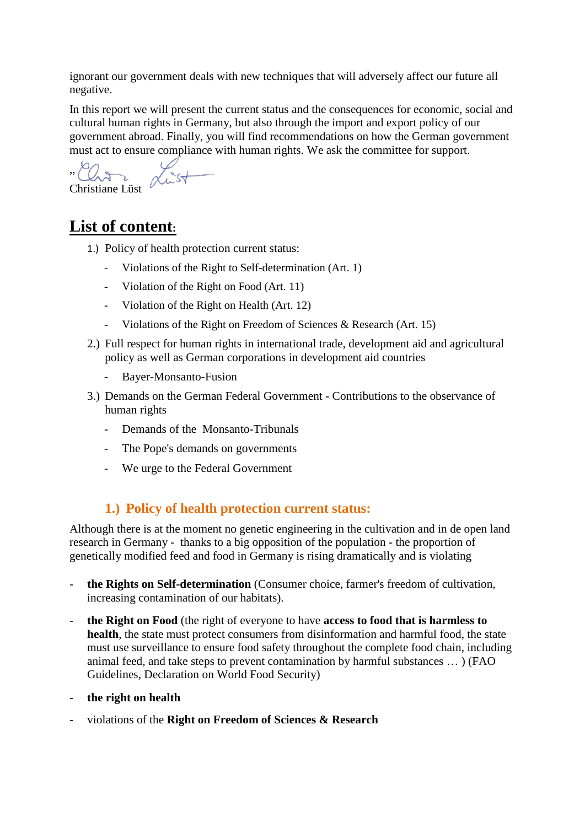ignorant our government deals with new techniques that will adversely affect our future all negative.

[In](https://de.pons.com/übersetzung/englisch-deutsch/In) [this](https://de.pons.com/übersetzung/englisch-deutsch/this) [report](https://de.pons.com/übersetzung/englisch-deutsch/report) [we](https://de.pons.com/übersetzung/englisch-deutsch/we) [will](https://de.pons.com/übersetzung/englisch-deutsch/will) [present](https://de.pons.com/übersetzung/englisch-deutsch/present) [the](https://de.pons.com/übersetzung/englisch-deutsch/the) [current](https://de.pons.com/übersetzung/englisch-deutsch/current) [status](https://de.pons.com/übersetzung/englisch-deutsch/status) [and](https://de.pons.com/übersetzung/englisch-deutsch/and) [the](https://de.pons.com/übersetzung/englisch-deutsch/the) [consequences](https://de.pons.com/übersetzung/englisch-deutsch/consequences) [for](https://de.pons.com/übersetzung/englisch-deutsch/for) [economic,](https://de.pons.com/übersetzung/englisch-deutsch/economic) [social](https://de.pons.com/übersetzung/englisch-deutsch/social) [and](https://de.pons.com/übersetzung/englisch-deutsch/and) [cultural](https://de.pons.com/übersetzung/englisch-deutsch/cultural) [human](https://de.pons.com/übersetzung/englisch-deutsch/human) [rights](https://de.pons.com/übersetzung/englisch-deutsch/rights) [in](https://de.pons.com/übersetzung/englisch-deutsch/in) [Germany,](https://de.pons.com/übersetzung/englisch-deutsch/Germany) [but](https://de.pons.com/übersetzung/englisch-deutsch/ut) [also](https://de.pons.com/übersetzung/englisch-deutsch/also) [through](https://de.pons.com/übersetzung/englisch-deutsch/through) [the](https://de.pons.com/übersetzung/englisch-deutsch/the) [import](https://de.pons.com/übersetzung/englisch-deutsch/import) [and](https://de.pons.com/übersetzung/englisch-deutsch/and) [export](https://de.pons.com/übersetzung/englisch-deutsch/export) [policy](https://de.pons.com/übersetzung/englisch-deutsch/policy) [of](https://de.pons.com/übersetzung/englisch-deutsch/of) [our](https://de.pons.com/übersetzung/englisch-deutsch/our) [government](https://de.pons.com/übersetzung/englisch-deutsch/government) [abroad.](https://de.pons.com/übersetzung/englisch-deutsch/abroad) [Finally,](https://de.pons.com/übersetzung/englisch-deutsch/Finally) [you](https://de.pons.com/übersetzung/englisch-deutsch/yo) [will](https://de.pons.com/übersetzung/englisch-deutsch/will) [find](https://de.pons.com/übersetzung/englisch-deutsch/find) [recommendations](https://de.pons.com/übersetzung/englisch-deutsch/recommendations) [on](https://de.pons.com/übersetzung/englisch-deutsch/on) [how](https://de.pons.com/übersetzung/englisch-deutsch/how) [the](https://de.pons.com/übersetzung/englisch-deutsch/the) [German](https://de.pons.com/übersetzung/englisch-deutsch/German) [government](https://de.pons.com/übersetzung/englisch-deutsch/government) [must](https://de.pons.com/übersetzung/englisch-deutsch/must) [act](https://de.pons.com/übersetzung/englisch-deutsch/act) [to](https://de.pons.com/übersetzung/englisch-deutsch/to) [ensure](https://de.pons.com/übersetzung/englisch-deutsch/ensure) [compliance](https://de.pons.com/übersetzung/englisch-deutsch/compliance) [with](https://de.pons.com/übersetzung/englisch-deutsch/with) [human](https://de.pons.com/übersetzung/englisch-deutsch/human) [rights.](https://de.pons.com/übersetzung/englisch-deutsch/rights) [We](https://de.pons.com/übersetzung/englisch-deutsch/We) [ask](https://de.pons.com/übersetzung/englisch-deutsch/ask) [the](https://de.pons.com/übersetzung/englisch-deutsch/the) [committee](https://de.pons.com/übersetzung/englisch-deutsch/committee) for support.

,, Christiane Lüst

# **List of content:**

- 1.) [Policy](https://de.pons.com/übersetzung/englisch-deutsch/Policy) [of](https://de.pons.com/übersetzung/englisch-deutsch/of) [health](https://de.pons.com/übersetzung/englisch-deutsch/health) [protection](https://de.pons.com/übersetzung/englisch-deutsch/protection) [current](https://de.pons.com/übersetzung/englisch-deutsch/current) [status:](https://de.pons.com/übersetzung/englisch-deutsch/status)
	- Violations of the Right to Self-determination (Art. 1)
	- Violation of the Right on Food (Art. 11)
	- Violation of the Right on Health (Art. 12)
	- Violations of the Right on Freedom of Sciences & Research (Art. 15)
- 2.) [Full](https://de.pons.com/übersetzung/englisch-deutsch/Full) [respect](https://de.pons.com/übersetzung/englisch-deutsch/respect) [for](https://de.pons.com/übersetzung/englisch-deutsch/for) [human](https://de.pons.com/übersetzung/englisch-deutsch/human) [rights](https://de.pons.com/übersetzung/englisch-deutsch/rights) [in](https://de.pons.com/übersetzung/englisch-deutsch/in) [international](https://de.pons.com/übersetzung/englisch-deutsch/international) [trade,](https://de.pons.com/übersetzung/englisch-deutsch/trade) [development](https://de.pons.com/übersetzung/englisch-deutsch/development) [aid](https://de.pons.com/übersetzung/englisch-deutsch/aid) [and](https://de.pons.com/übersetzung/englisch-deutsch/and) [agricultural](https://de.pons.com/übersetzung/englisch-deutsch/agricultural) [policy](https://de.pons.com/übersetzung/englisch-deutsch/policy) [as](https://de.pons.com/übersetzung/englisch-deutsch/as) [well](https://de.pons.com/übersetzung/englisch-deutsch/well) [as](https://de.pons.com/übersetzung/englisch-deutsch/as) [German](https://de.pons.com/übersetzung/englisch-deutsch/German) [corporations](https://de.pons.com/übersetzung/englisch-deutsch/corporations) [in](https://de.pons.com/übersetzung/englisch-deutsch/in) [development](https://de.pons.com/übersetzung/englisch-deutsch/development) [aid](https://de.pons.com/übersetzung/englisch-deutsch/aid) [countries](https://de.pons.com/übersetzung/englisch-deutsch/countries)
	- Bayer-Monsanto-Fusion
- 3.) [Demands](https://de.pons.com/übersetzung/englisch-deutsch/Demands) [on](https://de.pons.com/übersetzung/englisch-deutsch/on) [the](https://de.pons.com/übersetzung/englisch-deutsch/the) [German](https://de.pons.com/übersetzung/englisch-deutsch/German) [Federal](https://de.pons.com/übersetzung/englisch-deutsch/Federal) [Government](https://de.pons.com/übersetzung/englisch-deutsch/Government) [-](https://de.pons.com/übersetzung/englisch-deutsch/-) [Contributions](https://de.pons.com/übersetzung/englisch-deutsch/Contributions) [to](https://de.pons.com/übersetzung/englisch-deutsch/to) [the](https://de.pons.com/übersetzung/englisch-deutsch/the) [observance](https://de.pons.com/übersetzung/englisch-deutsch/observance) [of](https://de.pons.com/übersetzung/englisch-deutsch/of) [human](https://de.pons.com/übersetzung/englisch-deutsch/human) [rights](https://de.pons.com/übersetzung/englisch-deutsch/rights)
	- Demands of the Monsanto-Tribunals
	- [The](https://de.pons.com/übersetzung/englisch-deutsch/The) [Pope's](https://de.pons.com/übersetzung/englisch-deutsch/Pope) [demands](https://de.pons.com/übersetzung/englisch-deutsch/demands) [on](https://de.pons.com/übersetzung/englisch-deutsch/on) [governments](https://de.pons.com/übersetzung/englisch-deutsch/governments)
	- [We](https://de.pons.com/übersetzung/englisch-deutsch/We) urge to [the](https://de.pons.com/übersetzung/englisch-deutsch/the) [Federal](https://de.pons.com/übersetzung/englisch-deutsch/Federal) [Government](https://de.pons.com/übersetzung/englisch-deutsch/Government)

### **1.) [Policy](https://de.pons.com/übersetzung/englisch-deutsch/Policy) [of](https://de.pons.com/übersetzung/englisch-deutsch/of) [health](https://de.pons.com/übersetzung/englisch-deutsch/health) [protection](https://de.pons.com/übersetzung/englisch-deutsch/protection) [current](https://de.pons.com/übersetzung/englisch-deutsch/current) [status:](https://de.pons.com/übersetzung/englisch-deutsch/status)**

[Although](https://de.pons.com/übersetzung/englisch-deutsch/Although) [there](https://de.pons.com/übersetzung/englisch-deutsch/there) [is](https://de.pons.com/übersetzung/englisch-deutsch/is) [at](https://de.pons.com/übersetzung/englisch-deutsch/at) [the](https://de.pons.com/übersetzung/englisch-deutsch/the) [moment](https://de.pons.com/übersetzung/englisch-deutsch/moment) [no](https://de.pons.com/übersetzung/englisch-deutsch/no) [genetic](https://de.pons.com/übersetzung/englisch-deutsch/genetic) [engineering](https://de.pons.com/übersetzung/englisch-deutsch/engineering) [in](https://de.pons.com/übersetzung/englisch-deutsch/in) [the](https://de.pons.com/übersetzung/englisch-deutsch/the) [cultivation](https://de.pons.com/übersetzung/englisch-deutsch/cultivation) [and](https://de.pons.com/übersetzung/englisch-deutsch/and) [in](https://de.pons.com/übersetzung/englisch-deutsch/in) [de](https://de.pons.com/übersetzung/englisch-deutsch/de) [open](https://de.pons.com/übersetzung/englisch-deutsch/open) [land](https://de.pons.com/übersetzung/englisch-deutsch/land) [research](https://de.pons.com/übersetzung/englisch-deutsch/research) [in](https://de.pons.com/übersetzung/englisch-deutsch/in) [Germany](https://de.pons.com/übersetzung/englisch-deutsch/Germany) - [thanks](https://de.pons.com/übersetzung/englisch-deutsch/thanks) [to](https://de.pons.com/übersetzung/englisch-deutsch/to) [a](https://de.pons.com/übersetzung/englisch-deutsch/a) [big](https://de.pons.com/übersetzung/englisch-deutsch/ig) [opposition](https://de.pons.com/übersetzung/englisch-deutsch/opposition) [of](https://de.pons.com/übersetzung/englisch-deutsch/of) [the](https://de.pons.com/übersetzung/englisch-deutsch/the) [population](https://de.pons.com/übersetzung/englisch-deutsch/population) - [the](https://de.pons.com/übersetzung/englisch-deutsch/the) [proportion](https://de.pons.com/übersetzung/englisch-deutsch/proportion) [of](https://de.pons.com/übersetzung/englisch-deutsch/of) [genetically](https://de.pons.com/übersetzung/englisch-deutsch/genetically) [modified](https://de.pons.com/übersetzung/englisch-deutsch/modified) [feed](https://de.pons.com/übersetzung/englisch-deutsch/feed) [and](https://de.pons.com/übersetzung/englisch-deutsch/and) [food](https://de.pons.com/übersetzung/englisch-deutsch/food) [in](https://de.pons.com/übersetzung/englisch-deutsch/in) [Germany](https://de.pons.com/übersetzung/englisch-deutsch/Germany) [is](https://de.pons.com/übersetzung/englisch-deutsch/is) [rising](https://de.pons.com/übersetzung/englisch-deutsch/rising) [dramatically](https://de.pons.com/übersetzung/englisch-deutsch/dramatically) [and](https://de.pons.com/übersetzung/englisch-deutsch/and) [is](https://de.pons.com/übersetzung/englisch-deutsch/is) violating

- **the Rights on Self-determination** [\(Consumer](https://de.pons.com/übersetzung/englisch-deutsch/Consumer) [choice,](https://de.pons.com/übersetzung/englisch-deutsch/choice) [farmer's](https://de.pons.com/übersetzung/englisch-deutsch/farmer) [freedom](https://de.pons.com/übersetzung/englisch-deutsch/freedom) [of](https://de.pons.com/übersetzung/englisch-deutsch/of) [cultivation,](https://de.pons.com/übersetzung/englisch-deutsch/cultivation) [increasing](https://de.pons.com/übersetzung/englisch-deutsch/increasing) [contamination](https://de.pons.com/übersetzung/englisch-deutsch/contamination) [of](https://de.pons.com/übersetzung/englisch-deutsch/of) [our](https://de.pons.com/übersetzung/englisch-deutsch/our) [habitats\)](https://de.pons.com/übersetzung/englisch-deutsch/habitats).
- **the Right on Food** (the right [of](https://de.pons.com/übersetzung/englisch-deutsch/of) [everyone](https://de.pons.com/übersetzung/englisch-deutsch/everyone) [to](https://de.pons.com/übersetzung/englisch-deutsch/to) [have](https://de.pons.com/übersetzung/englisch-deutsch/have) **[access](https://de.pons.com/übersetzung/englisch-deutsch/access) [to](https://de.pons.com/übersetzung/englisch-deutsch/to) [food](https://de.pons.com/übersetzung/englisch-deutsch/food) [that](https://de.pons.com/übersetzung/englisch-deutsch/that) [is](https://de.pons.com/übersetzung/englisch-deutsch/is) [harmless](https://de.pons.com/übersetzung/englisch-deutsch/harmless) [to](https://de.pons.com/übersetzung/englisch-deutsch/to) [health](https://de.pons.com/übersetzung/englisch-deutsch/health)**, [the](https://de.pons.com/übersetzung/englisch-deutsch/the) [state](https://de.pons.com/übersetzung/englisch-deutsch/state) [must](https://de.pons.com/übersetzung/englisch-deutsch/must) [protect](https://de.pons.com/übersetzung/englisch-deutsch/protect) [consumers](https://de.pons.com/übersetzung/englisch-deutsch/consumers) [from](https://de.pons.com/übersetzung/englisch-deutsch/from) [disinformation](https://de.pons.com/übersetzung/englisch-deutsch/disinformation) [and](https://de.pons.com/übersetzung/englisch-deutsch/and) [harmful](https://de.pons.com/übersetzung/englisch-deutsch/harmful) [food,](https://de.pons.com/übersetzung/englisch-deutsch/food) [the](https://de.pons.com/übersetzung/englisch-deutsch/the) [state](https://de.pons.com/übersetzung/englisch-deutsch/state) [must](https://de.pons.com/übersetzung/englisch-deutsch/must) [use](https://de.pons.com/übersetzung/englisch-deutsch/se) [surveillance](https://de.pons.com/übersetzung/englisch-deutsch/surveillance) [to](https://de.pons.com/übersetzung/englisch-deutsch/to) [ensure](https://de.pons.com/übersetzung/englisch-deutsch/ensure) [food](https://de.pons.com/übersetzung/englisch-deutsch/food) [safety](https://de.pons.com/übersetzung/englisch-deutsch/safety) [throughout](https://de.pons.com/übersetzung/englisch-deutsch/throughout) [the](https://de.pons.com/übersetzung/englisch-deutsch/the) complete [food](https://de.pons.com/übersetzung/englisch-deutsch/food) [chain,](https://de.pons.com/übersetzung/englisch-deutsch/chain) [including](https://de.pons.com/übersetzung/englisch-deutsch/including) [animal](https://de.pons.com/übersetzung/englisch-deutsch/animal) [feed,](https://de.pons.com/übersetzung/englisch-deutsch/feed) [and](https://de.pons.com/übersetzung/englisch-deutsch/and) [take](https://de.pons.com/übersetzung/englisch-deutsch/take) [steps](https://de.pons.com/übersetzung/englisch-deutsch/steps) [to](https://de.pons.com/übersetzung/englisch-deutsch/to) [prevent](https://de.pons.com/übersetzung/englisch-deutsch/prevent) [contamination](https://de.pons.com/übersetzung/englisch-deutsch/contamination) [by](https://de.pons.com/übersetzung/englisch-deutsch/by) [harmful](https://de.pons.com/übersetzung/englisch-deutsch/harmful) [substances](https://de.pons.com/übersetzung/englisch-deutsch/substances) … ) [\(FAO](https://de.pons.com/übersetzung/englisch-deutsch/FAO) [Guidelines,](https://de.pons.com/übersetzung/englisch-deutsch/Guidelines) [Declaration](https://de.pons.com/übersetzung/englisch-deutsch/Declaration) [on](https://de.pons.com/übersetzung/englisch-deutsch/on) [World](https://de.pons.com/übersetzung/englisch-deutsch/World) [Food](https://de.pons.com/übersetzung/englisch-deutsch/Food) [Security\)](https://de.pons.com/übersetzung/englisch-deutsch/Security)
- **the right on health**
- violations of the **Right on Freedom of Sciences & Research**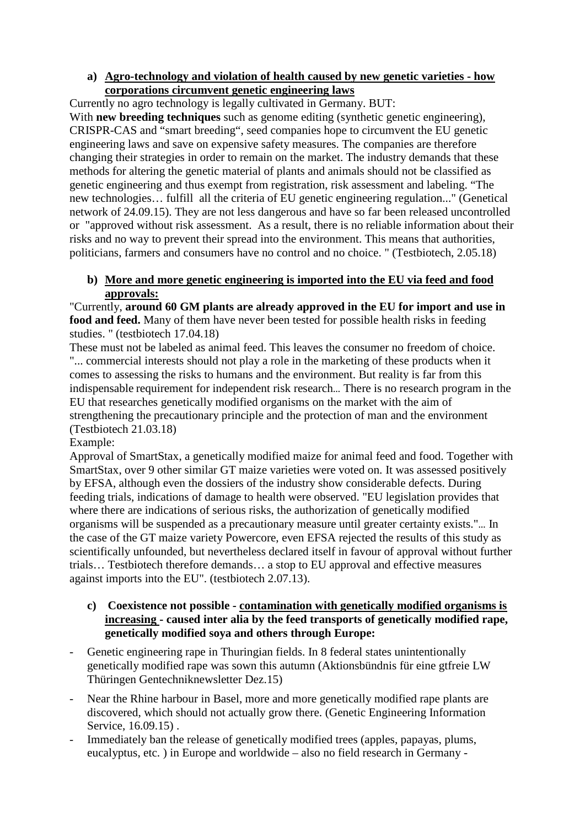### **a) [Agro-technology](https://de.pons.com/übersetzung/englisch-deutsch/Agro-technology) [and](https://de.pons.com/übersetzung/englisch-deutsch/and) violation of health caused [by](https://de.pons.com/übersetzung/englisch-deutsch/by) [new](https://de.pons.com/übersetzung/englisch-deutsch/new) [genetic](https://de.pons.com/übersetzung/englisch-deutsch/genetic) [varieties](https://de.pons.com/übersetzung/englisch-deutsch/varieties) [-](https://de.pons.com/übersetzung/englisch-deutsch/-) [how](https://de.pons.com/übersetzung/englisch-deutsch/how) [corporations](https://de.pons.com/übersetzung/englisch-deutsch/corporations) [circumvent](https://de.pons.com/übersetzung/englisch-deutsch/circumvent) [genetic](https://de.pons.com/übersetzung/englisch-deutsch/genetic) [engineering](https://de.pons.com/übersetzung/englisch-deutsch/engineering) [laws](https://de.pons.com/übersetzung/englisch-deutsch/laws)**

[Currently](https://de.pons.com/übersetzung/englisch-deutsch/Currently) [no](https://de.pons.com/übersetzung/englisch-deutsch/no) [agro technology](https://de.pons.com/übersetzung/englisch-deutsch/agrotechnology) [is](https://de.pons.com/übersetzung/englisch-deutsch/is) [legally](https://de.pons.com/übersetzung/englisch-deutsch/legally) [cultivated](https://de.pons.com/übersetzung/englisch-deutsch/cultivated) [in](https://de.pons.com/übersetzung/englisch-deutsch/in) [Germany.](https://de.pons.com/übersetzung/englisch-deutsch/Germany) BUT:

With **[new](https://de.pons.com/übersetzung/englisch-deutsch/new) [breeding](https://de.pons.com/übersetzung/englisch-deutsch/reeding) [techniques](https://de.pons.com/übersetzung/englisch-deutsch/techniques)** [such](https://de.pons.com/übersetzung/englisch-deutsch/such) [as](https://de.pons.com/übersetzung/englisch-deutsch/as) [genome](https://de.pons.com/übersetzung/englisch-deutsch/genome) [editing](https://de.pons.com/übersetzung/englisch-deutsch/editing) [\(synthetic](https://de.pons.com/übersetzung/englisch-deutsch/synthetic) [genetic](https://de.pons.com/übersetzung/englisch-deutsch/genetic) [engineering\)](https://de.pons.com/übersetzung/englisch-deutsch/engineering), [CRISPR-CAS](https://de.pons.com/übersetzung/englisch-deutsch/CRISPR-CAS) [and](https://de.pons.com/übersetzung/englisch-deutsch/and) ["smart](https://de.pons.com/übersetzung/englisch-deutsch/smart) [breeding"](https://de.pons.com/übersetzung/englisch-deutsch/reeding), [seed](https://de.pons.com/übersetzung/englisch-deutsch/seed) [companies](https://de.pons.com/übersetzung/englisch-deutsch/companies) [hope](https://de.pons.com/übersetzung/englisch-deutsch/hope) [to](https://de.pons.com/übersetzung/englisch-deutsch/to) [circumvent](https://de.pons.com/übersetzung/englisch-deutsch/circumvent) [the](https://de.pons.com/übersetzung/englisch-deutsch/the) [EU](https://de.pons.com/übersetzung/englisch-deutsch/EU) [genetic](https://de.pons.com/übersetzung/englisch-deutsch/genetic) [engineering](https://de.pons.com/übersetzung/englisch-deutsch/engineering) [laws](https://de.pons.com/übersetzung/englisch-deutsch/laws) [and](https://de.pons.com/übersetzung/englisch-deutsch/and) [save](https://de.pons.com/übersetzung/englisch-deutsch/save) [on](https://de.pons.com/übersetzung/englisch-deutsch/on) [expensive](https://de.pons.com/übersetzung/englisch-deutsch/expensive) [safety](https://de.pons.com/übersetzung/englisch-deutsch/safety) [measures.](https://de.pons.com/übersetzung/englisch-deutsch/measures) [The](https://de.pons.com/übersetzung/englisch-deutsch/The) [companies](https://de.pons.com/übersetzung/englisch-deutsch/companies) [are](https://de.pons.com/übersetzung/englisch-deutsch/are) [therefore](https://de.pons.com/übersetzung/englisch-deutsch/therefore) [changing](https://de.pons.com/übersetzung/englisch-deutsch/changing) [their](https://de.pons.com/übersetzung/englisch-deutsch/their) [strategies](https://de.pons.com/übersetzung/englisch-deutsch/strategies) [in](https://de.pons.com/übersetzung/englisch-deutsch/in) [order](https://de.pons.com/übersetzung/englisch-deutsch/order) [to](https://de.pons.com/übersetzung/englisch-deutsch/to) [remain](https://de.pons.com/übersetzung/englisch-deutsch/remain) [on](https://de.pons.com/übersetzung/englisch-deutsch/on) [the](https://de.pons.com/übersetzung/englisch-deutsch/the) [market.](https://de.pons.com/übersetzung/englisch-deutsch/market) [The](https://de.pons.com/übersetzung/englisch-deutsch/The) [industry](https://de.pons.com/übersetzung/englisch-deutsch/industry) [demands](https://de.pons.com/übersetzung/englisch-deutsch/demand) [that](https://de.pons.com/übersetzung/englisch-deutsch/that) [these](https://de.pons.com/übersetzung/englisch-deutsch/these) [methods](https://de.pons.com/übersetzung/englisch-deutsch/methods) [for](https://de.pons.com/übersetzung/englisch-deutsch/for) [altering](https://de.pons.com/übersetzung/englisch-deutsch/altering) [the](https://de.pons.com/übersetzung/englisch-deutsch/the) [genetic](https://de.pons.com/übersetzung/englisch-deutsch/genetic) [material](https://de.pons.com/übersetzung/englisch-deutsch/material) [of](https://de.pons.com/übersetzung/englisch-deutsch/of) [plants](https://de.pons.com/übersetzung/englisch-deutsch/plants) [and](https://de.pons.com/übersetzung/englisch-deutsch/and) [animals](https://de.pons.com/übersetzung/englisch-deutsch/animals) should not [be](https://de.pons.com/übersetzung/englisch-deutsch/be) [classified](https://de.pons.com/übersetzung/englisch-deutsch/classified) [as](https://de.pons.com/übersetzung/englisch-deutsch/as) [genetic](https://de.pons.com/übersetzung/englisch-deutsch/genetic) [engineering](https://de.pons.com/übersetzung/englisch-deutsch/engineering) [and](https://de.pons.com/übersetzung/englisch-deutsch/and) [thus](https://de.pons.com/übersetzung/englisch-deutsch/thus) [exempt](https://de.pons.com/übersetzung/englisch-deutsch/exempt) [from](https://de.pons.com/übersetzung/englisch-deutsch/from) [registration,](https://de.pons.com/übersetzung/englisch-deutsch/registration) [risk](https://de.pons.com/übersetzung/englisch-deutsch/risk) [assessment](https://de.pons.com/übersetzung/englisch-deutsch/assessment) [and](https://de.pons.com/übersetzung/englisch-deutsch/and) [labeling.](https://de.pons.com/übersetzung/englisch-deutsch/labelling) ["The](https://de.pons.com/übersetzung/englisch-deutsch/The) [new](https://de.pons.com/übersetzung/englisch-deutsch/new) [technologies…](https://de.pons.com/übersetzung/englisch-deutsch/technologies) fulfill [all](https://de.pons.com/übersetzung/englisch-deutsch/all) [the](https://de.pons.com/übersetzung/englisch-deutsch/the) [criteria](https://de.pons.com/übersetzung/englisch-deutsch/criteria) [of](https://de.pons.com/übersetzung/englisch-deutsch/of) [EU](https://de.pons.com/übersetzung/englisch-deutsch/EU) [genetic](https://de.pons.com/übersetzung/englisch-deutsch/genetic) [engineering](https://de.pons.com/übersetzung/englisch-deutsch/engineering) [regulation.](https://de.pons.com/übersetzung/englisch-deutsch/regulation)[.."](https://de.pons.com/übersetzung/englisch-deutsch/) [\(Genetical](https://de.pons.com/übersetzung/englisch-deutsch/Genethical) [network](https://de.pons.com/übersetzung/englisch-deutsch/network) [of](https://de.pons.com/übersetzung/englisch-deutsch/of) 24.[09.1](https://de.pons.com/übersetzung/englisch-deutsch/9.)5). [They](https://de.pons.com/übersetzung/englisch-deutsch/They) [are](https://de.pons.com/übersetzung/englisch-deutsch/are) [not](https://de.pons.com/übersetzung/englisch-deutsch/no) [less](https://de.pons.com/übersetzung/englisch-deutsch/less) [dangerous](https://de.pons.com/übersetzung/englisch-deutsch/dangerous) [and](https://de.pons.com/übersetzung/englisch-deutsch/and) [have](https://de.pons.com/übersetzung/englisch-deutsch/have) [so](https://de.pons.com/übersetzung/englisch-deutsch/so) [far](https://de.pons.com/übersetzung/englisch-deutsch/far) [been](https://de.pons.com/übersetzung/englisch-deutsch/een) [released](https://de.pons.com/übersetzung/englisch-deutsch/released) [uncontrolled](https://de.pons.com/übersetzung/englisch-deutsch/ncontrolled) [or](https://de.pons.com/übersetzung/englisch-deutsch/or) ["approved](https://de.pons.com/übersetzung/englisch-deutsch/approved) [without](https://de.pons.com/übersetzung/englisch-deutsch/without) [risk](https://de.pons.com/übersetzung/englisch-deutsch/risk) [assessment.](https://de.pons.com/übersetzung/englisch-deutsch/assessment) [As](https://de.pons.com/übersetzung/englisch-deutsch/As) [a](https://de.pons.com/übersetzung/englisch-deutsch/a) [result,](https://de.pons.com/übersetzung/englisch-deutsch/result) [there](https://de.pons.com/übersetzung/englisch-deutsch/there) [is](https://de.pons.com/übersetzung/englisch-deutsch/is) [no](https://de.pons.com/übersetzung/englisch-deutsch/no) [reliable](https://de.pons.com/übersetzung/englisch-deutsch/reliable) [information](https://de.pons.com/übersetzung/englisch-deutsch/information) [about](https://de.pons.com/übersetzung/englisch-deutsch/about) [their](https://de.pons.com/übersetzung/englisch-deutsch/their) [risks](https://de.pons.com/übersetzung/englisch-deutsch/risks) [and](https://de.pons.com/übersetzung/englisch-deutsch/and) [no](https://de.pons.com/übersetzung/englisch-deutsch/no) [way](https://de.pons.com/übersetzung/englisch-deutsch/way) [to](https://de.pons.com/übersetzung/englisch-deutsch/to) [prevent](https://de.pons.com/übersetzung/englisch-deutsch/prevent) [their](https://de.pons.com/übersetzung/englisch-deutsch/their) [spread](https://de.pons.com/übersetzung/englisch-deutsch/spread) [into](https://de.pons.com/übersetzung/englisch-deutsch/into) [the](https://de.pons.com/übersetzung/englisch-deutsch/the) [environment.](https://de.pons.com/übersetzung/englisch-deutsch/environment) [This](https://de.pons.com/übersetzung/englisch-deutsch/This) [means](https://de.pons.com/übersetzung/englisch-deutsch/means) [that](https://de.pons.com/übersetzung/englisch-deutsch/that) [authorities,](https://de.pons.com/übersetzung/englisch-deutsch/authorities) [politicians,](https://de.pons.com/übersetzung/englisch-deutsch/politicians) [farmers](https://de.pons.com/übersetzung/englisch-deutsch/farmers) [and](https://de.pons.com/übersetzung/englisch-deutsch/and) [consumers](https://de.pons.com/übersetzung/englisch-deutsch/consumers) [have](https://de.pons.com/übersetzung/englisch-deutsch/have) [no](https://de.pons.com/übersetzung/englisch-deutsch/no) [control](https://de.pons.com/übersetzung/englisch-deutsch/control) [and](https://de.pons.com/übersetzung/englisch-deutsch/and) [no](https://de.pons.com/übersetzung/englisch-deutsch/no) [choice.](https://de.pons.com/übersetzung/englisch-deutsch/choice) ["](https://de.pons.com/übersetzung/englisch-deutsch/) (Testbiotech, 2.05.18)

### **b) [More](https://de.pons.com/übersetzung/englisch-deutsch/More) [and](https://de.pons.com/übersetzung/englisch-deutsch/and) [more](https://de.pons.com/übersetzung/englisch-deutsch/more) [genetic](https://de.pons.com/übersetzung/englisch-deutsch/genetic) [engineering](https://de.pons.com/übersetzung/englisch-deutsch/engineering) is [imported](https://de.pons.com/übersetzung/englisch-deutsch/imported) [into](https://de.pons.com/übersetzung/englisch-deutsch/into) [the](https://de.pons.com/übersetzung/englisch-deutsch/the) [EU](https://de.pons.com/übersetzung/englisch-deutsch/EU) [via](https://de.pons.com/übersetzung/englisch-deutsch/via) [feed](https://de.pons.com/übersetzung/englisch-deutsch/feed) [and](https://de.pons.com/übersetzung/englisch-deutsch/and) [food](https://de.pons.com/übersetzung/englisch-deutsch/food) [approvals:](https://de.pons.com/übersetzung/englisch-deutsch/approvals)**

["Currently,](https://de.pons.com/übersetzung/englisch-deutsch/Currently) **[around](https://de.pons.com/übersetzung/englisch-deutsch/around) 60 [GM](https://de.pons.com/übersetzung/englisch-deutsch/GM) [plants](https://de.pons.com/übersetzung/englisch-deutsch/plants) [are](https://de.pons.com/übersetzung/englisch-deutsch/are) [already](https://de.pons.com/übersetzung/englisch-deutsch/already) [approved](https://de.pons.com/übersetzung/englisch-deutsch/approved) [in](https://de.pons.com/übersetzung/englisch-deutsch/in) [the](https://de.pons.com/übersetzung/englisch-deutsch/the) [EU](https://de.pons.com/übersetzung/englisch-deutsch/EU) [for](https://de.pons.com/übersetzung/englisch-deutsch/for) [import](https://de.pons.com/übersetzung/englisch-deutsch/import) [and](https://de.pons.com/übersetzung/englisch-deutsch/and) [use](https://de.pons.com/übersetzung/englisch-deutsch/se) [in](https://de.pons.com/übersetzung/englisch-deutsch/in) [food](https://de.pons.com/übersetzung/englisch-deutsch/food) [and](https://de.pons.com/übersetzung/englisch-deutsch/and) [feed.](https://de.pons.com/übersetzung/englisch-deutsch/feed)** [Many](https://de.pons.com/übersetzung/englisch-deutsch/Many) [of](https://de.pons.com/übersetzung/englisch-deutsch/of) [them](https://de.pons.com/übersetzung/englisch-deutsch/them) [have](https://de.pons.com/übersetzung/englisch-deutsch/have) [never](https://de.pons.com/übersetzung/englisch-deutsch/never) [been](https://de.pons.com/übersetzung/englisch-deutsch/een) [tested](https://de.pons.com/übersetzung/englisch-deutsch/tested) [for](https://de.pons.com/übersetzung/englisch-deutsch/for) [possible](https://de.pons.com/übersetzung/englisch-deutsch/possible) [health](https://de.pons.com/übersetzung/englisch-deutsch/health) [risks](https://de.pons.com/übersetzung/englisch-deutsch/risks) [in](https://de.pons.com/übersetzung/englisch-deutsch/in) [feeding](https://de.pons.com/übersetzung/englisch-deutsch/feeding) [studies.](https://de.pons.com/übersetzung/englisch-deutsch/studies) ["](https://de.pons.com/übersetzung/englisch-deutsch/) (testbiotech 17.04.18)

[These](https://de.pons.com/übersetzung/englisch-deutsch/These) [must](https://de.pons.com/übersetzung/englisch-deutsch/do) [not](https://de.pons.com/übersetzung/englisch-deutsch/not) [be](https://de.pons.com/übersetzung/englisch-deutsch/be) [labeled](https://de.pons.com/übersetzung/englisch-deutsch/labelled) [as](https://de.pons.com/übersetzung/englisch-deutsch/as) [animal](https://de.pons.com/übersetzung/englisch-deutsch/animal) [feed.](https://de.pons.com/übersetzung/englisch-deutsch/feed) This leaves the consumer no freedom of choice. ["...](https://de.pons.com/übersetzung/englisch-deutsch/) [commercial](https://de.pons.com/übersetzung/englisch-deutsch/commercial) [interests](https://de.pons.com/übersetzung/englisch-deutsch/interests) [should](https://de.pons.com/übersetzung/englisch-deutsch/should) [not](https://de.pons.com/übersetzung/englisch-deutsch/not) [play](https://de.pons.com/übersetzung/englisch-deutsch/play) [a](https://de.pons.com/übersetzung/englisch-deutsch/a) [role](https://de.pons.com/übersetzung/englisch-deutsch/role) [in](https://de.pons.com/übersetzung/englisch-deutsch/in) [the](https://de.pons.com/übersetzung/englisch-deutsch/the) [marketing](https://de.pons.com/übersetzung/englisch-deutsch/marketing) [of](https://de.pons.com/übersetzung/englisch-deutsch/of) [these](https://de.pons.com/übersetzung/englisch-deutsch/these) [products](https://de.pons.com/übersetzung/englisch-deutsch/products) [when](https://de.pons.com/übersetzung/englisch-deutsch/when) [it](https://de.pons.com/übersetzung/englisch-deutsch/it) [comes](https://de.pons.com/übersetzung/englisch-deutsch/comes) [to](https://de.pons.com/übersetzung/englisch-deutsch/to) [assessing](https://de.pons.com/übersetzung/englisch-deutsch/assessing) [the](https://de.pons.com/übersetzung/englisch-deutsch/the) [risks](https://de.pons.com/übersetzung/englisch-deutsch/risks) [to](https://de.pons.com/übersetzung/englisch-deutsch/to) [humans](https://de.pons.com/übersetzung/englisch-deutsch/humans) [and](https://de.pons.com/übersetzung/englisch-deutsch/and) [the](https://de.pons.com/übersetzung/englisch-deutsch/the) [environment.](https://de.pons.com/übersetzung/englisch-deutsch/environment) [But](https://de.pons.com/übersetzung/englisch-deutsch/But) [reality](https://de.pons.com/übersetzung/englisch-deutsch/reality) [is](https://de.pons.com/übersetzung/englisch-deutsch/is) [far](https://de.pons.com/übersetzung/englisch-deutsch/far) [from](https://de.pons.com/übersetzung/englisch-deutsch/from) [this](https://de.pons.com/übersetzung/englisch-deutsch/this) [indispensable](https://de.pons.com/übersetzung/englisch-deutsch/indispensable) requirement for independent risk research… [There](https://de.pons.com/übersetzung/englisch-deutsch/There) [is](https://de.pons.com/übersetzung/englisch-deutsch/is) [no](https://de.pons.com/übersetzung/englisch-deutsch/no) [research](https://de.pons.com/übersetzung/englisch-deutsch/research) [program](https://de.pons.com/übersetzung/englisch-deutsch/programme) [in](https://de.pons.com/übersetzung/englisch-deutsch/in) [the](https://de.pons.com/übersetzung/englisch-deutsch/the) [EU](https://de.pons.com/übersetzung/englisch-deutsch/EU) [that](https://de.pons.com/übersetzung/englisch-deutsch/that) [researches](https://de.pons.com/übersetzung/englisch-deutsch/researches) [genetically](https://de.pons.com/übersetzung/englisch-deutsch/genetically) [modified](https://de.pons.com/übersetzung/englisch-deutsch/modified) [organisms](https://de.pons.com/übersetzung/englisch-deutsch/organisms) [on](https://de.pons.com/übersetzung/englisch-deutsch/on) [the](https://de.pons.com/übersetzung/englisch-deutsch/the) [market](https://de.pons.com/übersetzung/englisch-deutsch/market) [with](https://de.pons.com/übersetzung/englisch-deutsch/with) [the](https://de.pons.com/übersetzung/englisch-deutsch/the) [aim](https://de.pons.com/übersetzung/englisch-deutsch/aim) [of](https://de.pons.com/übersetzung/englisch-deutsch/of) [strengthening](https://de.pons.com/übersetzung/englisch-deutsch/strengthening) [the](https://de.pons.com/übersetzung/englisch-deutsch/the) [precautionary](https://de.pons.com/übersetzung/englisch-deutsch/precautionary) [principle](https://de.pons.com/übersetzung/englisch-deutsch/principle) [and](https://de.pons.com/übersetzung/englisch-deutsch/and) [the](https://de.pons.com/übersetzung/englisch-deutsch/the) [protection](https://de.pons.com/übersetzung/englisch-deutsch/protection) [of](https://de.pons.com/übersetzung/englisch-deutsch/of) [man](https://de.pons.com/übersetzung/englisch-deutsch/man) [and](https://de.pons.com/übersetzung/englisch-deutsch/and) [the](https://de.pons.com/übersetzung/englisch-deutsch/the) [environment](https://de.pons.com/übersetzung/englisch-deutsch/environment) (Testbiotech 21.03.18)

Example:

[Approval](https://de.pons.com/übersetzung/englisch-deutsch/Approval) [of](https://de.pons.com/übersetzung/englisch-deutsch/of) [SmartStax,](https://de.pons.com/übersetzung/englisch-deutsch/SmartStax) [a](https://de.pons.com/übersetzung/englisch-deutsch/a) [genetically](https://de.pons.com/übersetzung/englisch-deutsch/genetically) [modified](https://de.pons.com/übersetzung/englisch-deutsch/modified) [maize](https://de.pons.com/übersetzung/englisch-deutsch/maize) [for](https://de.pons.com/übersetzung/englisch-deutsch/for) [animal](https://de.pons.com/übersetzung/englisch-deutsch/animal) [feed](https://de.pons.com/übersetzung/englisch-deutsch/feed) [and](https://de.pons.com/übersetzung/englisch-deutsch/and) [food.](https://de.pons.com/übersetzung/englisch-deutsch/food) [Together](https://de.pons.com/übersetzung/englisch-deutsch/Together) [with](https://de.pons.com/übersetzung/englisch-deutsch/with) [SmartStax,](https://de.pons.com/übersetzung/englisch-deutsch/SmartStax) [over](https://de.pons.com/übersetzung/englisch-deutsch/over) 9 [other](https://de.pons.com/übersetzung/englisch-deutsch/other) [similar](https://de.pons.com/übersetzung/englisch-deutsch/similar) [GT](https://de.pons.com/übersetzung/englisch-deutsch/GT) maize varieties were voted on. [It](https://de.pons.com/übersetzung/englisch-deutsch/It) [was](https://de.pons.com/übersetzung/englisch-deutsch/was) [assessed](https://de.pons.com/übersetzung/englisch-deutsch/assessed) [positively](https://de.pons.com/übersetzung/englisch-deutsch/positively) [by](https://de.pons.com/übersetzung/englisch-deutsch/by) [EFSA,](https://de.pons.com/übersetzung/englisch-deutsch/EFSA) [although](https://de.pons.com/übersetzung/englisch-deutsch/although) [even](https://de.pons.com/übersetzung/englisch-deutsch/even) [the](https://de.pons.com/übersetzung/englisch-deutsch/the) [dossiers](https://de.pons.com/übersetzung/englisch-deutsch/dossiers) [of](https://de.pons.com/übersetzung/englisch-deutsch/of) [the](https://de.pons.com/übersetzung/englisch-deutsch/the) [industry](https://de.pons.com/übersetzung/englisch-deutsch/industry) [show](https://de.pons.com/übersetzung/englisch-deutsch/show) [considerable](https://de.pons.com/übersetzung/englisch-deutsch/considerable) [defects.](https://de.pons.com/übersetzung/englisch-deutsch/shortcomings) [During](https://de.pons.com/übersetzung/englisch-deutsch/During) [feeding](https://de.pons.com/übersetzung/englisch-deutsch/feeding) [trials,](https://de.pons.com/übersetzung/englisch-deutsch/trials) [indications](https://de.pons.com/übersetzung/englisch-deutsch/indications) [of](https://de.pons.com/übersetzung/englisch-deutsch/of) [damage](https://de.pons.com/übersetzung/englisch-deutsch/damage) [to](https://de.pons.com/übersetzung/englisch-deutsch/to) [health](https://de.pons.com/übersetzung/englisch-deutsch/health) [were](https://de.pons.com/übersetzung/englisch-deutsch/were) [observed.](https://de.pons.com/übersetzung/englisch-deutsch/observed) "EU legislation provides that where there are indications of serious risks, the authorization of genetically modified organisms will be suspended as a precautionary measure until greater certainty exists."[…](https://de.pons.com/übersetzung/englisch-deutsch/…) [In](https://de.pons.com/übersetzung/englisch-deutsch/In) [the](https://de.pons.com/übersetzung/englisch-deutsch/the) [case](https://de.pons.com/übersetzung/englisch-deutsch/case) [of](https://de.pons.com/übersetzung/englisch-deutsch/of) [the](https://de.pons.com/übersetzung/englisch-deutsch/the) [GT](https://de.pons.com/übersetzung/englisch-deutsch/GT) [maize](https://de.pons.com/übersetzung/englisch-deutsch/maize) [variety](https://de.pons.com/übersetzung/englisch-deutsch/variety) [Powercore,](https://de.pons.com/übersetzung/englisch-deutsch/Powercore) [even](https://de.pons.com/übersetzung/englisch-deutsch/even) [EFSA](https://de.pons.com/übersetzung/englisch-deutsch/EFSA) [rejected](https://de.pons.com/übersetzung/englisch-deutsch/rejected) [the](https://de.pons.com/übersetzung/englisch-deutsch/the) [results](https://de.pons.com/übersetzung/englisch-deutsch/results) [of](https://de.pons.com/übersetzung/englisch-deutsch/of) [this](https://de.pons.com/übersetzung/englisch-deutsch/this) [study](https://de.pons.com/übersetzung/englisch-deutsch/study) [as](https://de.pons.com/übersetzung/englisch-deutsch/as) [scientifically](https://de.pons.com/übersetzung/englisch-deutsch/scientifically) [unfounded,](https://de.pons.com/übersetzung/englisch-deutsch/nfounded) [but](https://de.pons.com/übersetzung/englisch-deutsch/ut) [nevertheless](https://de.pons.com/übersetzung/englisch-deutsch/nevertheless) [declared](https://de.pons.com/übersetzung/englisch-deutsch/declared) [itself](https://de.pons.com/übersetzung/englisch-deutsch/itself) [in](https://de.pons.com/übersetzung/englisch-deutsch/in) [favour](https://de.pons.com/übersetzung/englisch-deutsch/favour) [of](https://de.pons.com/übersetzung/englisch-deutsch/of) [approval](https://de.pons.com/übersetzung/englisch-deutsch/approval) [without](https://de.pons.com/übersetzung/englisch-deutsch/without) [further](https://de.pons.com/übersetzung/englisch-deutsch/further) [trials…](https://de.pons.com/übersetzung/englisch-deutsch/trials) [Testbiotech](https://de.pons.com/übersetzung/englisch-deutsch/Testbiotech) [therefore](https://de.pons.com/übersetzung/englisch-deutsch/therefore) [demands…](https://de.pons.com/übersetzung/englisch-deutsch/demands) [a](https://de.pons.com/übersetzung/englisch-deutsch/a) [stop](https://de.pons.com/übersetzung/englisch-deutsch/stop) [to](https://de.pons.com/übersetzung/englisch-deutsch/to) [EU](https://de.pons.com/übersetzung/englisch-deutsch/EU) [approval](https://de.pons.com/übersetzung/englisch-deutsch/approval) [and](https://de.pons.com/übersetzung/englisch-deutsch/and) [effective](https://de.pons.com/übersetzung/englisch-deutsch/effective) [measures](https://de.pons.com/übersetzung/englisch-deutsch/measures) [against](https://de.pons.com/übersetzung/englisch-deutsch/against) [imports](https://de.pons.com/übersetzung/englisch-deutsch/imports) [into](https://de.pons.com/übersetzung/englisch-deutsch/into) [the](https://de.pons.com/übersetzung/englisch-deutsch/the) [EU"](https://de.pons.com/übersetzung/englisch-deutsch/EU). (testbiotech 2.07.13).

### **c) [Coexistence](https://de.pons.com/übersetzung/englisch-deutsch/Coexistence) [not](https://de.pons.com/übersetzung/englisch-deutsch/not) [possible](https://de.pons.com/übersetzung/englisch-deutsch/possible) [-](https://de.pons.com/übersetzung/englisch-deutsch/-) [contamination](https://de.pons.com/übersetzung/englisch-deutsch/contamination) [with](https://de.pons.com/übersetzung/englisch-deutsch/with) [genetically](https://de.pons.com/übersetzung/englisch-deutsch/genetically) [modified](https://de.pons.com/übersetzung/englisch-deutsch/modified) [organisms](https://de.pons.com/übersetzung/englisch-deutsch/organisms) [is](https://de.pons.com/übersetzung/englisch-deutsch/is) [increasing](https://de.pons.com/übersetzung/englisch-deutsch/increasing) [-](https://de.pons.com/übersetzung/englisch-deutsch/-) [caused](https://de.pons.com/übersetzung/englisch-deutsch/caused) [inter](https://de.pons.com/übersetzung/englisch-deutsch/inter) [alia](https://de.pons.com/übersetzung/englisch-deutsch/alia) [by](https://de.pons.com/übersetzung/englisch-deutsch/by) [the](https://de.pons.com/übersetzung/englisch-deutsch/the) [feed](https://de.pons.com/übersetzung/englisch-deutsch/feed) [transports](https://de.pons.com/übersetzung/englisch-deutsch/transports) [of](https://de.pons.com/übersetzung/englisch-deutsch/of) [genetically](https://de.pons.com/übersetzung/englisch-deutsch/genetically) [modified](https://de.pons.com/übersetzung/englisch-deutsch/modified) [rape,](https://de.pons.com/übersetzung/englisch-deutsch/rape) [genetically](https://de.pons.com/übersetzung/englisch-deutsch/genetically) [modified](https://de.pons.com/übersetzung/englisch-deutsch/modified) [soya](https://de.pons.com/übersetzung/englisch-deutsch/soya) [and](https://de.pons.com/übersetzung/englisch-deutsch/and) [others](https://de.pons.com/übersetzung/englisch-deutsch/others) [through](https://de.pons.com/übersetzung/englisch-deutsch/through) [Europe:](https://de.pons.com/übersetzung/englisch-deutsch/Europe)**

- [Genetic](https://de.pons.com/übersetzung/englisch-deutsch/Genetic) [engineering](https://de.pons.com/übersetzung/englisch-deutsch/engineering) [rape](https://de.pons.com/übersetzung/englisch-deutsch/rape) [in](https://de.pons.com/übersetzung/englisch-deutsch/in) [Thuringian](https://de.pons.com/übersetzung/englisch-deutsch/Thuringian) [fields.](https://de.pons.com/übersetzung/englisch-deutsch/fields) [In](https://de.pons.com/übersetzung/englisch-deutsch/In) 8 [federal](https://de.pons.com/übersetzung/englisch-deutsch/federal) [states](https://de.pons.com/übersetzung/englisch-deutsch/states) [unintentionally](https://de.pons.com/übersetzung/englisch-deutsch/nintentionally) [genetically](https://de.pons.com/übersetzung/englisch-deutsch/genetically) [modified](https://de.pons.com/übersetzung/englisch-deutsch/modified) [rape](https://de.pons.com/übersetzung/englisch-deutsch/rape) [was](https://de.pons.com/übersetzung/englisch-deutsch/was) [sown](https://de.pons.com/übersetzung/englisch-deutsch/sown) [this](https://de.pons.com/übersetzung/englisch-deutsch/this) [autumn](https://de.pons.com/übersetzung/englisch-deutsch/autumn) [\(Aktionsbündnis](https://de.pons.com/übersetzung/englisch-deutsch/Aktionsbündnis) [für](https://de.pons.com/übersetzung/englisch-deutsch/für) [eine](https://de.pons.com/übersetzung/englisch-deutsch/eine) [gtfreie](https://de.pons.com/übersetzung/englisch-deutsch/gtfreie) [LW](https://de.pons.com/übersetzung/englisch-deutsch/LW) [Thüringen](https://de.pons.com/übersetzung/englisch-deutsch/Thüringen) [Gentechniknewsletter](https://de.pons.com/übersetzung/englisch-deutsch/Gentechniknewsletter) Dez.15)
- Near [the](https://de.pons.com/übersetzung/englisch-deutsch/the) [Rhine](https://de.pons.com/übersetzung/englisch-deutsch/Rhine) [harbour](https://de.pons.com/übersetzung/englisch-deutsch/harbour) [in](https://de.pons.com/übersetzung/englisch-deutsch/in) [Basel,](https://de.pons.com/übersetzung/englisch-deutsch/Basel) more and more [genetically](https://de.pons.com/übersetzung/englisch-deutsch/genetically) [modified](https://de.pons.com/übersetzung/englisch-deutsch/modified) [rape](https://de.pons.com/übersetzung/englisch-deutsch/rape) [plants](https://de.pons.com/übersetzung/englisch-deutsch/plants) [are](https://de.pons.com/übersetzung/englisch-deutsch/are) [discovered,](https://de.pons.com/übersetzung/englisch-deutsch/discovered) [which](https://de.pons.com/übersetzung/englisch-deutsch/which) [should](https://de.pons.com/übersetzung/englisch-deutsch/should) [not](https://de.pons.com/übersetzung/englisch-deutsch/not) [actually](https://de.pons.com/übersetzung/englisch-deutsch/actually) [grow](https://de.pons.com/übersetzung/englisch-deutsch/grow) [there.](https://de.pons.com/übersetzung/englisch-deutsch/there) [\(Genetic](https://de.pons.com/übersetzung/englisch-deutsch/Genetic) [Engineering](https://de.pons.com/übersetzung/englisch-deutsch/Engineering) [Information](https://de.pons.com/übersetzung/englisch-deutsch/Information) [Service,](https://de.pons.com/übersetzung/englisch-deutsch/Service) 16.09.15) .
- [Immediately](https://de.pons.com/übersetzung/englisch-deutsch/Immediately) [ban](https://de.pons.com/übersetzung/englisch-deutsch/an) [the](https://de.pons.com/übersetzung/englisch-deutsch/the) [release](https://de.pons.com/übersetzung/englisch-deutsch/release) [of](https://de.pons.com/übersetzung/englisch-deutsch/of) [genetically](https://de.pons.com/übersetzung/englisch-deutsch/genetically) [modified](https://de.pons.com/übersetzung/englisch-deutsch/modified) [trees](https://de.pons.com/übersetzung/englisch-deutsch/trees) [\(apples,](https://de.pons.com/übersetzung/englisch-deutsch/apples) [papayas,](https://de.pons.com/übersetzung/englisch-deutsch/papayas) [plums,](https://de.pons.com/übersetzung/englisch-deutsch/plums) [eucalyptus,](https://de.pons.com/übersetzung/englisch-deutsch/eucalyptus) [etc.](https://de.pons.com/übersetzung/englisch-deutsch/etc) [\)](https://de.pons.com/übersetzung/englisch-deutsch/)) [in](https://de.pons.com/übersetzung/englisch-deutsch/in) [Europe](https://de.pons.com/übersetzung/englisch-deutsch/Europe) [and](https://de.pons.com/übersetzung/englisch-deutsch/and) [worldwide](https://de.pons.com/übersetzung/englisch-deutsch/worldwide) [–](https://de.pons.com/übersetzung/englisch-deutsch/-) also [no](https://de.pons.com/übersetzung/englisch-deutsch/no) [field](https://de.pons.com/übersetzung/englisch-deutsch/field) [research](https://de.pons.com/übersetzung/englisch-deutsch/research) [in](https://de.pons.com/übersetzung/englisch-deutsch/in) [Germany](https://de.pons.com/übersetzung/englisch-deutsch/Germany) [-](https://de.pons.com/übersetzung/englisch-deutsch/-)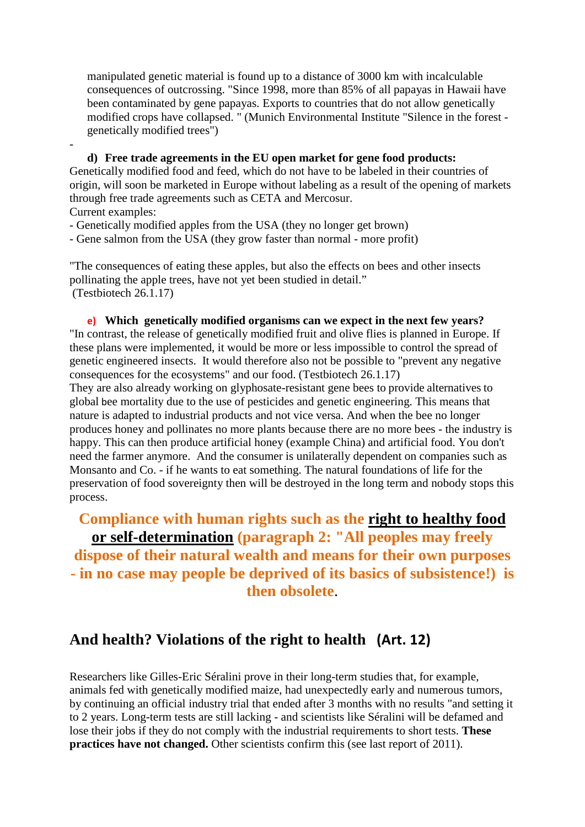[manipulated](https://de.pons.com/übersetzung/englisch-deutsch/manipulated) [genetic](https://de.pons.com/übersetzung/englisch-deutsch/genetic) [material](https://de.pons.com/übersetzung/englisch-deutsch/material) [is](https://de.pons.com/übersetzung/englisch-deutsch/is) [found](https://de.pons.com/übersetzung/englisch-deutsch/found) [up](https://de.pons.com/übersetzung/englisch-deutsch/up) [to](https://de.pons.com/übersetzung/englisch-deutsch/to) [a](https://de.pons.com/übersetzung/englisch-deutsch/a) [distance](https://de.pons.com/übersetzung/englisch-deutsch/distance) [of](https://de.pons.com/übersetzung/englisch-deutsch/of) 3000 [km](https://de.pons.com/übersetzung/englisch-deutsch/km) [with](https://de.pons.com/übersetzung/englisch-deutsch/with) incalculable [consequences](https://de.pons.com/übersetzung/englisch-deutsch/consequences) [of](https://de.pons.com/übersetzung/englisch-deutsch/of) [outcrossing.](https://de.pons.com/übersetzung/englisch-deutsch/outcrossing) ["Since](https://de.pons.com/übersetzung/englisch-deutsch/Since) 1998, [more](https://de.pons.com/übersetzung/englisch-deutsch/over) than 85% [of](https://de.pons.com/übersetzung/englisch-deutsch/of) [all](https://de.pons.com/übersetzung/englisch-deutsch/all) [papayas](https://de.pons.com/übersetzung/englisch-deutsch/papayas) [in](https://de.pons.com/übersetzung/englisch-deutsch/in) [Hawaii](https://de.pons.com/übersetzung/englisch-deutsch/Hawaii) [have](https://de.pons.com/übersetzung/englisch-deutsch/have) [been](https://de.pons.com/übersetzung/englisch-deutsch/een) [contaminated](https://de.pons.com/übersetzung/englisch-deutsch/contaminated) [by](https://de.pons.com/übersetzung/englisch-deutsch/by) [gene](https://de.pons.com/übersetzung/englisch-deutsch/gene) [papayas.](https://de.pons.com/übersetzung/englisch-deutsch/papayas) [Exports](https://de.pons.com/übersetzung/englisch-deutsch/Exports) [to](https://de.pons.com/übersetzung/englisch-deutsch/to) [countries](https://de.pons.com/übersetzung/englisch-deutsch/countries) [that](https://de.pons.com/übersetzung/englisch-deutsch/that) [do](https://de.pons.com/übersetzung/englisch-deutsch/do) [not](https://de.pons.com/übersetzung/englisch-deutsch/not) [allow](https://de.pons.com/übersetzung/englisch-deutsch/allow) [genetically](https://de.pons.com/übersetzung/englisch-deutsch/genetically) [modified](https://de.pons.com/übersetzung/englisch-deutsch/modified) [crops](https://de.pons.com/übersetzung/englisch-deutsch/crops) [have](https://de.pons.com/übersetzung/englisch-deutsch/have) [collapsed.](https://de.pons.com/übersetzung/englisch-deutsch/collapsed) ["](https://de.pons.com/übersetzung/englisch-deutsch/) [\(Munich](https://de.pons.com/übersetzung/englisch-deutsch/Munich) [Environmental](https://de.pons.com/übersetzung/englisch-deutsch/Environmental) [Institute](https://de.pons.com/übersetzung/englisch-deutsch/Institute) ["Silence](https://de.pons.com/übersetzung/englisch-deutsch/Silence) [in](https://de.pons.com/übersetzung/englisch-deutsch/in) [the](https://de.pons.com/übersetzung/englisch-deutsch/the) [forest](https://de.pons.com/übersetzung/englisch-deutsch/forest)  [genetically](https://de.pons.com/übersetzung/englisch-deutsch/genetically) [modified](https://de.pons.com/übersetzung/englisch-deutsch/modified) [trees"](https://de.pons.com/übersetzung/englisch-deutsch/trees))

 **d) [Free](https://de.pons.com/übersetzung/englisch-deutsch/Free) [trade](https://de.pons.com/übersetzung/englisch-deutsch/trade) [agreements](https://de.pons.com/übersetzung/englisch-deutsch/agreements) [in](https://de.pons.com/übersetzung/englisch-deutsch/in) [the](https://de.pons.com/übersetzung/englisch-deutsch/the) [EU](https://de.pons.com/übersetzung/englisch-deutsch/EU) [open](https://de.pons.com/übersetzung/englisch-deutsch/open) [market](https://de.pons.com/übersetzung/englisch-deutsch/market) [for](https://de.pons.com/übersetzung/englisch-deutsch/for) gene food [products:](https://de.pons.com/übersetzung/englisch-deutsch/products)** [Genetically](https://de.pons.com/übersetzung/englisch-deutsch/Genetically) [modified](https://de.pons.com/übersetzung/englisch-deutsch/modified) [food](https://de.pons.com/übersetzung/englisch-deutsch/food) [and](https://de.pons.com/übersetzung/englisch-deutsch/and) [feed,](https://de.pons.com/übersetzung/englisch-deutsch/feed) [which](https://de.pons.com/übersetzung/englisch-deutsch/which) [do](https://de.pons.com/übersetzung/englisch-deutsch/do) [not](https://de.pons.com/übersetzung/englisch-deutsch/not) [have](https://de.pons.com/übersetzung/englisch-deutsch/have) [to](https://de.pons.com/übersetzung/englisch-deutsch/to) [be](https://de.pons.com/übersetzung/englisch-deutsch/be) [labeled](https://de.pons.com/übersetzung/englisch-deutsch/labelled) [in](https://de.pons.com/übersetzung/englisch-deutsch/in) [their](https://de.pons.com/übersetzung/englisch-deutsch/their) [countries](https://de.pons.com/übersetzung/englisch-deutsch/countries) [of](https://de.pons.com/übersetzung/englisch-deutsch/of) [origin,](https://de.pons.com/übersetzung/englisch-deutsch/origin) [will](https://de.pons.com/übersetzung/englisch-deutsch/will) [soon](https://de.pons.com/übersetzung/englisch-deutsch/soon) [be](https://de.pons.com/übersetzung/englisch-deutsch/be) [marketed](https://de.pons.com/übersetzung/englisch-deutsch/marketed) [in](https://de.pons.com/übersetzung/englisch-deutsch/in) [Europe](https://de.pons.com/übersetzung/englisch-deutsch/Europe) [without](https://de.pons.com/übersetzung/englisch-deutsch/without) [labeling](https://de.pons.com/übersetzung/englisch-deutsch/labeling) [as](https://de.pons.com/übersetzung/englisch-deutsch/as) [a](https://de.pons.com/übersetzung/englisch-deutsch/a) [result](https://de.pons.com/übersetzung/englisch-deutsch/result) [of](https://de.pons.com/übersetzung/englisch-deutsch/of) [the](https://de.pons.com/übersetzung/englisch-deutsch/the) [opening](https://de.pons.com/übersetzung/englisch-deutsch/opening) [of](https://de.pons.com/übersetzung/englisch-deutsch/of) [markets](https://de.pons.com/übersetzung/englisch-deutsch/markets) [through](https://de.pons.com/übersetzung/englisch-deutsch/through) [free](https://de.pons.com/übersetzung/englisch-deutsch/free) [trade](https://de.pons.com/übersetzung/englisch-deutsch/trade) [agreements](https://de.pons.com/übersetzung/englisch-deutsch/agreements) [such](https://de.pons.com/übersetzung/englisch-deutsch/such) [as](https://de.pons.com/übersetzung/englisch-deutsch/as) [CETA](https://de.pons.com/übersetzung/englisch-deutsch/CETA) [and](https://de.pons.com/übersetzung/englisch-deutsch/and) [Mercosur.](https://de.pons.com/übersetzung/englisch-deutsch/Mercosur) [Current](https://de.pons.com/übersetzung/englisch-deutsch/Current) [examples:](https://de.pons.com/übersetzung/englisch-deutsch/examples)

- [-](https://de.pons.com/übersetzung/englisch-deutsch/-) [Genetically](https://de.pons.com/übersetzung/englisch-deutsch/Genetically) [modified](https://de.pons.com/übersetzung/englisch-deutsch/modified) [apples](https://de.pons.com/übersetzung/englisch-deutsch/apples) [from](https://de.pons.com/übersetzung/englisch-deutsch/from) [the](https://de.pons.com/übersetzung/englisch-deutsch/the) [USA](https://de.pons.com/übersetzung/englisch-deutsch/USA) (they [no](https://de.pons.com/übersetzung/englisch-deutsch/no) [longer](https://de.pons.com/übersetzung/englisch-deutsch/longer) get [brown\)](https://de.pons.com/übersetzung/englisch-deutsch/rown)
- [-](https://de.pons.com/übersetzung/englisch-deutsch/-) [Gene](https://de.pons.com/übersetzung/englisch-deutsch/Gene) [salmon](https://de.pons.com/übersetzung/englisch-deutsch/salmon) [from](https://de.pons.com/übersetzung/englisch-deutsch/from) [the](https://de.pons.com/übersetzung/englisch-deutsch/the) [USA](https://de.pons.com/übersetzung/englisch-deutsch/USA) (they [grow](https://de.pons.com/übersetzung/englisch-deutsch/grow) [faster](https://de.pons.com/übersetzung/englisch-deutsch/faster) [than](https://de.pons.com/übersetzung/englisch-deutsch/than) [normal](https://de.pons.com/übersetzung/englisch-deutsch/normal) [-](https://de.pons.com/übersetzung/englisch-deutsch/-) [more](https://de.pons.com/übersetzung/englisch-deutsch/more) [profit\)](https://de.pons.com/übersetzung/englisch-deutsch/profit)

["The](https://de.pons.com/übersetzung/englisch-deutsch/The) [consequences](https://de.pons.com/übersetzung/englisch-deutsch/consequences) [of](https://de.pons.com/übersetzung/englisch-deutsch/of) [eating](https://de.pons.com/übersetzung/englisch-deutsch/eating) [these](https://de.pons.com/übersetzung/englisch-deutsch/these) [apples,](https://de.pons.com/übersetzung/englisch-deutsch/apples) [but](https://de.pons.com/übersetzung/englisch-deutsch/ut) [also](https://de.pons.com/übersetzung/englisch-deutsch/also) [the](https://de.pons.com/übersetzung/englisch-deutsch/the) [effects](https://de.pons.com/übersetzung/englisch-deutsch/effects) [on](https://de.pons.com/übersetzung/englisch-deutsch/on) [bees](https://de.pons.com/übersetzung/englisch-deutsch/ees) [and](https://de.pons.com/übersetzung/englisch-deutsch/and) [other](https://de.pons.com/übersetzung/englisch-deutsch/other) [insects](https://de.pons.com/übersetzung/englisch-deutsch/insects) [pollinating](https://de.pons.com/übersetzung/englisch-deutsch/pollinating) [the](https://de.pons.com/übersetzung/englisch-deutsch/the) [apple](https://de.pons.com/übersetzung/englisch-deutsch/apple) [trees,](https://de.pons.com/übersetzung/englisch-deutsch/trees) [have](https://de.pons.com/übersetzung/englisch-deutsch/have) [not](https://de.pons.com/übersetzung/englisch-deutsch/not) [yet](https://de.pons.com/übersetzung/englisch-deutsch/yet) [been](https://de.pons.com/übersetzung/englisch-deutsch/een) [studied](https://de.pons.com/übersetzung/englisch-deutsch/studied) [in](https://de.pons.com/übersetzung/englisch-deutsch/in) [detail.](https://de.pons.com/übersetzung/englisch-deutsch/detail)" (Testbiotech 26.1.17)

**e) [Which](https://de.pons.com/übersetzung/englisch-deutsch/Which) [genetically](https://de.pons.com/übersetzung/englisch-deutsch/genetically) [modified](https://de.pons.com/übersetzung/englisch-deutsch/modified) [organisms](https://de.pons.com/übersetzung/englisch-deutsch/organisms) [can](https://de.pons.com/übersetzung/englisch-deutsch/can) [we](https://de.pons.com/übersetzung/englisch-deutsch/we) [expect](https://de.pons.com/übersetzung/englisch-deutsch/expect) [in](https://de.pons.com/übersetzung/englisch-deutsch/in) [the](https://de.pons.com/übersetzung/englisch-deutsch/the) next few years?** ["In](https://de.pons.com/übersetzung/englisch-deutsch/In) [contrast,](https://de.pons.com/übersetzung/englisch-deutsch/contrast) [the](https://de.pons.com/übersetzung/englisch-deutsch/the) [release](https://de.pons.com/übersetzung/englisch-deutsch/release) [of](https://de.pons.com/übersetzung/englisch-deutsch/of) [genetically](https://de.pons.com/übersetzung/englisch-deutsch/genetically) [modified](https://de.pons.com/übersetzung/englisch-deutsch/modified) [fruit](https://de.pons.com/übersetzung/englisch-deutsch/fruit) [and](https://de.pons.com/übersetzung/englisch-deutsch/and) [olive](https://de.pons.com/übersetzung/englisch-deutsch/olive) [flies](https://de.pons.com/übersetzung/englisch-deutsch/flies) [is](https://de.pons.com/übersetzung/englisch-deutsch/is) [planned](https://de.pons.com/übersetzung/englisch-deutsch/planned) [in](https://de.pons.com/übersetzung/englisch-deutsch/in) [Europe.](https://de.pons.com/übersetzung/englisch-deutsch/Europe) [If](https://de.pons.com/übersetzung/englisch-deutsch/If) [these](https://de.pons.com/übersetzung/englisch-deutsch/these) [plans](https://de.pons.com/übersetzung/englisch-deutsch/plans) [were](https://de.pons.com/übersetzung/englisch-deutsch/were) [implemented,](https://de.pons.com/übersetzung/englisch-deutsch/implemented) [it](https://de.pons.com/übersetzung/englisch-deutsch/it) [would](https://de.pons.com/übersetzung/englisch-deutsch/would) [be](https://de.pons.com/übersetzung/englisch-deutsch/be) [more](https://de.pons.com/übersetzung/englisch-deutsch/more) [or](https://de.pons.com/übersetzung/englisch-deutsch/or) [less](https://de.pons.com/übersetzung/englisch-deutsch/less) [impossible](https://de.pons.com/übersetzung/englisch-deutsch/impossible) [to](https://de.pons.com/übersetzung/englisch-deutsch/to) [control](https://de.pons.com/übersetzung/englisch-deutsch/control) [the](https://de.pons.com/übersetzung/englisch-deutsch/the) [spread](https://de.pons.com/übersetzung/englisch-deutsch/spread) [of](https://de.pons.com/übersetzung/englisch-deutsch/of) [genetic](https://de.pons.com/übersetzung/englisch-deutsch/genetic) [engineere](https://de.pons.com/übersetzung/englisch-deutsch/engineering)d [insects.](https://de.pons.com/übersetzung/englisch-deutsch/insects) [It](https://de.pons.com/übersetzung/englisch-deutsch/It) [would](https://de.pons.com/übersetzung/englisch-deutsch/would) [therefore](https://de.pons.com/übersetzung/englisch-deutsch/therefore) [also](https://de.pons.com/übersetzung/englisch-deutsch/also) [not](https://de.pons.com/übersetzung/englisch-deutsch/not) [be](https://de.pons.com/übersetzung/englisch-deutsch/be) [possible](https://de.pons.com/übersetzung/englisch-deutsch/possible) [to](https://de.pons.com/übersetzung/englisch-deutsch/to) ["prevent](https://de.pons.com/übersetzung/englisch-deutsch/prevent) [any](https://de.pons.com/übersetzung/englisch-deutsch/any) [negative](https://de.pons.com/übersetzung/englisch-deutsch/negative) [consequences](https://de.pons.com/übersetzung/englisch-deutsch/consequences) [for](https://de.pons.com/übersetzung/englisch-deutsch/for) [the](https://de.pons.com/übersetzung/englisch-deutsch/the) [ecosystems"](https://de.pons.com/übersetzung/englisch-deutsch/ecosystems) [and](https://de.pons.com/übersetzung/englisch-deutsch/and) [our](https://de.pons.com/übersetzung/englisch-deutsch/our) [food.](https://de.pons.com/übersetzung/englisch-deutsch/food) (Testbiotech 26.1.17)

They are also already working on glyphosate-resistant gene bees [to](https://de.pons.com/übersetzung/englisch-deutsch/to) [provide](https://de.pons.com/übersetzung/englisch-deutsch/provide) [alternatives](https://de.pons.com/übersetzung/englisch-deutsch/alternatives) [to](https://de.pons.com/übersetzung/englisch-deutsch/to) [global](https://de.pons.com/übersetzung/englisch-deutsch/global) b[ee](https://de.pons.com/übersetzung/englisch-deutsch/ee) [mortality](https://de.pons.com/übersetzung/englisch-deutsch/mortality) [due](https://de.pons.com/übersetzung/englisch-deutsch/due) [to](https://de.pons.com/übersetzung/englisch-deutsch/to) [the](https://de.pons.com/übersetzung/englisch-deutsch/the) [use](https://de.pons.com/übersetzung/englisch-deutsch/se) [of](https://de.pons.com/übersetzung/englisch-deutsch/of) [pesticides](https://de.pons.com/übersetzung/englisch-deutsch/pesticides) [and](https://de.pons.com/übersetzung/englisch-deutsch/and) [genetic](https://de.pons.com/übersetzung/englisch-deutsch/genetic) [engineering.](https://de.pons.com/übersetzung/englisch-deutsch/engineering) [This](https://de.pons.com/übersetzung/englisch-deutsch/This) [means](https://de.pons.com/übersetzung/englisch-deutsch/means) [that](https://de.pons.com/übersetzung/englisch-deutsch/that) [nature](https://de.pons.com/übersetzung/englisch-deutsch/nature) [is](https://de.pons.com/übersetzung/englisch-deutsch/is) [adapted](https://de.pons.com/übersetzung/englisch-deutsch/adapted) [to](https://de.pons.com/übersetzung/englisch-deutsch/to) [industrial](https://de.pons.com/übersetzung/englisch-deutsch/industrial) [products](https://de.pons.com/übersetzung/englisch-deutsch/products) [and](https://de.pons.com/übersetzung/englisch-deutsch/and) [not](https://de.pons.com/übersetzung/englisch-deutsch/not) [vice](https://de.pons.com/übersetzung/englisch-deutsch/vice) [versa.](https://de.pons.com/übersetzung/englisch-deutsch/versa) [And](https://de.pons.com/übersetzung/englisch-deutsch/And) [when](https://de.pons.com/übersetzung/englisch-deutsch/when) [the](https://de.pons.com/übersetzung/englisch-deutsch/the) [bee](https://de.pons.com/übersetzung/englisch-deutsch/ee) [no](https://de.pons.com/übersetzung/englisch-deutsch/no) [longer](https://de.pons.com/übersetzung/englisch-deutsch/longer) [produces](https://de.pons.com/übersetzung/englisch-deutsch/produces) [honey](https://de.pons.com/übersetzung/englisch-deutsch/honey) [and](https://de.pons.com/übersetzung/englisch-deutsch/and) [pollinates](https://de.pons.com/übersetzung/englisch-deutsch/pollinates) [no](https://de.pons.com/übersetzung/englisch-deutsch/no) [more](https://de.pons.com/übersetzung/englisch-deutsch/more) [plants](https://de.pons.com/übersetzung/englisch-deutsch/plants) [because](https://de.pons.com/übersetzung/englisch-deutsch/ecause) [there](https://de.pons.com/übersetzung/englisch-deutsch/there) [are](https://de.pons.com/übersetzung/englisch-deutsch/are) [no](https://de.pons.com/übersetzung/englisch-deutsch/no) [more](https://de.pons.com/übersetzung/englisch-deutsch/more) [bees](https://de.pons.com/übersetzung/englisch-deutsch/ees) [-](https://de.pons.com/übersetzung/englisch-deutsch/-) [the](https://de.pons.com/übersetzung/englisch-deutsch/the) [industry](https://de.pons.com/übersetzung/englisch-deutsch/industry) [is](https://de.pons.com/übersetzung/englisch-deutsch/is) [happy.](https://de.pons.com/übersetzung/englisch-deutsch/happy) [This](https://de.pons.com/übersetzung/englisch-deutsch/This) [can](https://de.pons.com/übersetzung/englisch-deutsch/can) [then](https://de.pons.com/übersetzung/englisch-deutsch/then) [produce](https://de.pons.com/übersetzung/englisch-deutsch/produce) [artificial](https://de.pons.com/übersetzung/englisch-deutsch/artificial) [honey](https://de.pons.com/übersetzung/englisch-deutsch/honey) [\(example](https://de.pons.com/übersetzung/englisch-deutsch/example) [China\)](https://de.pons.com/übersetzung/englisch-deutsch/China) [and](https://de.pons.com/übersetzung/englisch-deutsch/and) [artificial](https://de.pons.com/übersetzung/englisch-deutsch/artificial) [food.](https://de.pons.com/übersetzung/englisch-deutsch/food) [You](https://de.pons.com/übersetzung/englisch-deutsch/Yo) [don't](https://de.pons.com/übersetzung/englisch-deutsch/don) [need](https://de.pons.com/übersetzung/englisch-deutsch/need) [the](https://de.pons.com/übersetzung/englisch-deutsch/the) [farmer](https://de.pons.com/übersetzung/englisch-deutsch/farmer) [anymore.](https://de.pons.com/übersetzung/englisch-deutsch/anymore) [And](https://de.pons.com/übersetzung/englisch-deutsch/And) [the](https://de.pons.com/übersetzung/englisch-deutsch/the) [consumer](https://de.pons.com/übersetzung/englisch-deutsch/consumer) [is](https://de.pons.com/übersetzung/englisch-deutsch/is) [unilaterally](https://de.pons.com/übersetzung/englisch-deutsch/nilaterally) [dependent](https://de.pons.com/übersetzung/englisch-deutsch/dependent) [on](https://de.pons.com/übersetzung/englisch-deutsch/on) [companies](https://de.pons.com/übersetzung/englisch-deutsch/companies) [such](https://de.pons.com/übersetzung/englisch-deutsch/such) [as](https://de.pons.com/übersetzung/englisch-deutsch/as) [Monsanto](https://de.pons.com/übersetzung/englisch-deutsch/Monsanto) [and](https://de.pons.com/übersetzung/englisch-deutsch/and) [Co.](https://de.pons.com/übersetzung/englisch-deutsch/Co) [-](https://de.pons.com/übersetzung/englisch-deutsch/-) if [he](https://de.pons.com/übersetzung/englisch-deutsch/he) [wants](https://de.pons.com/übersetzung/englisch-deutsch/wants) [to](https://de.pons.com/übersetzung/englisch-deutsch/to) [eat](https://de.pons.com/übersetzung/englisch-deutsch/eat) [something.](https://de.pons.com/übersetzung/englisch-deutsch/something) [The](https://de.pons.com/übersetzung/englisch-deutsch/The) [natural](https://de.pons.com/übersetzung/englisch-deutsch/natural) [foundations](https://de.pons.com/übersetzung/englisch-deutsch/foundations) [of](https://de.pons.com/übersetzung/englisch-deutsch/of) [life](https://de.pons.com/übersetzung/englisch-deutsch/life) [for](https://de.pons.com/übersetzung/englisch-deutsch/for) [the](https://de.pons.com/übersetzung/englisch-deutsch/the) [preservation](https://de.pons.com/übersetzung/englisch-deutsch/preservation) [of](https://de.pons.com/übersetzung/englisch-deutsch/of) [food](https://de.pons.com/übersetzung/englisch-deutsch/food) [sovereignty](https://de.pons.com/übersetzung/englisch-deutsch/sovereignty) then will be [destroyed](https://de.pons.com/übersetzung/englisch-deutsch/destroyed) [in](https://de.pons.com/übersetzung/englisch-deutsch/in) [the](https://de.pons.com/übersetzung/englisch-deutsch/the) [long](https://de.pons.com/übersetzung/englisch-deutsch/long) [term](https://de.pons.com/übersetzung/englisch-deutsch/term) [and](https://de.pons.com/übersetzung/englisch-deutsch/and) [nobody](https://de.pons.com/übersetzung/englisch-deutsch/nobody) [stops](https://de.pons.com/übersetzung/englisch-deutsch/stops) [this](https://de.pons.com/übersetzung/englisch-deutsch/this) [process.](https://de.pons.com/übersetzung/englisch-deutsch/process)

## **[Compliance](https://de.pons.com/übersetzung/englisch-deutsch/Compliance) [with](https://de.pons.com/übersetzung/englisch-deutsch/with) [human](https://de.pons.com/übersetzung/englisch-deutsch/human) [rights](https://de.pons.com/übersetzung/englisch-deutsch/rights) [such](https://de.pons.com/übersetzung/englisch-deutsch/such) [as](https://de.pons.com/übersetzung/englisch-deutsch/as) [the](https://de.pons.com/übersetzung/englisch-deutsch/the) [right](https://de.pons.com/übersetzung/englisch-deutsch/right) [to](https://de.pons.com/übersetzung/englisch-deutsch/to) [healthy](https://de.pons.com/übersetzung/englisch-deutsch/healthy) [food](https://de.pons.com/übersetzung/englisch-deutsch/food) [or](https://de.pons.com/übersetzung/englisch-deutsch/or) [self-determination](https://de.pons.com/übersetzung/englisch-deutsch/self-determination) [\(paragraph](https://de.pons.com/übersetzung/englisch-deutsch/paragraph) [2:](https://de.pons.com/übersetzung/englisch-deutsch/2:) ["All](https://de.pons.com/übersetzung/englisch-deutsch/All) [peoples](https://de.pons.com/übersetzung/englisch-deutsch/peoples) [may](https://de.pons.com/übersetzung/englisch-deutsch/may) [freely](https://de.pons.com/übersetzung/englisch-deutsch/freely) [dispose](https://de.pons.com/übersetzung/englisch-deutsch/dispose) [of](https://de.pons.com/übersetzung/englisch-deutsch/of) [their](https://de.pons.com/übersetzung/englisch-deutsch/their) [natural](https://de.pons.com/übersetzung/englisch-deutsch/natural) [wealth](https://de.pons.com/übersetzung/englisch-deutsch/wealth) [and](https://de.pons.com/übersetzung/englisch-deutsch/and) [means](https://de.pons.com/übersetzung/englisch-deutsch/means) [for](https://de.pons.com/übersetzung/englisch-deutsch/for) [their](https://de.pons.com/übersetzung/englisch-deutsch/their) [own](https://de.pons.com/übersetzung/englisch-deutsch/own) [purposes](https://de.pons.com/übersetzung/englisch-deutsch/purposes) [-](https://de.pons.com/übersetzung/englisch-deutsch/-) [in](https://de.pons.com/übersetzung/englisch-deutsch/in) [no](https://de.pons.com/übersetzung/englisch-deutsch/no) [case](https://de.pons.com/übersetzung/englisch-deutsch/case) [may](https://de.pons.com/übersetzung/englisch-deutsch/may) [people](https://de.pons.com/übersetzung/englisch-deutsch/people) [be](https://de.pons.com/übersetzung/englisch-deutsch/be) [deprived](https://de.pons.com/übersetzung/englisch-deutsch/deprived) [of](https://de.pons.com/übersetzung/englisch-deutsch/of) [its](https://de.pons.com/übersetzung/englisch-deutsch/its) basics [of](https://de.pons.com/übersetzung/englisch-deutsch/of) [subsistence!](https://de.pons.com/übersetzung/englisch-deutsch/subsistence)) [is](https://de.pons.com/übersetzung/englisch-deutsch/is) [then](https://de.pons.com/übersetzung/englisch-deutsch/then) [obsolete](https://de.pons.com/übersetzung/englisch-deutsch/obsolete)**.

## **[And](https://de.pons.com/übersetzung/englisch-deutsch/And) [health?](https://de.pons.com/übersetzung/englisch-deutsch/health) [Violations](https://de.pons.com/übersetzung/englisch-deutsch/Violations) [of](https://de.pons.com/übersetzung/englisch-deutsch/of) [the](https://de.pons.com/übersetzung/englisch-deutsch/the) [right](https://de.pons.com/übersetzung/englisch-deutsch/right) [to](https://de.pons.com/übersetzung/englisch-deutsch/to) [health](https://de.pons.com/übersetzung/englisch-deutsch/health) (Art. 12)**

[Researchers](https://de.pons.com/übersetzung/englisch-deutsch/Researchers) [like](https://de.pons.com/übersetzung/englisch-deutsch/like) [Gilles-Eric](https://de.pons.com/übersetzung/englisch-deutsch/Gilles-Eric) [Séralini](https://de.pons.com/übersetzung/englisch-deutsch/Séralini) [prove](https://de.pons.com/übersetzung/englisch-deutsch/prove) [in](https://de.pons.com/übersetzung/englisch-deutsch/in) [their](https://de.pons.com/übersetzung/englisch-deutsch/their) [long-term](https://de.pons.com/übersetzung/englisch-deutsch/long-term) [studies](https://de.pons.com/übersetzung/englisch-deutsch/studies) [that,](https://de.pons.com/übersetzung/englisch-deutsch/that) [for](https://de.pons.com/übersetzung/englisch-deutsch/for) [example,](https://de.pons.com/übersetzung/englisch-deutsch/example) [animals](https://de.pons.com/übersetzung/englisch-deutsch/animals) [fed](https://de.pons.com/übersetzung/englisch-deutsch/fed) [with](https://de.pons.com/übersetzung/englisch-deutsch/with) [genetically](https://de.pons.com/übersetzung/englisch-deutsch/genetically) [modified](https://de.pons.com/übersetzung/englisch-deutsch/modified) [maize,](https://de.pons.com/übersetzung/englisch-deutsch/maize) [had](https://de.pons.com/übersetzung/englisch-deutsch/had) [unexpectedly](https://de.pons.com/übersetzung/englisch-deutsch/nexpectedly) [early](https://de.pons.com/übersetzung/englisch-deutsch/early) [and](https://de.pons.com/übersetzung/englisch-deutsch/and) [numerous](https://de.pons.com/übersetzung/englisch-deutsch/numerous) [tumors,](https://de.pons.com/übersetzung/englisch-deutsch/tumors) [by](https://de.pons.com/übersetzung/englisch-deutsch/By) [continuing](https://de.pons.com/übersetzung/englisch-deutsch/continuing) [an](https://de.pons.com/übersetzung/englisch-deutsch/an) [official](https://de.pons.com/übersetzung/englisch-deutsch/official) [industry](https://de.pons.com/übersetzung/englisch-deutsch/industry) [trial](https://de.pons.com/übersetzung/englisch-deutsch/trial) [that](https://de.pons.com/übersetzung/englisch-deutsch/that) [ended](https://de.pons.com/übersetzung/englisch-deutsch/ended) [after](https://de.pons.com/übersetzung/englisch-deutsch/at) 3 [months](https://de.pons.com/übersetzung/englisch-deutsch/months) [with](https://de.pons.com/übersetzung/englisch-deutsch/with) [no](https://de.pons.com/übersetzung/englisch-deutsch/no) [results](https://de.pons.com/übersetzung/englisch-deutsch/results) ["and](https://de.pons.com/übersetzung/englisch-deutsch/and) [setting](https://de.pons.com/übersetzung/englisch-deutsch/setting) [it](https://de.pons.com/übersetzung/englisch-deutsch/it) [to](https://de.pons.com/übersetzung/englisch-deutsch/at) 2 [years.](https://de.pons.com/übersetzung/englisch-deutsch/years) [Long-term](https://de.pons.com/übersetzung/englisch-deutsch/Long-term) [tests](https://de.pons.com/übersetzung/englisch-deutsch/tests) [are](https://de.pons.com/übersetzung/englisch-deutsch/are) [still](https://de.pons.com/übersetzung/englisch-deutsch/still) [lacking](https://de.pons.com/übersetzung/englisch-deutsch/lacking) [-](https://de.pons.com/übersetzung/englisch-deutsch/-) [and](https://de.pons.com/übersetzung/englisch-deutsch/and) [scientists](https://de.pons.com/übersetzung/englisch-deutsch/scientists) [like](https://de.pons.com/übersetzung/englisch-deutsch/like) [Séralini](https://de.pons.com/übersetzung/englisch-deutsch/Séralini) [will](https://de.pons.com/übersetzung/englisch-deutsch/will) [be](https://de.pons.com/übersetzung/englisch-deutsch/be) [defamed](https://de.pons.com/übersetzung/englisch-deutsch/defamed) [and](https://de.pons.com/übersetzung/englisch-deutsch/and) [lose](https://de.pons.com/übersetzung/englisch-deutsch/lose) [their](https://de.pons.com/übersetzung/englisch-deutsch/their) [jobs](https://de.pons.com/übersetzung/englisch-deutsch/jobs) [if](https://de.pons.com/übersetzung/englisch-deutsch/if) [they](https://de.pons.com/übersetzung/englisch-deutsch/they) [do](https://de.pons.com/übersetzung/englisch-deutsch/do) [not](https://de.pons.com/übersetzung/englisch-deutsch/not) [comply](https://de.pons.com/übersetzung/englisch-deutsch/comply) [with](https://de.pons.com/übersetzung/englisch-deutsch/with) [the](https://de.pons.com/übersetzung/englisch-deutsch/the) [industrial](https://de.pons.com/übersetzung/englisch-deutsch/industrial) [requirements](https://de.pons.com/übersetzung/englisch-deutsch/requirements) to [short](https://de.pons.com/übersetzung/englisch-deutsch/short) [tests.](https://de.pons.com/übersetzung/englisch-deutsch/tests) **[These](https://de.pons.com/übersetzung/englisch-deutsch/These) [practices](https://de.pons.com/übersetzung/englisch-deutsch/practices) [have](https://de.pons.com/übersetzung/englisch-deutsch/have) [not](https://de.pons.com/übersetzung/englisch-deutsch/not) [changed.](https://de.pons.com/übersetzung/englisch-deutsch/changed)** [Other](https://de.pons.com/übersetzung/englisch-deutsch/Other) [scientists](https://de.pons.com/übersetzung/englisch-deutsch/scientists) [confirm](https://de.pons.com/übersetzung/englisch-deutsch/confirm) [this](https://de.pons.com/übersetzung/englisch-deutsch/this) [\(see](https://de.pons.com/übersetzung/englisch-deutsch/see) [last](https://de.pons.com/übersetzung/englisch-deutsch/last) [report](https://de.pons.com/übersetzung/englisch-deutsch/report) [of](https://de.pons.com/übersetzung/englisch-deutsch/of) 2011).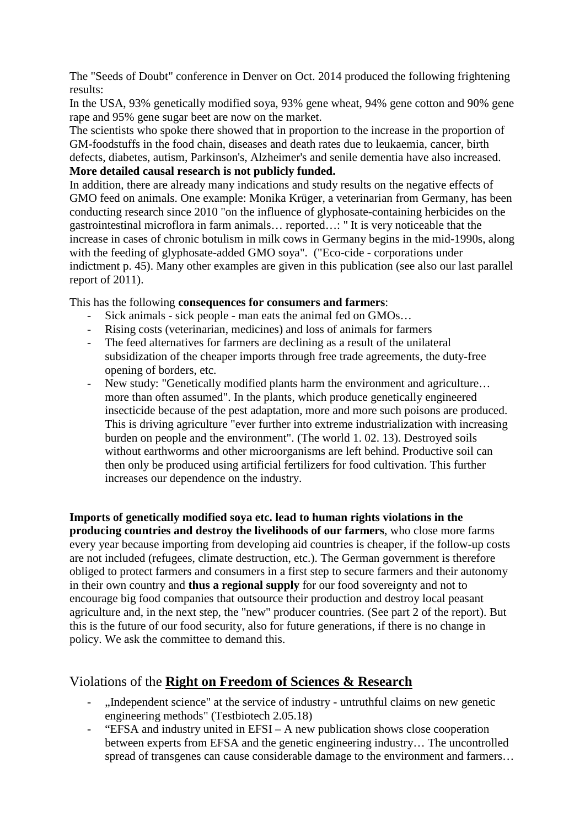[The](https://de.pons.com/übersetzung/englisch-deutsch/The) ["Seeds](https://de.pons.com/übersetzung/englisch-deutsch/Seeds) [of](https://de.pons.com/übersetzung/englisch-deutsch/of) [Doubt"](https://de.pons.com/übersetzung/englisch-deutsch/Doubt) [conference](https://de.pons.com/übersetzung/englisch-deutsch/conference) [in](https://de.pons.com/übersetzung/englisch-deutsch/in) [Denver](https://de.pons.com/übersetzung/englisch-deutsch/Denver) [on](https://de.pons.com/übersetzung/englisch-deutsch/on) [Oct.](https://de.pons.com/übersetzung/englisch-deutsch/Oct) 2014 [produced](https://de.pons.com/übersetzung/englisch-deutsch/produced) [the](https://de.pons.com/übersetzung/englisch-deutsch/the) [following](https://de.pons.com/übersetzung/englisch-deutsch/following) [frightening](https://de.pons.com/übersetzung/englisch-deutsch/frightening) [results:](https://de.pons.com/übersetzung/englisch-deutsch/results)

[In](https://de.pons.com/übersetzung/englisch-deutsch/In) [the](https://de.pons.com/übersetzung/englisch-deutsch/the) [USA,](https://de.pons.com/übersetzung/englisch-deutsch/USA) 93% [genetically](https://de.pons.com/übersetzung/englisch-deutsch/genetically) [modified](https://de.pons.com/übersetzung/englisch-deutsch/modified) [soya,](https://de.pons.com/übersetzung/englisch-deutsch/soya) 93% [gene](https://de.pons.com/übersetzung/englisch-deutsch/gene) [wheat,](https://de.pons.com/übersetzung/englisch-deutsch/wheat) 94% [gene](https://de.pons.com/übersetzung/englisch-deutsch/gene) [cotton](https://de.pons.com/übersetzung/englisch-deutsch/cotton) [and](https://de.pons.com/übersetzung/englisch-deutsch/and) 90% [gene](https://de.pons.com/übersetzung/englisch-deutsch/gene) [rape](https://de.pons.com/übersetzung/englisch-deutsch/rape) [and](https://de.pons.com/übersetzung/englisch-deutsch/and) 95% [gene](https://de.pons.com/übersetzung/englisch-deutsch/gene) [sugar](https://de.pons.com/übersetzung/englisch-deutsch/sugar) [beet](https://de.pons.com/übersetzung/englisch-deutsch/eet) [are](https://de.pons.com/übersetzung/englisch-deutsch/are) [now](https://de.pons.com/übersetzung/englisch-deutsch/now) [on](https://de.pons.com/übersetzung/englisch-deutsch/on) [the](https://de.pons.com/übersetzung/englisch-deutsch/the) [market.](https://de.pons.com/übersetzung/englisch-deutsch/market)

[The](https://de.pons.com/übersetzung/englisch-deutsch/The) [scientists](https://de.pons.com/übersetzung/englisch-deutsch/scientists) [who](https://de.pons.com/übersetzung/englisch-deutsch/who) [spoke](https://de.pons.com/übersetzung/englisch-deutsch/spoke) [there](https://de.pons.com/übersetzung/englisch-deutsch/there) [showed](https://de.pons.com/übersetzung/englisch-deutsch/showed) [that](https://de.pons.com/übersetzung/englisch-deutsch/that) [in](https://de.pons.com/übersetzung/englisch-deutsch/in) [proportion](https://de.pons.com/übersetzung/englisch-deutsch/proportion) [to](https://de.pons.com/übersetzung/englisch-deutsch/to) [the](https://de.pons.com/übersetzung/englisch-deutsch/the) [increase](https://de.pons.com/übersetzung/englisch-deutsch/increase) [in](https://de.pons.com/übersetzung/englisch-deutsch/in) [the](https://de.pons.com/übersetzung/englisch-deutsch/the) [proportion](https://de.pons.com/übersetzung/englisch-deutsch/proportion) [of](https://de.pons.com/übersetzung/englisch-deutsch/of) GM[-foodstuffs](https://de.pons.com/übersetzung/englisch-deutsch/foodstuffs) [in](https://de.pons.com/übersetzung/englisch-deutsch/in) [the](https://de.pons.com/übersetzung/englisch-deutsch/the) [food](https://de.pons.com/übersetzung/englisch-deutsch/food) [chain,](https://de.pons.com/übersetzung/englisch-deutsch/chain) [diseases](https://de.pons.com/übersetzung/englisch-deutsch/diseases) [and](https://de.pons.com/übersetzung/englisch-deutsch/and) [death](https://de.pons.com/übersetzung/englisch-deutsch/death) [rates](https://de.pons.com/übersetzung/englisch-deutsch/rates) [due](https://de.pons.com/übersetzung/englisch-deutsch/due) [to](https://de.pons.com/übersetzung/englisch-deutsch/to) [leukaemia,](https://de.pons.com/übersetzung/englisch-deutsch/leukaemia) [cancer,](https://de.pons.com/übersetzung/englisch-deutsch/cancer) [birth](https://de.pons.com/übersetzung/englisch-deutsch/irth) [defects,](https://de.pons.com/übersetzung/englisch-deutsch/defects) [diabetes,](https://de.pons.com/übersetzung/englisch-deutsch/diabetes) [autism,](https://de.pons.com/übersetzung/englisch-deutsch/autism) [Parkinson's,](https://de.pons.com/übersetzung/englisch-deutsch/Parkinson) [Alzheimer's](https://de.pons.com/übersetzung/englisch-deutsch/Alzheimer) [and](https://de.pons.com/übersetzung/englisch-deutsch/and) [senile](https://de.pons.com/übersetzung/englisch-deutsch/senile) [dementia](https://de.pons.com/übersetzung/englisch-deutsch/dementia) [have](https://de.pons.com/übersetzung/englisch-deutsch/have) [also](https://de.pons.com/übersetzung/englisch-deutsch/also) [increased.](https://de.pons.com/übersetzung/englisch-deutsch/increased) **[More](https://de.pons.com/übersetzung/englisch-deutsch/More) [detailed](https://de.pons.com/übersetzung/englisch-deutsch/detailed) [causal](https://de.pons.com/übersetzung/englisch-deutsch/causal) [research](https://de.pons.com/übersetzung/englisch-deutsch/research) [is](https://de.pons.com/übersetzung/englisch-deutsch/is) [not](https://de.pons.com/übersetzung/englisch-deutsch/not) [publicly](https://de.pons.com/übersetzung/englisch-deutsch/publicly) [funded.](https://de.pons.com/übersetzung/englisch-deutsch/funded)**

In [addition,](https://de.pons.com/übersetzung/englisch-deutsch/addition) [there](https://de.pons.com/übersetzung/englisch-deutsch/there) [are](https://de.pons.com/übersetzung/englisch-deutsch/are) [already](https://de.pons.com/übersetzung/englisch-deutsch/already) [many](https://de.pons.com/übersetzung/englisch-deutsch/many) [indications](https://de.pons.com/übersetzung/englisch-deutsch/indications) [and](https://de.pons.com/übersetzung/englisch-deutsch/and) [study](https://de.pons.com/übersetzung/englisch-deutsch/study) [results](https://de.pons.com/übersetzung/englisch-deutsch/results) [on](https://de.pons.com/übersetzung/englisch-deutsch/on) [the](https://de.pons.com/übersetzung/englisch-deutsch/the) [negative](https://de.pons.com/übersetzung/englisch-deutsch/negative) [effects](https://de.pons.com/übersetzung/englisch-deutsch/effects) [of](https://de.pons.com/übersetzung/englisch-deutsch/of) [GMO](https://de.pons.com/übersetzung/englisch-deutsch/GMO) [feed](https://de.pons.com/übersetzung/englisch-deutsch/feed) [on](https://de.pons.com/übersetzung/englisch-deutsch/on) [animals.](https://de.pons.com/übersetzung/englisch-deutsch/animals) [One](https://de.pons.com/übersetzung/englisch-deutsch/One) [example:](https://de.pons.com/übersetzung/englisch-deutsch/example) [Monika](https://de.pons.com/übersetzung/englisch-deutsch/Monika) [Krüger,](https://de.pons.com/übersetzung/englisch-deutsch/Krüger) [a](https://de.pons.com/übersetzung/englisch-deutsch/a) [veterinarian](https://de.pons.com/übersetzung/englisch-deutsch/veterinarian) [from](https://de.pons.com/übersetzung/englisch-deutsch/from) [Germany,](https://de.pons.com/übersetzung/englisch-deutsch/Germany) [has](https://de.pons.com/übersetzung/englisch-deutsch/has) [been](https://de.pons.com/übersetzung/englisch-deutsch/een) [conducting](https://de.pons.com/übersetzung/englisch-deutsch/conducting) [research](https://de.pons.com/übersetzung/englisch-deutsch/research) [since](https://de.pons.com/übersetzung/englisch-deutsch/since) 2010 ["on](https://de.pons.com/übersetzung/englisch-deutsch/on) [the](https://de.pons.com/übersetzung/englisch-deutsch/the) [influence](https://de.pons.com/übersetzung/englisch-deutsch/influence) [of](https://de.pons.com/übersetzung/englisch-deutsch/of) [glyphosate-containing](https://de.pons.com/übersetzung/englisch-deutsch/glyphosate-containing) [herbicides](https://de.pons.com/übersetzung/englisch-deutsch/herbicides) [on](https://de.pons.com/übersetzung/englisch-deutsch/on) [the](https://de.pons.com/übersetzung/englisch-deutsch/the) [gastrointestinal](https://de.pons.com/übersetzung/englisch-deutsch/gastrointestinal) [microflora](https://de.pons.com/übersetzung/englisch-deutsch/microflora) [in](https://de.pons.com/übersetzung/englisch-deutsch/in) [farm](https://de.pons.com/übersetzung/englisch-deutsch/farm) [animals…](https://de.pons.com/übersetzung/englisch-deutsch/animals) [reported](https://de.pons.com/übersetzung/englisch-deutsch/reported)[…:](https://de.pons.com/übersetzung/englisch-deutsch/:) " It is very noticeable that the increase in cases of chronic botulism in milk cows in Germany begins in the mid-1990s, [along](https://de.pons.com/übersetzung/englisch-deutsch/along) [with](https://de.pons.com/übersetzung/englisch-deutsch/with) [the](https://de.pons.com/übersetzung/englisch-deutsch/the) [feeding](https://de.pons.com/übersetzung/englisch-deutsch/feeding) [of](https://de.pons.com/übersetzung/englisch-deutsch/of) [glyphosate-added](https://de.pons.com/übersetzung/englisch-deutsch/glyphosate-added) [GMO](https://de.pons.com/übersetzung/englisch-deutsch/GMO) [soya"](https://de.pons.com/übersetzung/englisch-deutsch/soya). (["Eco-cide](https://de.pons.com/übersetzung/englisch-deutsch/Eco-cide) [-](https://de.pons.com/übersetzung/englisch-deutsch/-) [corporations](https://de.pons.com/übersetzung/englisch-deutsch/corporations) [under](https://de.pons.com/übersetzung/englisch-deutsch/nder) [indictment](https://de.pons.com/übersetzung/englisch-deutsch/indictment) [p.](https://de.pons.com/übersetzung/englisch-deutsch/p.) 45). [Many](https://de.pons.com/übersetzung/englisch-deutsch/Many) [other](https://de.pons.com/übersetzung/englisch-deutsch/other) [examples](https://de.pons.com/übersetzung/englisch-deutsch/examples) [are](https://de.pons.com/übersetzung/englisch-deutsch/are) [given](https://de.pons.com/übersetzung/englisch-deutsch/given) [in](https://de.pons.com/übersetzung/englisch-deutsch/in) [this](https://de.pons.com/übersetzung/englisch-deutsch/this) publication [\(see](https://de.pons.com/übersetzung/englisch-deutsch/see) [also](https://de.pons.com/übersetzung/englisch-deutsch/also) [our](https://de.pons.com/übersetzung/englisch-deutsch/our) [last](https://de.pons.com/übersetzung/englisch-deutsch/last) [parallel](https://de.pons.com/übersetzung/englisch-deutsch/parallel) [report](https://de.pons.com/übersetzung/englisch-deutsch/report) [of](https://de.pons.com/übersetzung/englisch-deutsch/of) 2011).

[This](https://de.pons.com/übersetzung/englisch-deutsch/This) [has](https://de.pons.com/übersetzung/englisch-deutsch/has) [the](https://de.pons.com/übersetzung/englisch-deutsch/the) [following](https://de.pons.com/übersetzung/englisch-deutsch/following) **[consequences](https://de.pons.com/übersetzung/englisch-deutsch/consequences) [for](https://de.pons.com/übersetzung/englisch-deutsch/for) [consumers](https://de.pons.com/übersetzung/englisch-deutsch/consumers) [and](https://de.pons.com/übersetzung/englisch-deutsch/and) [farmers](https://de.pons.com/übersetzung/englisch-deutsch/farmers)**:

- [Sick](https://de.pons.com/übersetzung/englisch-deutsch/Sick) [animals](https://de.pons.com/übersetzung/englisch-deutsch/animals) [-](https://de.pons.com/übersetzung/englisch-deutsch/-) [sick](https://de.pons.com/übersetzung/englisch-deutsch/sick) [people](https://de.pons.com/übersetzung/englisch-deutsch/people) [-](https://de.pons.com/übersetzung/englisch-deutsch/-) [man](https://de.pons.com/übersetzung/englisch-deutsch/man) [eats](https://de.pons.com/übersetzung/englisch-deutsch/eats) [the](https://de.pons.com/übersetzung/englisch-deutsch/the) [animal](https://de.pons.com/übersetzung/englisch-deutsch/animal) [fed](https://de.pons.com/übersetzung/englisch-deutsch/fed) [on](https://de.pons.com/übersetzung/englisch-deutsch/on) [GMOs…](https://de.pons.com/übersetzung/englisch-deutsch/GMOs)
- [Rising](https://de.pons.com/übersetzung/englisch-deutsch/Rising) [costs](https://de.pons.com/übersetzung/englisch-deutsch/costs) [\(veterinarian,](https://de.pons.com/übersetzung/englisch-deutsch/veterinarian) [medicines\)](https://de.pons.com/übersetzung/englisch-deutsch/medicines) [and](https://de.pons.com/übersetzung/englisch-deutsch/and) [loss](https://de.pons.com/übersetzung/englisch-deutsch/loss) [of](https://de.pons.com/übersetzung/englisch-deutsch/of) [animals](https://de.pons.com/übersetzung/englisch-deutsch/animals) [for](https://de.pons.com/übersetzung/englisch-deutsch/for) [farmers](https://de.pons.com/übersetzung/englisch-deutsch/farmers)
- [The](https://de.pons.com/übersetzung/englisch-deutsch/The) [feed](https://de.pons.com/übersetzung/englisch-deutsch/feed) [alternatives](https://de.pons.com/übersetzung/englisch-deutsch/alternatives) [for](https://de.pons.com/übersetzung/englisch-deutsch/for) [farmers](https://de.pons.com/übersetzung/englisch-deutsch/farmers) [are](https://de.pons.com/übersetzung/englisch-deutsch/are) [declining](https://de.pons.com/übersetzung/englisch-deutsch/declining) [as](https://de.pons.com/übersetzung/englisch-deutsch/as) [a](https://de.pons.com/übersetzung/englisch-deutsch/a) [result](https://de.pons.com/übersetzung/englisch-deutsch/result) [of](https://de.pons.com/übersetzung/englisch-deutsch/of) [the](https://de.pons.com/übersetzung/englisch-deutsch/the) [unilateral](https://de.pons.com/übersetzung/englisch-deutsch/nilateral) [subsidization](https://de.pons.com/übersetzung/englisch-deutsch/subsidisation) [of](https://de.pons.com/übersetzung/englisch-deutsch/of) [the](https://de.pons.com/übersetzung/englisch-deutsch/the) [cheaper](https://de.pons.com/übersetzung/englisch-deutsch/cheaper) [imports](https://de.pons.com/übersetzung/englisch-deutsch/imports) [through](https://de.pons.com/übersetzung/englisch-deutsch/through) [free](https://de.pons.com/übersetzung/englisch-deutsch/free) [trade](https://de.pons.com/übersetzung/englisch-deutsch/trade) [agreements,](https://de.pons.com/übersetzung/englisch-deutsch/agreements) [the](https://de.pons.com/übersetzung/englisch-deutsch/the) [duty-free](https://de.pons.com/übersetzung/englisch-deutsch/duty-free) [opening](https://de.pons.com/übersetzung/englisch-deutsch/opening) [of](https://de.pons.com/übersetzung/englisch-deutsch/of) [borders,](https://de.pons.com/übersetzung/englisch-deutsch/orders) [etc.](https://de.pons.com/übersetzung/englisch-deutsch/etc)
- [New](https://de.pons.com/übersetzung/englisch-deutsch/New) [study:](https://de.pons.com/übersetzung/englisch-deutsch/study) ["Genetically](https://de.pons.com/übersetzung/englisch-deutsch/Genetically) [modified](https://de.pons.com/übersetzung/englisch-deutsch/modified) [plants](https://de.pons.com/übersetzung/englisch-deutsch/plants) [harm](https://de.pons.com/übersetzung/englisch-deutsch/harm) [the](https://de.pons.com/übersetzung/englisch-deutsch/the) [environment](https://de.pons.com/übersetzung/englisch-deutsch/environment) [and](https://de.pons.com/übersetzung/englisch-deutsch/and) agriculture... [more](https://de.pons.com/übersetzung/englisch-deutsch/more) [than](https://de.pons.com/übersetzung/englisch-deutsch/than) [often](https://de.pons.com/übersetzung/englisch-deutsch/often) [assumed"](https://de.pons.com/übersetzung/englisch-deutsch/assumed). In the plants, which produce genetically engineered insecticide because of the pest adaptation, more and more such poisons are produced. [This](https://de.pons.com/übersetzung/englisch-deutsch/This) [is](https://de.pons.com/übersetzung/englisch-deutsch/is) [driving](https://de.pons.com/übersetzung/englisch-deutsch/driving) [agriculture](https://de.pons.com/übersetzung/englisch-deutsch/agriculture) ["ever](https://de.pons.com/übersetzung/englisch-deutsch/ever) [further](https://de.pons.com/übersetzung/englisch-deutsch/further) [into](https://de.pons.com/übersetzung/englisch-deutsch/into) [extreme](https://de.pons.com/übersetzung/englisch-deutsch/extreme) [industrialization](https://de.pons.com/übersetzung/englisch-deutsch/industrialisation) [with](https://de.pons.com/übersetzung/englisch-deutsch/with) [increasing](https://de.pons.com/übersetzung/englisch-deutsch/increasing) b[urden](https://de.pons.com/übersetzung/englisch-deutsch/rden) [on](https://de.pons.com/übersetzung/englisch-deutsch/on) [people](https://de.pons.com/übersetzung/englisch-deutsch/people) [and](https://de.pons.com/übersetzung/englisch-deutsch/and) [the](https://de.pons.com/übersetzung/englisch-deutsch/the) [environment"](https://de.pons.com/übersetzung/englisch-deutsch/environment). [\(The](https://de.pons.com/übersetzung/englisch-deutsch/The) [world](https://de.pons.com/übersetzung/englisch-deutsch/world) [1.](https://de.pons.com/übersetzung/englisch-deutsch/1.) [02.](https://de.pons.com/übersetzung/englisch-deutsch/2.) 13). [Destroyed](https://de.pons.com/übersetzung/englisch-deutsch/Destroyed) [soils](https://de.pons.com/übersetzung/englisch-deutsch/soils) [without](https://de.pons.com/übersetzung/englisch-deutsch/without) [earthworms](https://de.pons.com/übersetzung/englisch-deutsch/earthworms) [and](https://de.pons.com/übersetzung/englisch-deutsch/and) [other](https://de.pons.com/übersetzung/englisch-deutsch/other) [microorganisms](https://de.pons.com/übersetzung/englisch-deutsch/microorganisms) [are](https://de.pons.com/übersetzung/englisch-deutsch/are) [left](https://de.pons.com/übersetzung/englisch-deutsch/left) [behind.](https://de.pons.com/übersetzung/englisch-deutsch/ehind) [Productive](https://de.pons.com/übersetzung/englisch-deutsch/Productive) [soil](https://de.pons.com/übersetzung/englisch-deutsch/soil) [can](https://de.pons.com/übersetzung/englisch-deutsch/can) [then](https://de.pons.com/übersetzung/englisch-deutsch/then) [only](https://de.pons.com/übersetzung/englisch-deutsch/only) [be](https://de.pons.com/übersetzung/englisch-deutsch/be) [produced](https://de.pons.com/übersetzung/englisch-deutsch/produced) [using](https://de.pons.com/übersetzung/englisch-deutsch/sing) [artificial](https://de.pons.com/übersetzung/englisch-deutsch/artificial) [fertilizers](https://de.pons.com/übersetzung/englisch-deutsch/fertilizers) [for](https://de.pons.com/übersetzung/englisch-deutsch/for) [food](https://de.pons.com/übersetzung/englisch-deutsch/food) [cultivation.](https://de.pons.com/übersetzung/englisch-deutsch/cultivation) [This](https://de.pons.com/übersetzung/englisch-deutsch/This) [further](https://de.pons.com/übersetzung/englisch-deutsch/further) [increases](https://de.pons.com/übersetzung/englisch-deutsch/increases) [our](https://de.pons.com/übersetzung/englisch-deutsch/our) [dependence](https://de.pons.com/übersetzung/englisch-deutsch/dependence) [on](https://de.pons.com/übersetzung/englisch-deutsch/on) the [industry.](https://de.pons.com/übersetzung/englisch-deutsch/industry)

**[Imports](https://de.pons.com/übersetzung/englisch-deutsch/Imports) [of](https://de.pons.com/übersetzung/englisch-deutsch/of) [genetically](https://de.pons.com/übersetzung/englisch-deutsch/genetically) [modified](https://de.pons.com/übersetzung/englisch-deutsch/modified) [soya](https://de.pons.com/übersetzung/englisch-deutsch/soya) [etc.](https://de.pons.com/übersetzung/englisch-deutsch/etc) [lead](https://de.pons.com/übersetzung/englisch-deutsch/lead) [to](https://de.pons.com/übersetzung/englisch-deutsch/to) [human](https://de.pons.com/übersetzung/englisch-deutsch/human) [rights](https://de.pons.com/übersetzung/englisch-deutsch/rights) [violations](https://de.pons.com/übersetzung/englisch-deutsch/violations) [in](https://de.pons.com/übersetzung/englisch-deutsch/in) [the](https://de.pons.com/übersetzung/englisch-deutsch/the) [producing](https://de.pons.com/übersetzung/englisch-deutsch/producing) [countries](https://de.pons.com/übersetzung/englisch-deutsch/countries) [and](https://de.pons.com/übersetzung/englisch-deutsch/and) [destroy](https://de.pons.com/übersetzung/englisch-deutsch/destroy) [the](https://de.pons.com/übersetzung/englisch-deutsch/the) [livelihoods](https://de.pons.com/übersetzung/englisch-deutsch/livelihoods) [of](https://de.pons.com/übersetzung/englisch-deutsch/of) [our](https://de.pons.com/übersetzung/englisch-deutsch/our) [farmers](https://de.pons.com/übersetzung/englisch-deutsch/farmers)**, [who](https://de.pons.com/übersetzung/englisch-deutsch/who) [close](https://de.pons.com/übersetzung/englisch-deutsch/close) [more](https://de.pons.com/übersetzung/englisch-deutsch/more) [farms](https://de.pons.com/übersetzung/englisch-deutsch/farms) [every](https://de.pons.com/übersetzung/englisch-deutsch/every) [year](https://de.pons.com/übersetzung/englisch-deutsch/year) [because](https://de.pons.com/übersetzung/englisch-deutsch/ecause) [importing](https://de.pons.com/übersetzung/englisch-deutsch/importing) [from](https://de.pons.com/übersetzung/englisch-deutsch/from) [developing](https://de.pons.com/übersetzung/englisch-deutsch/developing) [aid](https://de.pons.com/übersetzung/englisch-deutsch/aid) [countries](https://de.pons.com/übersetzung/englisch-deutsch/countries) [is](https://de.pons.com/übersetzung/englisch-deutsch/is) [cheaper,](https://de.pons.com/übersetzung/englisch-deutsch/cheaper) [if](https://de.pons.com/übersetzung/englisch-deutsch/if) [the](https://de.pons.com/übersetzung/englisch-deutsch/the) [follow-up](https://de.pons.com/übersetzung/englisch-deutsch/follow-up) [costs](https://de.pons.com/übersetzung/englisch-deutsch/costs) [are](https://de.pons.com/übersetzung/englisch-deutsch/are) [not](https://de.pons.com/übersetzung/englisch-deutsch/not) [included](https://de.pons.com/übersetzung/englisch-deutsch/included) [\(refugees,](https://de.pons.com/übersetzung/englisch-deutsch/refugees) [climate](https://de.pons.com/übersetzung/englisch-deutsch/climate) [destruction,](https://de.pons.com/übersetzung/englisch-deutsch/destruction) [etc.](https://de.pons.com/übersetzung/englisch-deutsch/etc)[\).](https://de.pons.com/übersetzung/englisch-deutsch/).) The German government is therefore obliged to protect farmers and consumers in a first step to secure farmers and their autonomy in their own country and **thus a regional supply** for our food sovereignty and not to encourage big food companies that outsource their production and destroy local peasant agriculture and, in the next step, the "new" producer countries. [\(See](https://de.pons.com/übersetzung/englisch-deutsch/see) [part](https://de.pons.com/übersetzung/englisch-deutsch/part) 2 [of](https://de.pons.com/übersetzung/englisch-deutsch/of) [the](https://de.pons.com/übersetzung/englisch-deutsch/the) [report\)](https://de.pons.com/übersetzung/englisch-deutsch/report). [But](https://de.pons.com/übersetzung/englisch-deutsch/But) [this](https://de.pons.com/übersetzung/englisch-deutsch/this) [is](https://de.pons.com/übersetzung/englisch-deutsch/is) [the](https://de.pons.com/übersetzung/englisch-deutsch/the) [future](https://de.pons.com/übersetzung/englisch-deutsch/future) [of](https://de.pons.com/übersetzung/englisch-deutsch/of) [our](https://de.pons.com/übersetzung/englisch-deutsch/our) [food](https://de.pons.com/übersetzung/englisch-deutsch/food) [security,](https://de.pons.com/übersetzung/englisch-deutsch/security) [also](https://de.pons.com/übersetzung/englisch-deutsch/also) [for](https://de.pons.com/übersetzung/englisch-deutsch/for) [future](https://de.pons.com/übersetzung/englisch-deutsch/future) [generations,](https://de.pons.com/übersetzung/englisch-deutsch/generations) [if](https://de.pons.com/übersetzung/englisch-deutsch/if) [there](https://de.pons.com/übersetzung/englisch-deutsch/there) [is](https://de.pons.com/übersetzung/englisch-deutsch/is) [no](https://de.pons.com/übersetzung/englisch-deutsch/no) [change](https://de.pons.com/übersetzung/englisch-deutsch/change) [in](https://de.pons.com/übersetzung/englisch-deutsch/in) [policy.](https://de.pons.com/übersetzung/englisch-deutsch/policy) [We](https://de.pons.com/übersetzung/englisch-deutsch/We) [ask](https://de.pons.com/übersetzung/englisch-deutsch/ask) [the](https://de.pons.com/übersetzung/englisch-deutsch/the) [committee](https://de.pons.com/übersetzung/englisch-deutsch/committee) [to](https://de.pons.com/übersetzung/englisch-deutsch/to) [demand](https://de.pons.com/übersetzung/englisch-deutsch/demand) [this.](https://de.pons.com/übersetzung/englisch-deutsch/this)

### Violations of the **Right on Freedom of Sciences & Research**

- ...Independent [science"](https://de.pons.com/übersetzung/englisch-deutsch/science) [at](https://de.pons.com/übersetzung/englisch-deutsch/at) [the](https://de.pons.com/übersetzung/englisch-deutsch/the) [service](https://de.pons.com/übersetzung/englisch-deutsch/service) [of](https://de.pons.com/übersetzung/englisch-deutsch/of) [industry](https://de.pons.com/übersetzung/englisch-deutsch/industry) [-](https://de.pons.com/übersetzung/englisch-deutsch/-) [untruthful](https://de.pons.com/übersetzung/englisch-deutsch/ntruthful) [claims](https://de.pons.com/übersetzung/englisch-deutsch/claims) [on](https://de.pons.com/übersetzung/englisch-deutsch/on) [new](https://de.pons.com/übersetzung/englisch-deutsch/new) [genetic](https://de.pons.com/übersetzung/englisch-deutsch/genetic) [engineering](https://de.pons.com/übersetzung/englisch-deutsch/engineering) [methods"](https://de.pons.com/übersetzung/englisch-deutsch/methods) (Testbiotech 2.05.18)
- ["EFSA](https://de.pons.com/übersetzung/englisch-deutsch/EFSA) [and](https://de.pons.com/übersetzung/englisch-deutsch/and) [industry](https://de.pons.com/übersetzung/englisch-deutsch/industry) [united](https://de.pons.com/übersetzung/englisch-deutsch/nited) [in](https://de.pons.com/übersetzung/englisch-deutsch/in) [EFSI](https://de.pons.com/übersetzung/englisch-deutsch/EFSI) [–](https://de.pons.com/übersetzung/englisch-deutsch/-) A [ne](https://de.pons.com/übersetzung/englisch-deutsch/New)w [publication](https://de.pons.com/übersetzung/englisch-deutsch/publication) [shows](https://de.pons.com/übersetzung/englisch-deutsch/shows) [close](https://de.pons.com/übersetzung/englisch-deutsch/close) [cooperation](https://de.pons.com/übersetzung/englisch-deutsch/cooperation) [between](https://de.pons.com/übersetzung/englisch-deutsch/etween) [experts](https://de.pons.com/übersetzung/englisch-deutsch/experts) [from](https://de.pons.com/übersetzung/englisch-deutsch/from) [EFSA](https://de.pons.com/übersetzung/englisch-deutsch/EFSA) [and](https://de.pons.com/übersetzung/englisch-deutsch/and) [the](https://de.pons.com/übersetzung/englisch-deutsch/the) [genetic](https://de.pons.com/übersetzung/englisch-deutsch/genetic) [engineering](https://de.pons.com/übersetzung/englisch-deutsch/engineering) [industry…](https://de.pons.com/übersetzung/englisch-deutsch/industry) [The](https://de.pons.com/übersetzung/englisch-deutsch/The) [uncontrolled](https://de.pons.com/übersetzung/englisch-deutsch/ncontrolled) [spread](https://de.pons.com/übersetzung/englisch-deutsch/spread) [of](https://de.pons.com/übersetzung/englisch-deutsch/of) [transgenes](https://de.pons.com/übersetzung/englisch-deutsch/transgenes) [can](https://de.pons.com/übersetzung/englisch-deutsch/can) [cause](https://de.pons.com/übersetzung/englisch-deutsch/cause) [considerable](https://de.pons.com/übersetzung/englisch-deutsch/considerable) [damage](https://de.pons.com/übersetzung/englisch-deutsch/damage) [to](https://de.pons.com/übersetzung/englisch-deutsch/to) [the](https://de.pons.com/übersetzung/englisch-deutsch/the) [environment](https://de.pons.com/übersetzung/englisch-deutsch/environment) [and](https://de.pons.com/übersetzung/englisch-deutsch/and) farmers...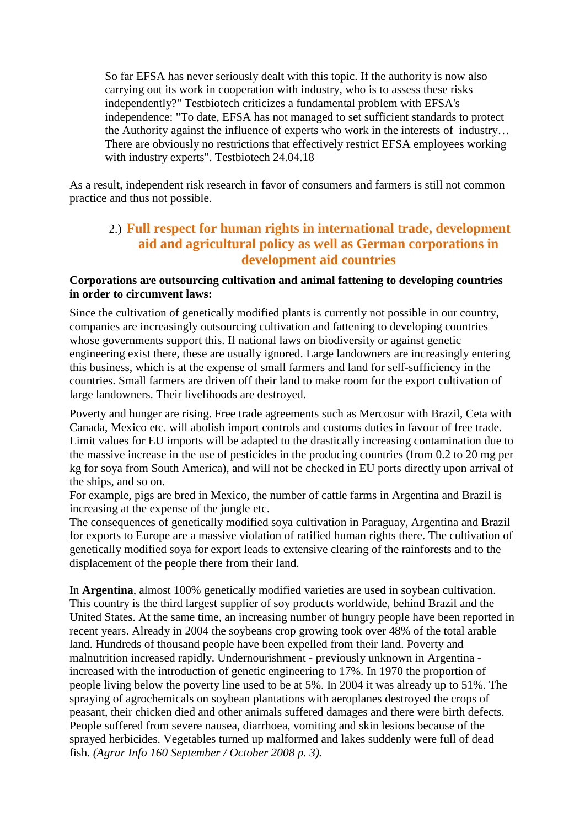[So](https://de.pons.com/übersetzung/englisch-deutsch/So) [far](https://de.pons.com/übersetzung/englisch-deutsch/far) [EFSA](https://de.pons.com/übersetzung/englisch-deutsch/EFSA) [has](https://de.pons.com/übersetzung/englisch-deutsch/has) [never](https://de.pons.com/übersetzung/englisch-deutsch/never) [seriously](https://de.pons.com/übersetzung/englisch-deutsch/seriously) [dealt](https://de.pons.com/übersetzung/englisch-deutsch/dealt) [with](https://de.pons.com/übersetzung/englisch-deutsch/with) [this](https://de.pons.com/übersetzung/englisch-deutsch/this) [topic.](https://de.pons.com/übersetzung/englisch-deutsch/topic) [If](https://de.pons.com/übersetzung/englisch-deutsch/If) [the](https://de.pons.com/übersetzung/englisch-deutsch/the) [authority](https://de.pons.com/übersetzung/englisch-deutsch/authority) [is](https://de.pons.com/übersetzung/englisch-deutsch/is) [now](https://de.pons.com/übersetzung/englisch-deutsch/now) [also](https://de.pons.com/übersetzung/englisch-deutsch/also) [carrying](https://de.pons.com/übersetzung/englisch-deutsch/carrying) [out](https://de.pons.com/übersetzung/englisch-deutsch/out) [its](https://de.pons.com/übersetzung/englisch-deutsch/its) [work](https://de.pons.com/übersetzung/englisch-deutsch/work) [in](https://de.pons.com/übersetzung/englisch-deutsch/in) [cooperation](https://de.pons.com/übersetzung/englisch-deutsch/cooperation) [with](https://de.pons.com/übersetzung/englisch-deutsch/with) [industry,](https://de.pons.com/übersetzung/englisch-deutsch/industry) [who](https://de.pons.com/übersetzung/englisch-deutsch/who) [is](https://de.pons.com/übersetzung/englisch-deutsch/is) [to](https://de.pons.com/übersetzung/englisch-deutsch/to) [assess](https://de.pons.com/übersetzung/englisch-deutsch/assess) [these](https://de.pons.com/übersetzung/englisch-deutsch/these) [risks](https://de.pons.com/übersetzung/englisch-deutsch/risks) [independently?](https://de.pons.com/übersetzung/englisch-deutsch/independently)" [Testbiotech](https://de.pons.com/übersetzung/englisch-deutsch/Testbiotech) [criticizes](https://de.pons.com/übersetzung/englisch-deutsch/criticises) [a](https://de.pons.com/übersetzung/englisch-deutsch/a) [fundamental](https://de.pons.com/übersetzung/englisch-deutsch/fundamental) [problem](https://de.pons.com/übersetzung/englisch-deutsch/problem) [with](https://de.pons.com/übersetzung/englisch-deutsch/with) [EFSA's](https://de.pons.com/übersetzung/englisch-deutsch/EFSA) [independence:](https://de.pons.com/übersetzung/englisch-deutsch/independence) ["To](https://de.pons.com/übersetzung/englisch-deutsch/To) [date,](https://de.pons.com/übersetzung/englisch-deutsch/date) [EFSA](https://de.pons.com/übersetzung/englisch-deutsch/EFSA) [has](https://de.pons.com/übersetzung/englisch-deutsch/has) [not](https://de.pons.com/übersetzung/englisch-deutsch/not) [managed](https://de.pons.com/übersetzung/englisch-deutsch/managed) [to](https://de.pons.com/übersetzung/englisch-deutsch/to) [set](https://de.pons.com/übersetzung/englisch-deutsch/set) [sufficient](https://de.pons.com/übersetzung/englisch-deutsch/sufficient) [standards](https://de.pons.com/übersetzung/englisch-deutsch/standards) [to](https://de.pons.com/übersetzung/englisch-deutsch/to) [protect](https://de.pons.com/übersetzung/englisch-deutsch/protect) [the](https://de.pons.com/übersetzung/englisch-deutsch/the) [Authority](https://de.pons.com/übersetzung/englisch-deutsch/Authority) [against](https://de.pons.com/übersetzung/englisch-deutsch/against) [the](https://de.pons.com/übersetzung/englisch-deutsch/the) [influence](https://de.pons.com/übersetzung/englisch-deutsch/influence) [of](https://de.pons.com/übersetzung/englisch-deutsch/of) [experts](https://de.pons.com/übersetzung/englisch-deutsch/experts) [who](https://de.pons.com/übersetzung/englisch-deutsch/who) [work](https://de.pons.com/übersetzung/englisch-deutsch/work) [in](https://de.pons.com/übersetzung/englisch-deutsch/in) [the](https://de.pons.com/übersetzung/englisch-deutsch/the) [interests](https://de.pons.com/übersetzung/englisch-deutsch/interests) [of](https://de.pons.com/übersetzung/englisch-deutsch/of) [industry…](https://de.pons.com/übersetzung/englisch-deutsch/industry) [There](https://de.pons.com/übersetzung/englisch-deutsch/There) [are](https://de.pons.com/übersetzung/englisch-deutsch/are) [obviously](https://de.pons.com/übersetzung/englisch-deutsch/obviously) [no](https://de.pons.com/übersetzung/englisch-deutsch/no) [restrictions](https://de.pons.com/übersetzung/englisch-deutsch/restrictions) [that](https://de.pons.com/übersetzung/englisch-deutsch/that) [effectively](https://de.pons.com/übersetzung/englisch-deutsch/effectively) [restrict](https://de.pons.com/übersetzung/englisch-deutsch/restrict) [EFSA](https://de.pons.com/übersetzung/englisch-deutsch/EFSA) [employees](https://de.pons.com/übersetzung/englisch-deutsch/employees) [working](https://de.pons.com/übersetzung/englisch-deutsch/working) [with](https://de.pons.com/übersetzung/englisch-deutsch/with) [industry](https://de.pons.com/übersetzung/englisch-deutsch/industry) [experts"](https://de.pons.com/übersetzung/englisch-deutsch/experts). Testbiotech 24.04.18

As a result, independent risk research in favor of consumers and farmers is still not common practice and thus not possible.

### 2.) **[Full](https://de.pons.com/übersetzung/englisch-deutsch/Full) [respect](https://de.pons.com/übersetzung/englisch-deutsch/respect) [for](https://de.pons.com/übersetzung/englisch-deutsch/for) [human](https://de.pons.com/übersetzung/englisch-deutsch/human) [rights](https://de.pons.com/übersetzung/englisch-deutsch/rights) [in](https://de.pons.com/übersetzung/englisch-deutsch/in) [international](https://de.pons.com/übersetzung/englisch-deutsch/international) [trade,](https://de.pons.com/übersetzung/englisch-deutsch/trade) [development](https://de.pons.com/übersetzung/englisch-deutsch/development) [aid](https://de.pons.com/übersetzung/englisch-deutsch/aid) [and](https://de.pons.com/übersetzung/englisch-deutsch/and) [agricultural](https://de.pons.com/übersetzung/englisch-deutsch/agricultural) [policy](https://de.pons.com/übersetzung/englisch-deutsch/policy) [as](https://de.pons.com/übersetzung/englisch-deutsch/as) [well](https://de.pons.com/übersetzung/englisch-deutsch/well) [as](https://de.pons.com/übersetzung/englisch-deutsch/as) [German](https://de.pons.com/übersetzung/englisch-deutsch/German) [corporations](https://de.pons.com/übersetzung/englisch-deutsch/corporations) [in](https://de.pons.com/übersetzung/englisch-deutsch/in) [development](https://de.pons.com/übersetzung/englisch-deutsch/development) [aid](https://de.pons.com/übersetzung/englisch-deutsch/aid) [countries](https://de.pons.com/übersetzung/englisch-deutsch/countries)**

### **[Corporations](https://de.pons.com/übersetzung/englisch-deutsch/Corporations) [are](https://de.pons.com/übersetzung/englisch-deutsch/are) [outsourcing](https://de.pons.com/übersetzung/englisch-deutsch/outsourcing) [cultivation](https://de.pons.com/übersetzung/englisch-deutsch/cultivation) [and](https://de.pons.com/übersetzung/englisch-deutsch/and) [animal](https://de.pons.com/übersetzung/englisch-deutsch/animal) [fattening](https://de.pons.com/übersetzung/englisch-deutsch/fattening) [to](https://de.pons.com/übersetzung/englisch-deutsch/to) [developing](https://de.pons.com/übersetzung/englisch-deutsch/developing) [countries](https://de.pons.com/übersetzung/englisch-deutsch/countries) [in](https://de.pons.com/übersetzung/englisch-deutsch/in) [order](https://de.pons.com/übersetzung/englisch-deutsch/order) [to](https://de.pons.com/übersetzung/englisch-deutsch/to) [circumvent](https://de.pons.com/übersetzung/englisch-deutsch/circumvent) [laws:](https://de.pons.com/übersetzung/englisch-deutsch/laws)**

[Since](https://de.pons.com/übersetzung/englisch-deutsch/Since) [the](https://de.pons.com/übersetzung/englisch-deutsch/the) [cultivation](https://de.pons.com/übersetzung/englisch-deutsch/cultivation) [of](https://de.pons.com/übersetzung/englisch-deutsch/of) [genetically](https://de.pons.com/übersetzung/englisch-deutsch/genetically) [modified](https://de.pons.com/übersetzung/englisch-deutsch/modified) [plants](https://de.pons.com/übersetzung/englisch-deutsch/plants) [is](https://de.pons.com/übersetzung/englisch-deutsch/is) [currently](https://de.pons.com/übersetzung/englisch-deutsch/currently) [not](https://de.pons.com/übersetzung/englisch-deutsch/not) [possible](https://de.pons.com/übersetzung/englisch-deutsch/possible) [in](https://de.pons.com/übersetzung/englisch-deutsch/in) [our](https://de.pons.com/übersetzung/englisch-deutsch/our) [country,](https://de.pons.com/übersetzung/englisch-deutsch/country) [companies](https://de.pons.com/übersetzung/englisch-deutsch/companies) [are](https://de.pons.com/übersetzung/englisch-deutsch/are) [increasingly](https://de.pons.com/übersetzung/englisch-deutsch/increasingly) [outsourcing](https://de.pons.com/übersetzung/englisch-deutsch/outsourcing) [cultivation](https://de.pons.com/übersetzung/englisch-deutsch/cultivation) [and](https://de.pons.com/übersetzung/englisch-deutsch/and) [fattening](https://de.pons.com/übersetzung/englisch-deutsch/fattening) [to](https://de.pons.com/übersetzung/englisch-deutsch/to) [developing](https://de.pons.com/übersetzung/englisch-deutsch/developing) [countries](https://de.pons.com/übersetzung/englisch-deutsch/countries) [whose](https://de.pons.com/übersetzung/englisch-deutsch/whose) [governments](https://de.pons.com/übersetzung/englisch-deutsch/governments) [support](https://de.pons.com/übersetzung/englisch-deutsch/support) [this.](https://de.pons.com/übersetzung/englisch-deutsch/this) [If](https://de.pons.com/übersetzung/englisch-deutsch/If) [national](https://de.pons.com/übersetzung/englisch-deutsch/national) [laws](https://de.pons.com/übersetzung/englisch-deutsch/laws) [on](https://de.pons.com/übersetzung/englisch-deutsch/on) [biodiversity](https://de.pons.com/übersetzung/englisch-deutsch/iodiversity) [or](https://de.pons.com/übersetzung/englisch-deutsch/or) [against](https://de.pons.com/übersetzung/englisch-deutsch/against) [genetic](https://de.pons.com/übersetzung/englisch-deutsch/genetic) [engineering](https://de.pons.com/übersetzung/englisch-deutsch/engineering) [exist](https://de.pons.com/übersetzung/englisch-deutsch/exist) [there,](https://de.pons.com/übersetzung/englisch-deutsch/there) [these](https://de.pons.com/übersetzung/englisch-deutsch/these) [are](https://de.pons.com/übersetzung/englisch-deutsch/are) [usually](https://de.pons.com/übersetzung/englisch-deutsch/sually) [ignored.](https://de.pons.com/übersetzung/englisch-deutsch/ignored) [Large](https://de.pons.com/übersetzung/englisch-deutsch/Large) [landowners](https://de.pons.com/übersetzung/englisch-deutsch/landowners) [are](https://de.pons.com/übersetzung/englisch-deutsch/are) [increasingly](https://de.pons.com/übersetzung/englisch-deutsch/increasingly) [entering](https://de.pons.com/übersetzung/englisch-deutsch/entering) [this](https://de.pons.com/übersetzung/englisch-deutsch/this) b[usiness,](https://de.pons.com/übersetzung/englisch-deutsch/siness) [which](https://de.pons.com/übersetzung/englisch-deutsch/which) [is](https://de.pons.com/übersetzung/englisch-deutsch/is) [at](https://de.pons.com/übersetzung/englisch-deutsch/at) [the](https://de.pons.com/übersetzung/englisch-deutsch/the) [expense](https://de.pons.com/übersetzung/englisch-deutsch/expense) [of](https://de.pons.com/übersetzung/englisch-deutsch/of) [small](https://de.pons.com/übersetzung/englisch-deutsch/small) [farmers](https://de.pons.com/übersetzung/englisch-deutsch/farmers) [and](https://de.pons.com/übersetzung/englisch-deutsch/and) [land](https://de.pons.com/übersetzung/englisch-deutsch/land) [for](https://de.pons.com/übersetzung/englisch-deutsch/for) [self-sufficiency](https://de.pons.com/übersetzung/englisch-deutsch/self-sufficiency) [in](https://de.pons.com/übersetzung/englisch-deutsch/in) [the](https://de.pons.com/übersetzung/englisch-deutsch/the) [countries.](https://de.pons.com/übersetzung/englisch-deutsch/countries) [Small](https://de.pons.com/übersetzung/englisch-deutsch/Small) [farmers](https://de.pons.com/übersetzung/englisch-deutsch/farmers) [are](https://de.pons.com/übersetzung/englisch-deutsch/are) [driven](https://de.pons.com/übersetzung/englisch-deutsch/driven) [off](https://de.pons.com/übersetzung/englisch-deutsch/off) [their](https://de.pons.com/übersetzung/englisch-deutsch/their) [land](https://de.pons.com/übersetzung/englisch-deutsch/land) [to](https://de.pons.com/übersetzung/englisch-deutsch/to) [make](https://de.pons.com/übersetzung/englisch-deutsch/make) [room](https://de.pons.com/übersetzung/englisch-deutsch/room) [for](https://de.pons.com/übersetzung/englisch-deutsch/for) [the](https://de.pons.com/übersetzung/englisch-deutsch/the) [export](https://de.pons.com/übersetzung/englisch-deutsch/export) [cultivation](https://de.pons.com/übersetzung/englisch-deutsch/cultivation) [of](https://de.pons.com/übersetzung/englisch-deutsch/of) [large](https://de.pons.com/übersetzung/englisch-deutsch/large) [landowners.](https://de.pons.com/übersetzung/englisch-deutsch/landowners) [Their](https://de.pons.com/übersetzung/englisch-deutsch/Their) [livelihoods](https://de.pons.com/übersetzung/englisch-deutsch/livelihoods) [are](https://de.pons.com/übersetzung/englisch-deutsch/are) [destroyed.](https://de.pons.com/übersetzung/englisch-deutsch/destroyed)

[Poverty](https://de.pons.com/übersetzung/englisch-deutsch/Poverty) [and](https://de.pons.com/übersetzung/englisch-deutsch/and) [hunger](https://de.pons.com/übersetzung/englisch-deutsch/hunger) [are](https://de.pons.com/übersetzung/englisch-deutsch/are) [rising.](https://de.pons.com/übersetzung/englisch-deutsch/rising) [Free](https://de.pons.com/übersetzung/englisch-deutsch/Free) [trade](https://de.pons.com/übersetzung/englisch-deutsch/trade) [agreements](https://de.pons.com/übersetzung/englisch-deutsch/agreements) [such](https://de.pons.com/übersetzung/englisch-deutsch/such) [as](https://de.pons.com/übersetzung/englisch-deutsch/as) [Mercosur](https://de.pons.com/übersetzung/englisch-deutsch/Mercosur) [with](https://de.pons.com/übersetzung/englisch-deutsch/with) [Brazil,](https://de.pons.com/übersetzung/englisch-deutsch/Brazil) [Ceta](https://de.pons.com/übersetzung/englisch-deutsch/Ceta) [with](https://de.pons.com/übersetzung/englisch-deutsch/with) [Canada,](https://de.pons.com/übersetzung/englisch-deutsch/Canada) [Mexico](https://de.pons.com/übersetzung/englisch-deutsch/Mexico) [etc.](https://de.pons.com/übersetzung/englisch-deutsch/etc) [will](https://de.pons.com/übersetzung/englisch-deutsch/will) [abolish](https://de.pons.com/übersetzung/englisch-deutsch/abolish) [import](https://de.pons.com/übersetzung/englisch-deutsch/import) [controls](https://de.pons.com/übersetzung/englisch-deutsch/controls) [and](https://de.pons.com/übersetzung/englisch-deutsch/and) [customs](https://de.pons.com/übersetzung/englisch-deutsch/customs) [duties](https://de.pons.com/übersetzung/englisch-deutsch/duties) [in](https://de.pons.com/übersetzung/englisch-deutsch/in) [favour](https://de.pons.com/übersetzung/englisch-deutsch/favour) [of](https://de.pons.com/übersetzung/englisch-deutsch/of) [free](https://de.pons.com/übersetzung/englisch-deutsch/free) [trade.](https://de.pons.com/übersetzung/englisch-deutsch/trade) [Limit](https://de.pons.com/übersetzung/englisch-deutsch/Limit) [values](https://de.pons.com/übersetzung/englisch-deutsch/values) [for](https://de.pons.com/übersetzung/englisch-deutsch/for) [EU](https://de.pons.com/übersetzung/englisch-deutsch/EU) [imports](https://de.pons.com/übersetzung/englisch-deutsch/imports) [will](https://de.pons.com/übersetzung/englisch-deutsch/will) [be](https://de.pons.com/übersetzung/englisch-deutsch/be) [adapted](https://de.pons.com/übersetzung/englisch-deutsch/adapted) [to](https://de.pons.com/übersetzung/englisch-deutsch/to) [the](https://de.pons.com/übersetzung/englisch-deutsch/the) [drastically](https://de.pons.com/übersetzung/englisch-deutsch/drastically) [increasing](https://de.pons.com/übersetzung/englisch-deutsch/increasing) [contamination](https://de.pons.com/übersetzung/englisch-deutsch/contamination) [due](https://de.pons.com/übersetzung/englisch-deutsch/due) [to](https://de.pons.com/übersetzung/englisch-deutsch/to) [the](https://de.pons.com/übersetzung/englisch-deutsch/the) [massive](https://de.pons.com/übersetzung/englisch-deutsch/massive) [increase](https://de.pons.com/übersetzung/englisch-deutsch/increase) [in](https://de.pons.com/übersetzung/englisch-deutsch/in) [the](https://de.pons.com/übersetzung/englisch-deutsch/the) [use](https://de.pons.com/übersetzung/englisch-deutsch/se) [of](https://de.pons.com/übersetzung/englisch-deutsch/of) [pesticides](https://de.pons.com/übersetzung/englisch-deutsch/pesticides) [in](https://de.pons.com/übersetzung/englisch-deutsch/in) [the](https://de.pons.com/übersetzung/englisch-deutsch/the) [producing](https://de.pons.com/übersetzung/englisch-deutsch/producing) [countries](https://de.pons.com/übersetzung/englisch-deutsch/countries) [\(from](https://de.pons.com/übersetzung/englisch-deutsch/from) [0.2](https://de.pons.com/übersetzung/englisch-deutsch/0.) [to](https://de.pons.com/übersetzung/englisch-deutsch/to) 20 [mg](https://de.pons.com/übersetzung/englisch-deutsch/mg) [per](https://de.pons.com/übersetzung/englisch-deutsch/per) [kg](https://de.pons.com/übersetzung/englisch-deutsch/kg) [for](https://de.pons.com/übersetzung/englisch-deutsch/for) [soya](https://de.pons.com/übersetzung/englisch-deutsch/soya) [from](https://de.pons.com/übersetzung/englisch-deutsch/from) [South](https://de.pons.com/übersetzung/englisch-deutsch/South) [America\)](https://de.pons.com/übersetzung/englisch-deutsch/America), [and](https://de.pons.com/übersetzung/englisch-deutsch/and) [will](https://de.pons.com/übersetzung/englisch-deutsch/will) [not](https://de.pons.com/übersetzung/englisch-deutsch/not) [be](https://de.pons.com/übersetzung/englisch-deutsch/be) [checked](https://de.pons.com/übersetzung/englisch-deutsch/checked) [in](https://de.pons.com/übersetzung/englisch-deutsch/in) [EU](https://de.pons.com/übersetzung/englisch-deutsch/EU) [ports](https://de.pons.com/übersetzung/englisch-deutsch/ports) [directly](https://de.pons.com/übersetzung/englisch-deutsch/directly) [upon](https://de.pons.com/übersetzung/englisch-deutsch/pon) [arrival](https://de.pons.com/übersetzung/englisch-deutsch/arrival) [of](https://de.pons.com/übersetzung/englisch-deutsch/of) [the](https://de.pons.com/übersetzung/englisch-deutsch/the) [ships,](https://de.pons.com/übersetzung/englisch-deutsch/ships) [and](https://de.pons.com/übersetzung/englisch-deutsch/and) [so](https://de.pons.com/übersetzung/englisch-deutsch/so) [on.](https://de.pons.com/übersetzung/englisch-deutsch/on)

[For](https://de.pons.com/übersetzung/englisch-deutsch/For) [example,](https://de.pons.com/übersetzung/englisch-deutsch/example) [pigs](https://de.pons.com/übersetzung/englisch-deutsch/pigs) [are](https://de.pons.com/übersetzung/englisch-deutsch/are) [bred](https://de.pons.com/übersetzung/englisch-deutsch/red) [in](https://de.pons.com/übersetzung/englisch-deutsch/in) [Mexico,](https://de.pons.com/übersetzung/englisch-deutsch/Mexico) [the](https://de.pons.com/übersetzung/englisch-deutsch/the) [number](https://de.pons.com/übersetzung/englisch-deutsch/number) [of](https://de.pons.com/übersetzung/englisch-deutsch/of) [cattle](https://de.pons.com/übersetzung/englisch-deutsch/cattle) [farms](https://de.pons.com/übersetzung/englisch-deutsch/farms) [in](https://de.pons.com/übersetzung/englisch-deutsch/in) [Argentina](https://de.pons.com/übersetzung/englisch-deutsch/Argentina) [and](https://de.pons.com/übersetzung/englisch-deutsch/and) [Brazil](https://de.pons.com/übersetzung/englisch-deutsch/Brazil) [is](https://de.pons.com/übersetzung/englisch-deutsch/is) [increasing](https://de.pons.com/übersetzung/englisch-deutsch/increasing) [at](https://de.pons.com/übersetzung/englisch-deutsch/at) [the](https://de.pons.com/übersetzung/englisch-deutsch/the) [expense](https://de.pons.com/übersetzung/englisch-deutsch/expense) [of](https://de.pons.com/übersetzung/englisch-deutsch/of) [the](https://de.pons.com/übersetzung/englisch-deutsch/the) [jungle](https://de.pons.com/übersetzung/englisch-deutsch/jungle) etc.

[The](https://de.pons.com/übersetzung/englisch-deutsch/The) [consequences](https://de.pons.com/übersetzung/englisch-deutsch/consequences) [of](https://de.pons.com/übersetzung/englisch-deutsch/of) [genetically](https://de.pons.com/übersetzung/englisch-deutsch/genetically) [modified](https://de.pons.com/übersetzung/englisch-deutsch/modified) [soya](https://de.pons.com/übersetzung/englisch-deutsch/soya) [cultivation](https://de.pons.com/übersetzung/englisch-deutsch/cultivation) [in](https://de.pons.com/übersetzung/englisch-deutsch/in) [Paraguay,](https://de.pons.com/übersetzung/englisch-deutsch/Paraguay) [Argentina](https://de.pons.com/übersetzung/englisch-deutsch/Argentina) [and](https://de.pons.com/übersetzung/englisch-deutsch/and) [Brazil](https://de.pons.com/übersetzung/englisch-deutsch/Brazil) [for](https://de.pons.com/übersetzung/englisch-deutsch/for) [exports](https://de.pons.com/übersetzung/englisch-deutsch/exports) [to](https://de.pons.com/übersetzung/englisch-deutsch/to) [Europe](https://de.pons.com/übersetzung/englisch-deutsch/Europe) [are](https://de.pons.com/übersetzung/englisch-deutsch/are) [a](https://de.pons.com/übersetzung/englisch-deutsch/a) [massive](https://de.pons.com/übersetzung/englisch-deutsch/massive) [violation](https://de.pons.com/übersetzung/englisch-deutsch/violation) [of](https://de.pons.com/übersetzung/englisch-deutsch/of) [ratified](https://de.pons.com/übersetzung/englisch-deutsch/ratified) [human](https://de.pons.com/übersetzung/englisch-deutsch/human) [rights](https://de.pons.com/übersetzung/englisch-deutsch/rights) [there.](https://de.pons.com/übersetzung/englisch-deutsch/there) [The](https://de.pons.com/übersetzung/englisch-deutsch/The) [cultivation](https://de.pons.com/übersetzung/englisch-deutsch/cultivation) [of](https://de.pons.com/übersetzung/englisch-deutsch/of) [genetically](https://de.pons.com/übersetzung/englisch-deutsch/genetically) [modified](https://de.pons.com/übersetzung/englisch-deutsch/modified) [soya](https://de.pons.com/übersetzung/englisch-deutsch/soya) [for](https://de.pons.com/übersetzung/englisch-deutsch/for) [export](https://de.pons.com/übersetzung/englisch-deutsch/export) [leads](https://de.pons.com/übersetzung/englisch-deutsch/leads) [to](https://de.pons.com/übersetzung/englisch-deutsch/to) [extensive](https://de.pons.com/übersetzung/englisch-deutsch/extensive) [clearing](https://de.pons.com/übersetzung/englisch-deutsch/clearing) [of](https://de.pons.com/übersetzung/englisch-deutsch/of) [the](https://de.pons.com/übersetzung/englisch-deutsch/the) [rainforests](https://de.pons.com/übersetzung/englisch-deutsch/rainforests) [and](https://de.pons.com/übersetzung/englisch-deutsch/and) [to](https://de.pons.com/übersetzung/englisch-deutsch/to) [the](https://de.pons.com/übersetzung/englisch-deutsch/the) [displacement](https://de.pons.com/übersetzung/englisch-deutsch/displacement) [of](https://de.pons.com/übersetzung/englisch-deutsch/of) [the](https://de.pons.com/übersetzung/englisch-deutsch/the) [people](https://de.pons.com/übersetzung/englisch-deutsch/people) [there](https://de.pons.com/übersetzung/englisch-deutsch/there) [from](https://de.pons.com/übersetzung/englisch-deutsch/from) [their](https://de.pons.com/übersetzung/englisch-deutsch/their) [land.](https://de.pons.com/übersetzung/englisch-deutsch/land)

In **Argentina**, almost 100% genetically modified varieties are used in soybean cultivation. This country is the third largest supplier of soy products worldwide, behind Brazil and the United States. At the same time, an increasing number of hungry people have been reported in recent years. Already in 2004 the soybeans crop growing took over 48% of the total arable land. Hundreds of thousand people have been expelled from their land. Poverty and malnutrition increased rapidly. Undernourishment - previously unknown in Argentina increased with the introduction of genetic engineering to 17%. In 1970 the proportion of people living below the poverty line used to be at 5%. In 2004 it was already up to 51%. The spraying of agrochemicals on soybean plantations with aeroplanes destroyed the crops of peasant, their chicken died and other animals suffered damages and there were birth defects. People suffered from severe nausea, diarrhoea, vomiting and skin lesions because of the sprayed herbicides. Vegetables turned up malformed and lakes suddenly were full of dead fish. *(Agrar Info 160 September / October 2008 p. 3).*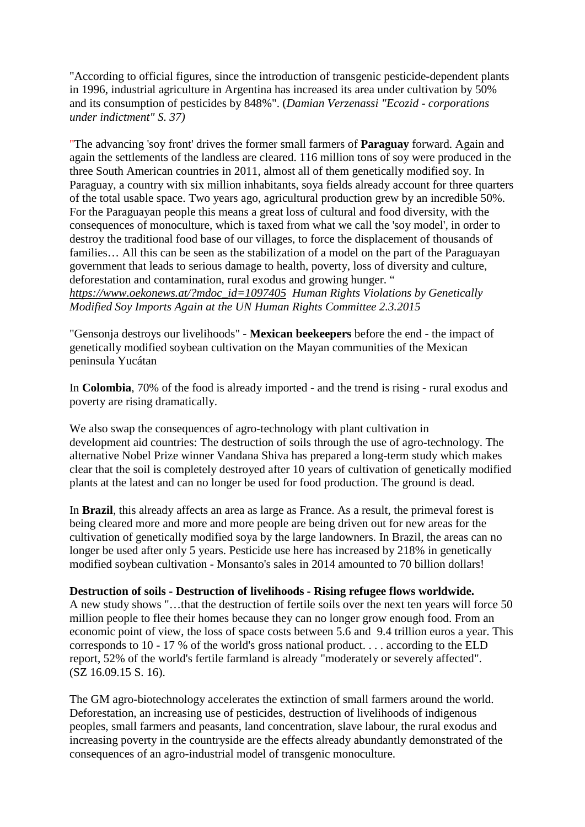["According](https://de.pons.com/übersetzung/englisch-deutsch/According) [to](https://de.pons.com/übersetzung/englisch-deutsch/to) [official](https://de.pons.com/übersetzung/englisch-deutsch/official) [figures,](https://de.pons.com/übersetzung/englisch-deutsch/figures) [since](https://de.pons.com/übersetzung/englisch-deutsch/since) [the](https://de.pons.com/übersetzung/englisch-deutsch/the) [introduction](https://de.pons.com/übersetzung/englisch-deutsch/introduction) [of](https://de.pons.com/übersetzung/englisch-deutsch/of) [transgenic](https://de.pons.com/übersetzung/englisch-deutsch/transgenic) [pesticide-dependent](https://de.pons.com/übersetzung/englisch-deutsch/pesticide-dependent) [plants](https://de.pons.com/übersetzung/englisch-deutsch/plants) [in](https://de.pons.com/übersetzung/englisch-deutsch/in) 1996, [industrial](https://de.pons.com/übersetzung/englisch-deutsch/industrial) [agriculture](https://de.pons.com/übersetzung/englisch-deutsch/agriculture) [in](https://de.pons.com/übersetzung/englisch-deutsch/in) [Argentina](https://de.pons.com/übersetzung/englisch-deutsch/Argentina) [has](https://de.pons.com/übersetzung/englisch-deutsch/has) [increased](https://de.pons.com/übersetzung/englisch-deutsch/increased) [its](https://de.pons.com/übersetzung/englisch-deutsch/its) [area](https://de.pons.com/übersetzung/englisch-deutsch/area) [under](https://de.pons.com/übersetzung/englisch-deutsch/nder) [cultivation](https://de.pons.com/übersetzung/englisch-deutsch/cultivation) [by](https://de.pons.com/übersetzung/englisch-deutsch/by) 50% [and](https://de.pons.com/übersetzung/englisch-deutsch/and) [its](https://de.pons.com/übersetzung/englisch-deutsch/its) [consumption](https://de.pons.com/übersetzung/englisch-deutsch/consumption) [of](https://de.pons.com/übersetzung/englisch-deutsch/of) [pesticides](https://de.pons.com/übersetzung/englisch-deutsch/pesticides) [by](https://de.pons.com/übersetzung/englisch-deutsch/by) 848%". (*[Damian](https://de.pons.com/übersetzung/englisch-deutsch/Damian) [Verzenassi](https://de.pons.com/übersetzung/englisch-deutsch/Verzenassi) ["Ecozid](https://de.pons.com/übersetzung/englisch-deutsch/Ecozid) [-](https://de.pons.com/übersetzung/englisch-deutsch/-) [corporations](https://de.pons.com/übersetzung/englisch-deutsch/corporations) [under](https://de.pons.com/übersetzung/englisch-deutsch/nder) [indictment"](https://de.pons.com/übersetzung/englisch-deutsch/indictment) S. 37)*

["The](https://de.pons.com/übersetzung/englisch-deutsch/The) [advancing](https://de.pons.com/übersetzung/englisch-deutsch/advancing) 'soy [front'](https://de.pons.com/übersetzung/englisch-deutsch/front) [drives](https://de.pons.com/übersetzung/englisch-deutsch/drives) [the](https://de.pons.com/übersetzung/englisch-deutsch/the) [former](https://de.pons.com/übersetzung/englisch-deutsch/former) [small](https://de.pons.com/übersetzung/englisch-deutsch/small) [farmers](https://de.pons.com/übersetzung/englisch-deutsch/farmers) [of](https://de.pons.com/übersetzung/englisch-deutsch/of) **[Paraguay](https://de.pons.com/übersetzung/englisch-deutsch/Paraguay)** [forward.](https://de.pons.com/übersetzung/englisch-deutsch/forward) [Again](https://de.pons.com/übersetzung/englisch-deutsch/Again) [and](https://de.pons.com/übersetzung/englisch-deutsch/and) [again](https://de.pons.com/übersetzung/englisch-deutsch/again) [the](https://de.pons.com/übersetzung/englisch-deutsch/the) [settlements](https://de.pons.com/übersetzung/englisch-deutsch/settlements) [of](https://de.pons.com/übersetzung/englisch-deutsch/of) [the](https://de.pons.com/übersetzung/englisch-deutsch/the) [landless](https://de.pons.com/übersetzung/englisch-deutsch/landless) [are](https://de.pons.com/übersetzung/englisch-deutsch/are) [cleared.](https://de.pons.com/übersetzung/englisch-deutsch/cleared) 116 [million](https://de.pons.com/übersetzung/englisch-deutsch/million) [tons](https://de.pons.com/übersetzung/englisch-deutsch/tonnes) of soy [were](https://de.pons.com/übersetzung/englisch-deutsch/were) [produced](https://de.pons.com/übersetzung/englisch-deutsch/produced) [in](https://de.pons.com/übersetzung/englisch-deutsch/in) [the](https://de.pons.com/übersetzung/englisch-deutsch/the) [three](https://de.pons.com/übersetzung/englisch-deutsch/three) [South](https://de.pons.com/übersetzung/englisch-deutsch/South) [American](https://de.pons.com/übersetzung/englisch-deutsch/American) [countries](https://de.pons.com/übersetzung/englisch-deutsch/countries) [in](https://de.pons.com/übersetzung/englisch-deutsch/in) 2011, [almost](https://de.pons.com/übersetzung/englisch-deutsch/almost) [all](https://de.pons.com/übersetzung/englisch-deutsch/all) [of](https://de.pons.com/übersetzung/englisch-deutsch/of) [them](https://de.pons.com/übersetzung/englisch-deutsch/them) [genetically](https://de.pons.com/übersetzung/englisch-deutsch/genetically) [modified](https://de.pons.com/übersetzung/englisch-deutsch/modified) [soy.](https://de.pons.com/übersetzung/englisch-deutsch/soya) [In](https://de.pons.com/übersetzung/englisch-deutsch/In) [Paraguay,](https://de.pons.com/übersetzung/englisch-deutsch/Paraguay) [a](https://de.pons.com/übersetzung/englisch-deutsch/a) [country](https://de.pons.com/übersetzung/englisch-deutsch/country) [with](https://de.pons.com/übersetzung/englisch-deutsch/with) [six](https://de.pons.com/übersetzung/englisch-deutsch/six) [million](https://de.pons.com/übersetzung/englisch-deutsch/million) [inhabitants,](https://de.pons.com/übersetzung/englisch-deutsch/inhabitants) [soya](https://de.pons.com/übersetzung/englisch-deutsch/soya) [fields](https://de.pons.com/übersetzung/englisch-deutsch/fields) [already](https://de.pons.com/übersetzung/englisch-deutsch/already) [account](https://de.pons.com/übersetzung/englisch-deutsch/account) [for](https://de.pons.com/übersetzung/englisch-deutsch/for) [three](https://de.pons.com/übersetzung/englisch-deutsch/three) [quarters](https://de.pons.com/übersetzung/englisch-deutsch/quarters) [of](https://de.pons.com/übersetzung/englisch-deutsch/of) [the](https://de.pons.com/übersetzung/englisch-deutsch/the) [total](https://de.pons.com/übersetzung/englisch-deutsch/total) [usable](https://de.pons.com/übersetzung/englisch-deutsch/sable) [space.](https://de.pons.com/übersetzung/englisch-deutsch/space) [Two](https://de.pons.com/übersetzung/englisch-deutsch/Two) [years](https://de.pons.com/übersetzung/englisch-deutsch/years) [ago,](https://de.pons.com/übersetzung/englisch-deutsch/ago) [agricultural](https://de.pons.com/übersetzung/englisch-deutsch/agricultural) [production](https://de.pons.com/übersetzung/englisch-deutsch/production) [grew](https://de.pons.com/übersetzung/englisch-deutsch/grew) [by](https://de.pons.com/übersetzung/englisch-deutsch/by) [an](https://de.pons.com/übersetzung/englisch-deutsch/an) [incredible](https://de.pons.com/übersetzung/englisch-deutsch/incredible) 50%. [For](https://de.pons.com/übersetzung/englisch-deutsch/For) [the](https://de.pons.com/übersetzung/englisch-deutsch/the) [Paraguayan](https://de.pons.com/übersetzung/englisch-deutsch/Paraguayan) [people](https://de.pons.com/übersetzung/englisch-deutsch/people) [this](https://de.pons.com/übersetzung/englisch-deutsch/this) [means](https://de.pons.com/übersetzung/englisch-deutsch/means) [a](https://de.pons.com/übersetzung/englisch-deutsch/a) [great](https://de.pons.com/übersetzung/englisch-deutsch/great) [loss](https://de.pons.com/übersetzung/englisch-deutsch/loss) [of](https://de.pons.com/übersetzung/englisch-deutsch/of) [cultural](https://de.pons.com/übersetzung/englisch-deutsch/cultural) [and](https://de.pons.com/übersetzung/englisch-deutsch/and) [food](https://de.pons.com/übersetzung/englisch-deutsch/food) [diversity,](https://de.pons.com/übersetzung/englisch-deutsch/diversity) [with](https://de.pons.com/übersetzung/englisch-deutsch/with) [the](https://de.pons.com/übersetzung/englisch-deutsch/the) [consequences](https://de.pons.com/übersetzung/englisch-deutsch/consequences) [of](https://de.pons.com/übersetzung/englisch-deutsch/of) [monoculture,](https://de.pons.com/übersetzung/englisch-deutsch/monoculture) [which](https://de.pons.com/übersetzung/englisch-deutsch/which) [is](https://de.pons.com/übersetzung/englisch-deutsch/is) [taxed](https://de.pons.com/übersetzung/englisch-deutsch/taxed) [from](https://de.pons.com/übersetzung/englisch-deutsch/from) [what](https://de.pons.com/übersetzung/englisch-deutsch/what) [we](https://de.pons.com/übersetzung/englisch-deutsch/we) [call](https://de.pons.com/übersetzung/englisch-deutsch/call) [the 'soy](https://de.pons.com/übersetzung/englisch-deutsch/the) [model'](https://de.pons.com/übersetzung/englisch-deutsch/model), [in](https://de.pons.com/übersetzung/englisch-deutsch/in) [order](https://de.pons.com/übersetzung/englisch-deutsch/order) [to](https://de.pons.com/übersetzung/englisch-deutsch/to) [destroy](https://de.pons.com/übersetzung/englisch-deutsch/destroy) [the](https://de.pons.com/übersetzung/englisch-deutsch/the) [traditional](https://de.pons.com/übersetzung/englisch-deutsch/traditional) [food](https://de.pons.com/übersetzung/englisch-deutsch/food) [base](https://de.pons.com/übersetzung/englisch-deutsch/ase) [of](https://de.pons.com/übersetzung/englisch-deutsch/of) [our](https://de.pons.com/übersetzung/englisch-deutsch/our) [villages,](https://de.pons.com/übersetzung/englisch-deutsch/villages) [to](https://de.pons.com/übersetzung/englisch-deutsch/to) [force](https://de.pons.com/übersetzung/englisch-deutsch/force) [the](https://de.pons.com/übersetzung/englisch-deutsch/the) [displacement](https://de.pons.com/übersetzung/englisch-deutsch/displacement) [of](https://de.pons.com/übersetzung/englisch-deutsch/of) [thousands](https://de.pons.com/übersetzung/englisch-deutsch/thousands) [of](https://de.pons.com/übersetzung/englisch-deutsch/of) families... [All](https://de.pons.com/übersetzung/englisch-deutsch/All) [this](https://de.pons.com/übersetzung/englisch-deutsch/this) [can](https://de.pons.com/übersetzung/englisch-deutsch/can) [be](https://de.pons.com/übersetzung/englisch-deutsch/be) [seen](https://de.pons.com/übersetzung/englisch-deutsch/seen) [as](https://de.pons.com/übersetzung/englisch-deutsch/as) [the](https://de.pons.com/übersetzung/englisch-deutsch/the) [stabilization](https://de.pons.com/übersetzung/englisch-deutsch/stabilization) [of](https://de.pons.com/übersetzung/englisch-deutsch/of) [a](https://de.pons.com/übersetzung/englisch-deutsch/a) [model](https://de.pons.com/übersetzung/englisch-deutsch/model) [on](https://de.pons.com/übersetzung/englisch-deutsch/on) the [part](https://de.pons.com/übersetzung/englisch-deutsch/part) of the [Paraguayan](https://de.pons.com/übersetzung/englisch-deutsch/Paraguayan) [government](https://de.pons.com/übersetzung/englisch-deutsch/government) [that](https://de.pons.com/übersetzung/englisch-deutsch/that) [leads](https://de.pons.com/übersetzung/englisch-deutsch/leads) [to](https://de.pons.com/übersetzung/englisch-deutsch/to) [serious](https://de.pons.com/übersetzung/englisch-deutsch/serious) [damage](https://de.pons.com/übersetzung/englisch-deutsch/damage) [to](https://de.pons.com/übersetzung/englisch-deutsch/to) [health,](https://de.pons.com/übersetzung/englisch-deutsch/health) [poverty,](https://de.pons.com/übersetzung/englisch-deutsch/poverty) [loss](https://de.pons.com/übersetzung/englisch-deutsch/loss) [of](https://de.pons.com/übersetzung/englisch-deutsch/of) [diversity](https://de.pons.com/übersetzung/englisch-deutsch/diversity) [and](https://de.pons.com/übersetzung/englisch-deutsch/and) [culture,](https://de.pons.com/übersetzung/englisch-deutsch/culture) [deforestation](https://de.pons.com/übersetzung/englisch-deutsch/deforestation) [and](https://de.pons.com/übersetzung/englisch-deutsch/and) [contamination,](https://de.pons.com/übersetzung/englisch-deutsch/contamination) [rural](https://de.pons.com/übersetzung/englisch-deutsch/rural) [exodus](https://de.pons.com/übersetzung/englisch-deutsch/exodus) [and](https://de.pons.com/übersetzung/englisch-deutsch/and) [growing](https://de.pons.com/übersetzung/englisch-deutsch/growing) [hunger.](https://de.pons.com/übersetzung/englisch-deutsch/hunger) ["](https://de.pons.com/übersetzung/englisch-deutsch/)

*[https://www.oekonews.at/?mdoc\\_id=1097405](https://www.oekonews.at/?mdoc_id=1097405) [Human](https://de.pons.com/übersetzung/englisch-deutsch/Human) [Rights](https://de.pons.com/übersetzung/englisch-deutsch/Rights) [Violations](https://de.pons.com/übersetzung/englisch-deutsch/Violations) [by](https://de.pons.com/übersetzung/englisch-deutsch/by) [Genetically](https://de.pons.com/übersetzung/englisch-deutsch/Genetically) [Modified](https://de.pons.com/übersetzung/englisch-deutsch/Modified) [Soy](https://de.pons.com/übersetzung/englisch-deutsch/Soy) [Imports](https://de.pons.com/übersetzung/englisch-deutsch/Imports) [Again](https://de.pons.com/übersetzung/englisch-deutsch/Again) [at](https://de.pons.com/übersetzung/englisch-deutsch/at) [the](https://de.pons.com/übersetzung/englisch-deutsch/the) [UN](https://de.pons.com/übersetzung/englisch-deutsch/UN) [Human](https://de.pons.com/übersetzung/englisch-deutsch/Human) [Rights](https://de.pons.com/übersetzung/englisch-deutsch/Rights) [Committee](https://de.pons.com/übersetzung/englisch-deutsch/Committee) 2.3.2015*

["Gensonja](https://de.pons.com/übersetzung/englisch-deutsch/Gensonja) [destroys](https://de.pons.com/übersetzung/englisch-deutsch/destroys) [our](https://de.pons.com/übersetzung/englisch-deutsch/our) [livelihoods"](https://de.pons.com/übersetzung/englisch-deutsch/livelihoods) [-](https://de.pons.com/übersetzung/englisch-deutsch/-) **[Mexican](https://de.pons.com/übersetzung/englisch-deutsch/Mexican) [beekeepers](https://de.pons.com/übersetzung/englisch-deutsch/eekeepers)** before the end [-](https://de.pons.com/übersetzung/englisch-deutsch/-) [the](https://de.pons.com/übersetzung/englisch-deutsch/the) [impact](https://de.pons.com/übersetzung/englisch-deutsch/impact) [of](https://de.pons.com/übersetzung/englisch-deutsch/of) [genetically](https://de.pons.com/übersetzung/englisch-deutsch/genetically) [modified](https://de.pons.com/übersetzung/englisch-deutsch/modified) [soybean](https://de.pons.com/übersetzung/englisch-deutsch/soybean) [cultivation](https://de.pons.com/übersetzung/englisch-deutsch/cultivation) [on](https://de.pons.com/übersetzung/englisch-deutsch/on) [the](https://de.pons.com/übersetzung/englisch-deutsch/the) [Mayan](https://de.pons.com/übersetzung/englisch-deutsch/Mayan) [communities](https://de.pons.com/übersetzung/englisch-deutsch/communities) [of](https://de.pons.com/übersetzung/englisch-deutsch/of) [the](https://de.pons.com/übersetzung/englisch-deutsch/the) [Mexican](https://de.pons.com/übersetzung/englisch-deutsch/Mexican) [peninsula](https://de.pons.com/übersetzung/englisch-deutsch/peninsula) [Yucátan](https://de.pons.com/übersetzung/englisch-deutsch/Yucátan)

[In](https://de.pons.com/übersetzung/englisch-deutsch/In) **[Colombia](https://de.pons.com/übersetzung/englisch-deutsch/Colombia)**, 70% [of](https://de.pons.com/übersetzung/englisch-deutsch/of) [the](https://de.pons.com/übersetzung/englisch-deutsch/the) [food](https://de.pons.com/übersetzung/englisch-deutsch/food) [is](https://de.pons.com/übersetzung/englisch-deutsch/is) [already](https://de.pons.com/übersetzung/englisch-deutsch/already) [imported](https://de.pons.com/übersetzung/englisch-deutsch/imported) [-](https://de.pons.com/übersetzung/englisch-deutsch/-) [and](https://de.pons.com/übersetzung/englisch-deutsch/and) [the](https://de.pons.com/übersetzung/englisch-deutsch/the) [trend](https://de.pons.com/übersetzung/englisch-deutsch/trend) [is](https://de.pons.com/übersetzung/englisch-deutsch/is) [rising](https://de.pons.com/übersetzung/englisch-deutsch/rising) [-](https://de.pons.com/übersetzung/englisch-deutsch/-) [rural](https://de.pons.com/übersetzung/englisch-deutsch/rural) [exodus](https://de.pons.com/übersetzung/englisch-deutsch/exodus) [and](https://de.pons.com/übersetzung/englisch-deutsch/and) [poverty](https://de.pons.com/übersetzung/englisch-deutsch/poverty) [are](https://de.pons.com/übersetzung/englisch-deutsch/are) [rising](https://de.pons.com/übersetzung/englisch-deutsch/rising) [dramatically.](https://de.pons.com/übersetzung/englisch-deutsch/dramatically)

[We](https://de.pons.com/übersetzung/englisch-deutsch/We) [also](https://de.pons.com/übersetzung/englisch-deutsch/also) swap [the](https://de.pons.com/übersetzung/englisch-deutsch/the) [consequences](https://de.pons.com/übersetzung/englisch-deutsch/consequences) [of](https://de.pons.com/übersetzung/englisch-deutsch/of) [agro-technology](https://de.pons.com/übersetzung/englisch-deutsch/agrotechnology) [with](https://de.pons.com/übersetzung/englisch-deutsch/with) [plant](https://de.pons.com/übersetzung/englisch-deutsch/plant) [cultivation](https://de.pons.com/übersetzung/englisch-deutsch/cultivation) [in](https://de.pons.com/übersetzung/englisch-deutsch/in) [development](https://de.pons.com/übersetzung/englisch-deutsch/development) [aid](https://de.pons.com/übersetzung/englisch-deutsch/aid) [countries:](https://de.pons.com/übersetzung/englisch-deutsch/countries) [The](https://de.pons.com/übersetzung/englisch-deutsch/The) [destruction](https://de.pons.com/übersetzung/englisch-deutsch/destruction) [of](https://de.pons.com/übersetzung/englisch-deutsch/of) [soils](https://de.pons.com/übersetzung/englisch-deutsch/soils) [through](https://de.pons.com/übersetzung/englisch-deutsch/through) [the](https://de.pons.com/übersetzung/englisch-deutsch/the) [use](https://de.pons.com/übersetzung/englisch-deutsch/se) [of](https://de.pons.com/übersetzung/englisch-deutsch/of) [agro-technology.](https://de.pons.com/übersetzung/englisch-deutsch/agro-technology) [The](https://de.pons.com/übersetzung/englisch-deutsch/The) [alternative](https://de.pons.com/übersetzung/englisch-deutsch/alternative) [Nobel](https://de.pons.com/übersetzung/englisch-deutsch/Nobel) [Prize](https://de.pons.com/übersetzung/englisch-deutsch/Prize) [winner](https://de.pons.com/übersetzung/englisch-deutsch/winner) [Vandana](https://de.pons.com/übersetzung/englisch-deutsch/Vandana) [Shiva](https://de.pons.com/übersetzung/englisch-deutsch/Shiva) [has](https://de.pons.com/übersetzung/englisch-deutsch/has) [prepared](https://de.pons.com/übersetzung/englisch-deutsch/prepared) [a](https://de.pons.com/übersetzung/englisch-deutsch/a) [long-term](https://de.pons.com/übersetzung/englisch-deutsch/long-term) [study](https://de.pons.com/übersetzung/englisch-deutsch/study) [which](https://de.pons.com/übersetzung/englisch-deutsch/which) [makes](https://de.pons.com/übersetzung/englisch-deutsch/makes) [clear](https://de.pons.com/übersetzung/englisch-deutsch/clear) [that](https://de.pons.com/übersetzung/englisch-deutsch/that) [the](https://de.pons.com/übersetzung/englisch-deutsch/the) [soil](https://de.pons.com/übersetzung/englisch-deutsch/soil) [is](https://de.pons.com/übersetzung/englisch-deutsch/is) [completely](https://de.pons.com/übersetzung/englisch-deutsch/completely) [destroyed](https://de.pons.com/übersetzung/englisch-deutsch/destroyed) [after](https://de.pons.com/übersetzung/englisch-deutsch/after) 10 [years](https://de.pons.com/übersetzung/englisch-deutsch/years) [of](https://de.pons.com/übersetzung/englisch-deutsch/of) [cultivation](https://de.pons.com/übersetzung/englisch-deutsch/cultivation) [of](https://de.pons.com/übersetzung/englisch-deutsch/of) [genetically](https://de.pons.com/übersetzung/englisch-deutsch/genetically) [modified](https://de.pons.com/übersetzung/englisch-deutsch/modified) [plants](https://de.pons.com/übersetzung/englisch-deutsch/plants) [at](https://de.pons.com/übersetzung/englisch-deutsch/at) [the](https://de.pons.com/übersetzung/englisch-deutsch/the) [latest](https://de.pons.com/übersetzung/englisch-deutsch/latest) [and](https://de.pons.com/übersetzung/englisch-deutsch/and) [can](https://de.pons.com/übersetzung/englisch-deutsch/can) [no](https://de.pons.com/übersetzung/englisch-deutsch/no) [longer](https://de.pons.com/übersetzung/englisch-deutsch/longer) [be](https://de.pons.com/übersetzung/englisch-deutsch/be) [used](https://de.pons.com/übersetzung/englisch-deutsch/sed) [for](https://de.pons.com/übersetzung/englisch-deutsch/for) [food](https://de.pons.com/übersetzung/englisch-deutsch/food) [production.](https://de.pons.com/übersetzung/englisch-deutsch/production) [The](https://de.pons.com/übersetzung/englisch-deutsch/The) [ground](https://de.pons.com/übersetzung/englisch-deutsch/ground) [is](https://de.pons.com/übersetzung/englisch-deutsch/is) [dead.](https://de.pons.com/übersetzung/englisch-deutsch/dead)

[In](https://de.pons.com/übersetzung/englisch-deutsch/In) **[Brazil](https://de.pons.com/übersetzung/englisch-deutsch/Brazil)**, [this](https://de.pons.com/übersetzung/englisch-deutsch/this) [already](https://de.pons.com/übersetzung/englisch-deutsch/already) [affects](https://de.pons.com/übersetzung/englisch-deutsch/affects) [an](https://de.pons.com/übersetzung/englisch-deutsch/an) [area](https://de.pons.com/übersetzung/englisch-deutsch/area) [as](https://de.pons.com/übersetzung/englisch-deutsch/as) [large](https://de.pons.com/übersetzung/englisch-deutsch/large) [as](https://de.pons.com/übersetzung/englisch-deutsch/as) [France.](https://de.pons.com/übersetzung/englisch-deutsch/France) [As](https://de.pons.com/übersetzung/englisch-deutsch/As) [a](https://de.pons.com/übersetzung/englisch-deutsch/a) [result,](https://de.pons.com/übersetzung/englisch-deutsch/result) [the](https://de.pons.com/übersetzung/englisch-deutsch/the) [primeval](https://de.pons.com/übersetzung/englisch-deutsch/primeval) [forest](https://de.pons.com/übersetzung/englisch-deutsch/forest) [is](https://de.pons.com/übersetzung/englisch-deutsch/is) [being](https://de.pons.com/übersetzung/englisch-deutsch/eing) [cleared](https://de.pons.com/übersetzung/englisch-deutsch/cleared) [more](https://de.pons.com/übersetzung/englisch-deutsch/more) [and](https://de.pons.com/übersetzung/englisch-deutsch/and) [more](https://de.pons.com/übersetzung/englisch-deutsch/more) [and](https://de.pons.com/übersetzung/englisch-deutsch/and) [more](https://de.pons.com/übersetzung/englisch-deutsch/more) [people](https://de.pons.com/übersetzung/englisch-deutsch/people) [are](https://de.pons.com/übersetzung/englisch-deutsch/are) [being](https://de.pons.com/übersetzung/englisch-deutsch/eing) [driven](https://de.pons.com/übersetzung/englisch-deutsch/driven) [out](https://de.pons.com/übersetzung/englisch-deutsch/out) [for](https://de.pons.com/übersetzung/englisch-deutsch/for) [new](https://de.pons.com/übersetzung/englisch-deutsch/new) [areas](https://de.pons.com/übersetzung/englisch-deutsch/areas) [for](https://de.pons.com/übersetzung/englisch-deutsch/for) [the](https://de.pons.com/übersetzung/englisch-deutsch/the) [cultivation](https://de.pons.com/übersetzung/englisch-deutsch/cultivation) [of](https://de.pons.com/übersetzung/englisch-deutsch/of) [genetically](https://de.pons.com/übersetzung/englisch-deutsch/genetically) [modified](https://de.pons.com/übersetzung/englisch-deutsch/modified) [soya](https://de.pons.com/übersetzung/englisch-deutsch/soya) [by](https://de.pons.com/übersetzung/englisch-deutsch/by) [the](https://de.pons.com/übersetzung/englisch-deutsch/the) [large](https://de.pons.com/übersetzung/englisch-deutsch/large) [landowners.](https://de.pons.com/übersetzung/englisch-deutsch/landowners) [In](https://de.pons.com/übersetzung/englisch-deutsch/In) [Brazil,](https://de.pons.com/übersetzung/englisch-deutsch/Brazil) [the](https://de.pons.com/übersetzung/englisch-deutsch/the) [areas](https://de.pons.com/übersetzung/englisch-deutsch/areas) [can](https://de.pons.com/übersetzung/englisch-deutsch/can) [no](https://de.pons.com/übersetzung/englisch-deutsch/no) [longer](https://de.pons.com/übersetzung/englisch-deutsch/longer) [be](https://de.pons.com/übersetzung/englisch-deutsch/be) [used](https://de.pons.com/übersetzung/englisch-deutsch/sed) [after](https://de.pons.com/übersetzung/englisch-deutsch/after) [only](https://de.pons.com/übersetzung/englisch-deutsch/only) 5 [years.](https://de.pons.com/übersetzung/englisch-deutsch/years) [Pesticide](https://de.pons.com/übersetzung/englisch-deutsch/Pesticide) [use](https://de.pons.com/übersetzung/englisch-deutsch/se) [here](https://de.pons.com/übersetzung/englisch-deutsch/here) [has](https://de.pons.com/übersetzung/englisch-deutsch/has) [increased](https://de.pons.com/übersetzung/englisch-deutsch/increased) [by](https://de.pons.com/übersetzung/englisch-deutsch/by) 218% [in](https://de.pons.com/übersetzung/englisch-deutsch/in) [genetically](https://de.pons.com/übersetzung/englisch-deutsch/genetically) [modified](https://de.pons.com/übersetzung/englisch-deutsch/modified) [soybean](https://de.pons.com/übersetzung/englisch-deutsch/soybean) [cultivation](https://de.pons.com/übersetzung/englisch-deutsch/cultivation) [-](https://de.pons.com/übersetzung/englisch-deutsch/-) [Monsanto's](https://de.pons.com/übersetzung/englisch-deutsch/Monsanto) [sales](https://de.pons.com/übersetzung/englisch-deutsch/sales) [in](https://de.pons.com/übersetzung/englisch-deutsch/in) 2014 [amounted](https://de.pons.com/übersetzung/englisch-deutsch/amounted) [to](https://de.pons.com/übersetzung/englisch-deutsch/to) 70 [billion](https://de.pons.com/übersetzung/englisch-deutsch/illion) [dollars!](https://de.pons.com/übersetzung/englisch-deutsch/dollars)

#### **[Destruction](https://de.pons.com/übersetzung/englisch-deutsch/Destruction) [of](https://de.pons.com/übersetzung/englisch-deutsch/of) [soils](https://de.pons.com/übersetzung/englisch-deutsch/soils) [-](https://de.pons.com/übersetzung/englisch-deutsch/-) [Destruction](https://de.pons.com/übersetzung/englisch-deutsch/Destruction) [of](https://de.pons.com/übersetzung/englisch-deutsch/of) [livelihoods](https://de.pons.com/übersetzung/englisch-deutsch/livelihoods) [-](https://de.pons.com/übersetzung/englisch-deutsch/-) [Rising](https://de.pons.com/übersetzung/englisch-deutsch/Rising) [refugee](https://de.pons.com/übersetzung/englisch-deutsch/refugee) [flows](https://de.pons.com/übersetzung/englisch-deutsch/flows) [worldwide.](https://de.pons.com/übersetzung/englisch-deutsch/worldwide)**

[A](https://de.pons.com/übersetzung/englisch-deutsch/A) [new](https://de.pons.com/übersetzung/englisch-deutsch/new) [study](https://de.pons.com/übersetzung/englisch-deutsch/study) [shows](https://de.pons.com/übersetzung/englisch-deutsch/shows) "[…that](https://de.pons.com/übersetzung/englisch-deutsch/that) [the](https://de.pons.com/übersetzung/englisch-deutsch/the) [destruction](https://de.pons.com/übersetzung/englisch-deutsch/destruction) [of](https://de.pons.com/übersetzung/englisch-deutsch/of) [fertile](https://de.pons.com/übersetzung/englisch-deutsch/fertile) [soils](https://de.pons.com/übersetzung/englisch-deutsch/soils) [over](https://de.pons.com/übersetzung/englisch-deutsch/over) [the](https://de.pons.com/übersetzung/englisch-deutsch/the) [next](https://de.pons.com/übersetzung/englisch-deutsch/next) [ten](https://de.pons.com/übersetzung/englisch-deutsch/ten) [years](https://de.pons.com/übersetzung/englisch-deutsch/years) [will](https://de.pons.com/übersetzung/englisch-deutsch/will) [force](https://de.pons.com/übersetzung/englisch-deutsch/force) 50 [million](https://de.pons.com/übersetzung/englisch-deutsch/million) [people](https://de.pons.com/übersetzung/englisch-deutsch/people) [to](https://de.pons.com/übersetzung/englisch-deutsch/to) [flee](https://de.pons.com/übersetzung/englisch-deutsch/flee) [their](https://de.pons.com/übersetzung/englisch-deutsch/their) [homes](https://de.pons.com/übersetzung/englisch-deutsch/homes) [because](https://de.pons.com/übersetzung/englisch-deutsch/ecause) [they](https://de.pons.com/übersetzung/englisch-deutsch/they) [can](https://de.pons.com/übersetzung/englisch-deutsch/can) [no](https://de.pons.com/übersetzung/englisch-deutsch/no) [longer](https://de.pons.com/übersetzung/englisch-deutsch/longer) [grow](https://de.pons.com/übersetzung/englisch-deutsch/grow) [enough](https://de.pons.com/übersetzung/englisch-deutsch/enough) [food.](https://de.pons.com/übersetzung/englisch-deutsch/food) [From](https://de.pons.com/übersetzung/englisch-deutsch/From) [an](https://de.pons.com/übersetzung/englisch-deutsch/an) [economic](https://de.pons.com/übersetzung/englisch-deutsch/economic) [point](https://de.pons.com/übersetzung/englisch-deutsch/point) [of](https://de.pons.com/übersetzung/englisch-deutsch/of) [view,](https://de.pons.com/übersetzung/englisch-deutsch/view) [the](https://de.pons.com/übersetzung/englisch-deutsch/the) [loss](https://de.pons.com/übersetzung/englisch-deutsch/loss) [of](https://de.pons.com/übersetzung/englisch-deutsch/of) [space](https://de.pons.com/übersetzung/englisch-deutsch/space) [costs](https://de.pons.com/übersetzung/englisch-deutsch/costs) [between](https://de.pons.com/übersetzung/englisch-deutsch/etween) [5.6](https://de.pons.com/übersetzung/englisch-deutsch/5.) [and](https://de.pons.com/übersetzung/englisch-deutsch/and) [9.4](https://de.pons.com/übersetzung/englisch-deutsch/9.) [trillion](https://de.pons.com/übersetzung/englisch-deutsch/trillion) [euros](https://de.pons.com/übersetzung/englisch-deutsch/euros) [a](https://de.pons.com/übersetzung/englisch-deutsch/a) [year.](https://de.pons.com/übersetzung/englisch-deutsch/year) [This](https://de.pons.com/übersetzung/englisch-deutsch/This) [corresponds](https://de.pons.com/übersetzung/englisch-deutsch/corresponds) [to](https://de.pons.com/übersetzung/englisch-deutsch/to) 10 [-](https://de.pons.com/übersetzung/englisch-deutsch/-) 17 [%](https://de.pons.com/übersetzung/englisch-deutsch/%25) [of](https://de.pons.com/übersetzung/englisch-deutsch/of) [the](https://de.pons.com/übersetzung/englisch-deutsch/the) [world's](https://de.pons.com/übersetzung/englisch-deutsch/world) [gross](https://de.pons.com/übersetzung/englisch-deutsch/gross) [national](https://de.pons.com/übersetzung/englisch-deutsch/national) [product.](https://de.pons.com/übersetzung/englisch-deutsch/product) [.](https://de.pons.com/übersetzung/englisch-deutsch/) [.](https://de.pons.com/übersetzung/englisch-deutsch/) [.](https://de.pons.com/übersetzung/englisch-deutsch/) [according](https://de.pons.com/übersetzung/englisch-deutsch/According) [to](https://de.pons.com/übersetzung/englisch-deutsch/to) [the](https://de.pons.com/übersetzung/englisch-deutsch/the) [ELD](https://de.pons.com/übersetzung/englisch-deutsch/ELD) [report,](https://de.pons.com/übersetzung/englisch-deutsch/report) 52% [of](https://de.pons.com/übersetzung/englisch-deutsch/of) [the](https://de.pons.com/übersetzung/englisch-deutsch/the) [world's](https://de.pons.com/übersetzung/englisch-deutsch/world) [fertile](https://de.pons.com/übersetzung/englisch-deutsch/fertile) [farmland](https://de.pons.com/übersetzung/englisch-deutsch/farmland) [is](https://de.pons.com/übersetzung/englisch-deutsch/is) [already](https://de.pons.com/übersetzung/englisch-deutsch/already) ["moderately](https://de.pons.com/übersetzung/englisch-deutsch/moderately) [or](https://de.pons.com/übersetzung/englisch-deutsch/or) [severely](https://de.pons.com/übersetzung/englisch-deutsch/severely) [affected"](https://de.pons.com/übersetzung/englisch-deutsch/affected). (SZ 16.09.15 S. 16).

The GM agro-biotechnology accelerates the extinction of small farmers around the world. Deforestation, an increasing use of pesticides, destruction of livelihoods of indigenous peoples, small farmers and peasants, land concentration, slave labour, the rural exodus and increasing poverty in the countryside are the effects already abundantly demonstrated of the consequences of an agro-industrial model of transgenic monoculture.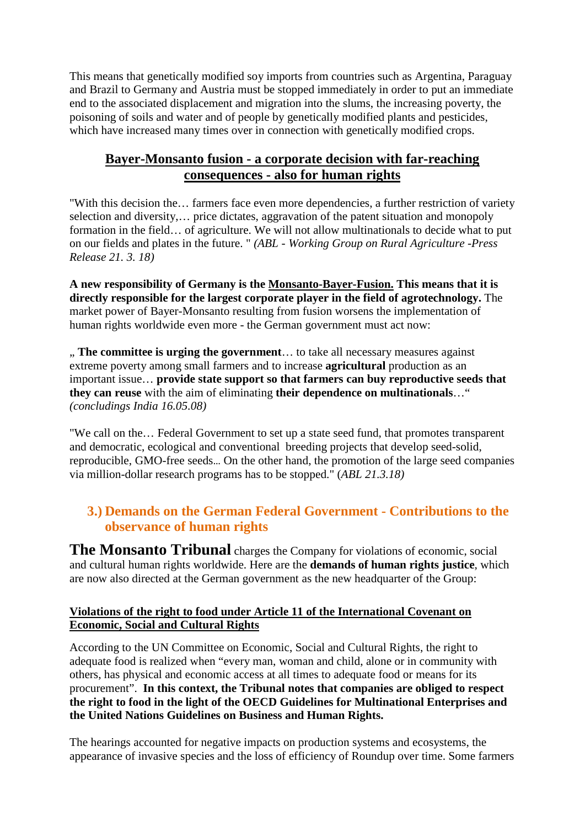[This](https://de.pons.com/übersetzung/englisch-deutsch/This) [means](https://de.pons.com/übersetzung/englisch-deutsch/means) [that](https://de.pons.com/übersetzung/englisch-deutsch/that) [genetically](https://de.pons.com/übersetzung/englisch-deutsch/genetically) [modified](https://de.pons.com/übersetzung/englisch-deutsch/modified) [soy](https://de.pons.com/übersetzung/englisch-deutsch/soy) [imports](https://de.pons.com/übersetzung/englisch-deutsch/imports) [from](https://de.pons.com/übersetzung/englisch-deutsch/from) [countries](https://de.pons.com/übersetzung/englisch-deutsch/countries) [such](https://de.pons.com/übersetzung/englisch-deutsch/such) [as](https://de.pons.com/übersetzung/englisch-deutsch/as) [Argentina,](https://de.pons.com/übersetzung/englisch-deutsch/Argentina) [Paraguay](https://de.pons.com/übersetzung/englisch-deutsch/Paraguay) [and](https://de.pons.com/übersetzung/englisch-deutsch/and) [Brazil](https://de.pons.com/übersetzung/englisch-deutsch/Brazil) [to](https://de.pons.com/übersetzung/englisch-deutsch/to) [Germany](https://de.pons.com/übersetzung/englisch-deutsch/Germany) [and](https://de.pons.com/übersetzung/englisch-deutsch/and) [Austria](https://de.pons.com/übersetzung/englisch-deutsch/Austria) [must](https://de.pons.com/übersetzung/englisch-deutsch/must) [be](https://de.pons.com/übersetzung/englisch-deutsch/be) [stopped](https://de.pons.com/übersetzung/englisch-deutsch/stopped) [immediately](https://de.pons.com/übersetzung/englisch-deutsch/immediately) [in](https://de.pons.com/übersetzung/englisch-deutsch/in) [order](https://de.pons.com/übersetzung/englisch-deutsch/order) [to](https://de.pons.com/übersetzung/englisch-deutsch/to) [put](https://de.pons.com/übersetzung/englisch-deutsch/put) [an](https://de.pons.com/übersetzung/englisch-deutsch/an) [immediate](https://de.pons.com/übersetzung/englisch-deutsch/immediate) [end](https://de.pons.com/übersetzung/englisch-deutsch/end) [to](https://de.pons.com/übersetzung/englisch-deutsch/to) [the](https://de.pons.com/übersetzung/englisch-deutsch/the) [associated](https://de.pons.com/übersetzung/englisch-deutsch/associated) [displacement](https://de.pons.com/übersetzung/englisch-deutsch/displacement) [and](https://de.pons.com/übersetzung/englisch-deutsch/and) [migration](https://de.pons.com/übersetzung/englisch-deutsch/migration) [into](https://de.pons.com/übersetzung/englisch-deutsch/into) [the](https://de.pons.com/übersetzung/englisch-deutsch/the) [slums,](https://de.pons.com/übersetzung/englisch-deutsch/slums) [the](https://de.pons.com/übersetzung/englisch-deutsch/the) [increasing](https://de.pons.com/übersetzung/englisch-deutsch/increasing) [poverty,](https://de.pons.com/übersetzung/englisch-deutsch/poverty) [the](https://de.pons.com/übersetzung/englisch-deutsch/the) [poisoning](https://de.pons.com/übersetzung/englisch-deutsch/poisoning) [of](https://de.pons.com/übersetzung/englisch-deutsch/of) [soils](https://de.pons.com/übersetzung/englisch-deutsch/soils) [and](https://de.pons.com/übersetzung/englisch-deutsch/and) [water](https://de.pons.com/übersetzung/englisch-deutsch/water) [and](https://de.pons.com/übersetzung/englisch-deutsch/and) [of](https://de.pons.com/übersetzung/englisch-deutsch/of) [people](https://de.pons.com/übersetzung/englisch-deutsch/people) [by](https://de.pons.com/übersetzung/englisch-deutsch/by) [genetically](https://de.pons.com/übersetzung/englisch-deutsch/genetically) [modified](https://de.pons.com/übersetzung/englisch-deutsch/modified) [plants](https://de.pons.com/übersetzung/englisch-deutsch/plants) [and](https://de.pons.com/übersetzung/englisch-deutsch/and) [pesticides,](https://de.pons.com/übersetzung/englisch-deutsch/pesticides) [which](https://de.pons.com/übersetzung/englisch-deutsch/which) [have](https://de.pons.com/übersetzung/englisch-deutsch/have) [increased](https://de.pons.com/übersetzung/englisch-deutsch/increased) [many](https://de.pons.com/übersetzung/englisch-deutsch/many) [times](https://de.pons.com/übersetzung/englisch-deutsch/times) [over](https://de.pons.com/übersetzung/englisch-deutsch/over) [in](https://de.pons.com/übersetzung/englisch-deutsch/in) [connection](https://de.pons.com/übersetzung/englisch-deutsch/connection) [with](https://de.pons.com/übersetzung/englisch-deutsch/with) [genetically](https://de.pons.com/übersetzung/englisch-deutsch/genetically) [modified](https://de.pons.com/übersetzung/englisch-deutsch/modified) [crops.](https://de.pons.com/übersetzung/englisch-deutsch/crops)

### **[Bayer-Monsanto](https://de.pons.com/übersetzung/englisch-deutsch/Bayer-Monsanto) fusion [-](https://de.pons.com/übersetzung/englisch-deutsch/-) [a](https://de.pons.com/übersetzung/englisch-deutsch/a) [corporate](https://de.pons.com/übersetzung/englisch-deutsch/corporate) [decision](https://de.pons.com/übersetzung/englisch-deutsch/decision) [with](https://de.pons.com/übersetzung/englisch-deutsch/with) [far-reaching](https://de.pons.com/übersetzung/englisch-deutsch/far-reaching) [consequences](https://de.pons.com/übersetzung/englisch-deutsch/consequences) [-](https://de.pons.com/übersetzung/englisch-deutsch/-) [also](https://de.pons.com/übersetzung/englisch-deutsch/also) [for](https://de.pons.com/übersetzung/englisch-deutsch/for) [human](https://de.pons.com/übersetzung/englisch-deutsch/human) [rights](https://de.pons.com/übersetzung/englisch-deutsch/rights)**

["With](https://de.pons.com/übersetzung/englisch-deutsch/With) [this](https://de.pons.com/übersetzung/englisch-deutsch/this) [decision](https://de.pons.com/übersetzung/englisch-deutsch/decision) [the…](https://de.pons.com/übersetzung/englisch-deutsch/the) [farmers](https://de.pons.com/übersetzung/englisch-deutsch/farmers) [face](https://de.pons.com/übersetzung/englisch-deutsch/face) [even](https://de.pons.com/übersetzung/englisch-deutsch/even) [more](https://de.pons.com/übersetzung/englisch-deutsch/more) [dependencies,](https://de.pons.com/übersetzung/englisch-deutsch/dependencies) [a](https://de.pons.com/übersetzung/englisch-deutsch/a) [further](https://de.pons.com/übersetzung/englisch-deutsch/further) [restriction](https://de.pons.com/übersetzung/englisch-deutsch/restriction) [of](https://de.pons.com/übersetzung/englisch-deutsch/of) [variety](https://de.pons.com/übersetzung/englisch-deutsch/variety) [selection](https://de.pons.com/übersetzung/englisch-deutsch/selection) [and](https://de.pons.com/übersetzung/englisch-deutsch/and) [diversity,](https://de.pons.com/übersetzung/englisch-deutsch/diversity)… [price](https://de.pons.com/übersetzung/englisch-deutsch/price) [dictates,](https://de.pons.com/übersetzung/englisch-deutsch/dictates) [aggravation](https://de.pons.com/übersetzung/englisch-deutsch/aggravation) [of](https://de.pons.com/übersetzung/englisch-deutsch/of) [the](https://de.pons.com/übersetzung/englisch-deutsch/the) [patent](https://de.pons.com/übersetzung/englisch-deutsch/patent) [situation](https://de.pons.com/übersetzung/englisch-deutsch/situation) [and](https://de.pons.com/übersetzung/englisch-deutsch/and) [monopoly](https://de.pons.com/übersetzung/englisch-deutsch/monopoly) [formation](https://de.pons.com/übersetzung/englisch-deutsch/formation) [in](https://de.pons.com/übersetzung/englisch-deutsch/in) [the](https://de.pons.com/übersetzung/englisch-deutsch/the) [field…](https://de.pons.com/übersetzung/englisch-deutsch/field) [of](https://de.pons.com/übersetzung/englisch-deutsch/of) [agriculture.](https://de.pons.com/übersetzung/englisch-deutsch/agriculture) [We](https://de.pons.com/übersetzung/englisch-deutsch/We) [will](https://de.pons.com/übersetzung/englisch-deutsch/will) [not](https://de.pons.com/übersetzung/englisch-deutsch/not) [allow](https://de.pons.com/übersetzung/englisch-deutsch/allow) [multinationals](https://de.pons.com/übersetzung/englisch-deutsch/multinationals) [to](https://de.pons.com/übersetzung/englisch-deutsch/to) [decide](https://de.pons.com/übersetzung/englisch-deutsch/decide) [what](https://de.pons.com/übersetzung/englisch-deutsch/what) [to](https://de.pons.com/übersetzung/englisch-deutsch/to) [put](https://de.pons.com/übersetzung/englisch-deutsch/put) [on](https://de.pons.com/übersetzung/englisch-deutsch/on) [our](https://de.pons.com/übersetzung/englisch-deutsch/our) [fields](https://de.pons.com/übersetzung/englisch-deutsch/fields) [and](https://de.pons.com/übersetzung/englisch-deutsch/and) [plates](https://de.pons.com/übersetzung/englisch-deutsch/plates) [in](https://de.pons.com/übersetzung/englisch-deutsch/in) [the](https://de.pons.com/übersetzung/englisch-deutsch/the) [future.](https://de.pons.com/übersetzung/englisch-deutsch/future) ["](https://de.pons.com/übersetzung/englisch-deutsch/) *[\(ABL](https://de.pons.com/übersetzung/englisch-deutsch/ABL) [-](https://de.pons.com/übersetzung/englisch-deutsch/-) [Working](https://de.pons.com/übersetzung/englisch-deutsch/Working) [Group](https://de.pons.com/übersetzung/englisch-deutsch/Group) [on](https://de.pons.com/übersetzung/englisch-deutsch/on) [Rural](https://de.pons.com/übersetzung/englisch-deutsch/Rural) [Agriculture](https://de.pons.com/übersetzung/englisch-deutsch/Agriculture) [-Press](https://de.pons.com/übersetzung/englisch-deutsch/Press) [Release](https://de.pons.com/übersetzung/englisch-deutsch/Release) 21. [3.](https://de.pons.com/übersetzung/englisch-deutsch/3.) 18)*

**[A](https://de.pons.com/übersetzung/englisch-deutsch/A) [new](https://de.pons.com/übersetzung/englisch-deutsch/new) [responsibility](https://de.pons.com/übersetzung/englisch-deutsch/responsibility) [of](https://de.pons.com/übersetzung/englisch-deutsch/of) [Germany](https://de.pons.com/übersetzung/englisch-deutsch/Germany) [is](https://de.pons.com/übersetzung/englisch-deutsch/is) [the](https://de.pons.com/übersetzung/englisch-deutsch/the) Monsanto-Bayer-Fusion. [This](https://de.pons.com/übersetzung/englisch-deutsch/This) [means](https://de.pons.com/übersetzung/englisch-deutsch/means) [that](https://de.pons.com/übersetzung/englisch-deutsch/that) [it](https://de.pons.com/übersetzung/englisch-deutsch/it) [is](https://de.pons.com/übersetzung/englisch-deutsch/is) [directly](https://de.pons.com/übersetzung/englisch-deutsch/directly) [responsible](https://de.pons.com/übersetzung/englisch-deutsch/responsible) [for](https://de.pons.com/übersetzung/englisch-deutsch/for) [the](https://de.pons.com/übersetzung/englisch-deutsch/the) [largest](https://de.pons.com/übersetzung/englisch-deutsch/largest) [corporate](https://de.pons.com/übersetzung/englisch-deutsch/corporate) [player](https://de.pons.com/übersetzung/englisch-deutsch/player) [in](https://de.pons.com/übersetzung/englisch-deutsch/in) [the](https://de.pons.com/übersetzung/englisch-deutsch/the) [field](https://de.pons.com/übersetzung/englisch-deutsch/field) [of](https://de.pons.com/übersetzung/englisch-deutsch/of) [agrotechnology.](https://de.pons.com/übersetzung/englisch-deutsch/agrotechnology)** [The](https://de.pons.com/übersetzung/englisch-deutsch/The) [market](https://de.pons.com/übersetzung/englisch-deutsch/market) [power](https://de.pons.com/übersetzung/englisch-deutsch/power) [of](https://de.pons.com/übersetzung/englisch-deutsch/of) [Bayer-Monsanto](https://de.pons.com/übersetzung/englisch-deutsch/Bayer-Monsanto) [resulting](https://de.pons.com/übersetzung/englisch-deutsch/resulting) [from](https://de.pons.com/übersetzung/englisch-deutsch/from) fusion [worsens](https://de.pons.com/übersetzung/englisch-deutsch/worsens) [the](https://de.pons.com/übersetzung/englisch-deutsch/the) [implementation](https://de.pons.com/übersetzung/englisch-deutsch/implementation) [of](https://de.pons.com/übersetzung/englisch-deutsch/of) [human](https://de.pons.com/übersetzung/englisch-deutsch/human) [rights](https://de.pons.com/übersetzung/englisch-deutsch/rights) [worldwide](https://de.pons.com/übersetzung/englisch-deutsch/worldwide) [even](https://de.pons.com/übersetzung/englisch-deutsch/even) [more](https://de.pons.com/übersetzung/englisch-deutsch/more) [-](https://de.pons.com/übersetzung/englisch-deutsch/-) [the](https://de.pons.com/übersetzung/englisch-deutsch/the) [German](https://de.pons.com/übersetzung/englisch-deutsch/German) [government](https://de.pons.com/übersetzung/englisch-deutsch/government) [must](https://de.pons.com/übersetzung/englisch-deutsch/must) [act](https://de.pons.com/übersetzung/englisch-deutsch/act) [now:](https://de.pons.com/übersetzung/englisch-deutsch/now)

" **[The](https://de.pons.com/übersetzung/englisch-deutsch/The) [committee](https://de.pons.com/übersetzung/englisch-deutsch/committee) [is](https://de.pons.com/übersetzung/englisch-deutsch/is) [urging](https://de.pons.com/übersetzung/englisch-deutsch/rging) [the](https://de.pons.com/übersetzung/englisch-deutsch/the) [government](https://de.pons.com/übersetzung/englisch-deutsch/government)**… [to](https://de.pons.com/übersetzung/englisch-deutsch/to) [take](https://de.pons.com/übersetzung/englisch-deutsch/take) [all](https://de.pons.com/übersetzung/englisch-deutsch/all) [necessary](https://de.pons.com/übersetzung/englisch-deutsch/necessary) [measures](https://de.pons.com/übersetzung/englisch-deutsch/measures) [against](https://de.pons.com/übersetzung/englisch-deutsch/against) [extreme](https://de.pons.com/übersetzung/englisch-deutsch/extreme) [poverty](https://de.pons.com/übersetzung/englisch-deutsch/poverty) [among](https://de.pons.com/übersetzung/englisch-deutsch/among) [small](https://de.pons.com/übersetzung/englisch-deutsch/small) [farmers](https://de.pons.com/übersetzung/englisch-deutsch/farmers) [and](https://de.pons.com/übersetzung/englisch-deutsch/and) [to](https://de.pons.com/übersetzung/englisch-deutsch/to) [increase](https://de.pons.com/übersetzung/englisch-deutsch/increase) **[agricultural](https://de.pons.com/übersetzung/englisch-deutsch/agricultural)** [production](https://de.pons.com/übersetzung/englisch-deutsch/production) [as](https://de.pons.com/übersetzung/englisch-deutsch/as) [an](https://de.pons.com/übersetzung/englisch-deutsch/an) [important](https://de.pons.com/übersetzung/englisch-deutsch/important) [issue…](https://de.pons.com/übersetzung/englisch-deutsch/issue) **[provide](https://de.pons.com/übersetzung/englisch-deutsch/provide) [state](https://de.pons.com/übersetzung/englisch-deutsch/state) [support](https://de.pons.com/übersetzung/englisch-deutsch/support) [so](https://de.pons.com/übersetzung/englisch-deutsch/so) [that](https://de.pons.com/übersetzung/englisch-deutsch/that) [farmers](https://de.pons.com/übersetzung/englisch-deutsch/farmers) [can](https://de.pons.com/übersetzung/englisch-deutsch/can) [buy](https://de.pons.com/übersetzung/englisch-deutsch/uy) [reproductive](https://de.pons.com/übersetzung/englisch-deutsch/reproductive) [seeds](https://de.pons.com/übersetzung/englisch-deutsch/seeds) [that](https://de.pons.com/übersetzung/englisch-deutsch/that) [they](https://de.pons.com/übersetzung/englisch-deutsch/they) [can](https://de.pons.com/übersetzung/englisch-deutsch/can) [reuse](https://de.pons.com/übersetzung/englisch-deutsch/reuse)** [with](https://de.pons.com/übersetzung/englisch-deutsch/with) [the](https://de.pons.com/übersetzung/englisch-deutsch/the) [aim](https://de.pons.com/übersetzung/englisch-deutsch/aim) [of](https://de.pons.com/übersetzung/englisch-deutsch/of) [eliminating](https://de.pons.com/übersetzung/englisch-deutsch/eliminating) **[their](https://de.pons.com/übersetzung/englisch-deutsch/their) [dependence](https://de.pons.com/übersetzung/englisch-deutsch/dependence) [on](https://de.pons.com/übersetzung/englisch-deutsch/on) [multinationals](https://de.pons.com/übersetzung/englisch-deutsch/multinationals)**[…"](https://de.pons.com/übersetzung/englisch-deutsch/) *(concludings India 16.05.08)* 

["We](https://de.pons.com/übersetzung/englisch-deutsch/We) [call](https://de.pons.com/übersetzung/englisch-deutsch/call) [on](https://de.pons.com/übersetzung/englisch-deutsch/on) [the…](https://de.pons.com/übersetzung/englisch-deutsch/the) [Federal](https://de.pons.com/übersetzung/englisch-deutsch/Federal) [Government](https://de.pons.com/übersetzung/englisch-deutsch/Government) [to](https://de.pons.com/übersetzung/englisch-deutsch/to) [set](https://de.pons.com/übersetzung/englisch-deutsch/set) [up](https://de.pons.com/übersetzung/englisch-deutsch/up) [a](https://de.pons.com/übersetzung/englisch-deutsch/a) [state](https://de.pons.com/übersetzung/englisch-deutsch/state) [seed](https://de.pons.com/übersetzung/englisch-deutsch/seed) [fund,](https://de.pons.com/übersetzung/englisch-deutsch/fund) [that](https://de.pons.com/übersetzung/englisch-deutsch/that) [promotes](https://de.pons.com/übersetzung/englisch-deutsch/promotes) [transparent](https://de.pons.com/übersetzung/englisch-deutsch/transparent) [and](https://de.pons.com/übersetzung/englisch-deutsch/and) [democratic,](https://de.pons.com/übersetzung/englisch-deutsch/democratic) [ecological](https://de.pons.com/übersetzung/englisch-deutsch/ecological) [and](https://de.pons.com/übersetzung/englisch-deutsch/and) [conventional](https://de.pons.com/übersetzung/englisch-deutsch/conventional) [breeding](https://de.pons.com/übersetzung/englisch-deutsch/reeding) [projects](https://de.pons.com/übersetzung/englisch-deutsch/projects) [that](https://de.pons.com/übersetzung/englisch-deutsch/that) [develop](https://de.pons.com/übersetzung/englisch-deutsch/develop) [seed-solid,](https://de.pons.com/übersetzung/englisch-deutsch/seed-solid) [reproducible,](https://de.pons.com/übersetzung/englisch-deutsch/reproducible) [GMO-free](https://de.pons.com/übersetzung/englisch-deutsch/GMO-free) [seeds](https://de.pons.com/übersetzung/englisch-deutsch/seeds)… On the other hand, the promotion of the large seed companies via million-dollar research programs has to be stopped[."](https://de.pons.com/übersetzung/englisch-deutsch/) (*ABL 21.3.18)*

### **3.) [Demands](https://de.pons.com/übersetzung/englisch-deutsch/Demands) [on](https://de.pons.com/übersetzung/englisch-deutsch/on) [the](https://de.pons.com/übersetzung/englisch-deutsch/the) [German](https://de.pons.com/übersetzung/englisch-deutsch/German) [Federal](https://de.pons.com/übersetzung/englisch-deutsch/Federal) [Government](https://de.pons.com/übersetzung/englisch-deutsch/Government) [-](https://de.pons.com/übersetzung/englisch-deutsch/-) [Contributions](https://de.pons.com/übersetzung/englisch-deutsch/Contributions) [to](https://de.pons.com/übersetzung/englisch-deutsch/to) [the](https://de.pons.com/übersetzung/englisch-deutsch/the) [observance](https://de.pons.com/übersetzung/englisch-deutsch/observance) [of](https://de.pons.com/übersetzung/englisch-deutsch/of) [human](https://de.pons.com/übersetzung/englisch-deutsch/human) [rights](https://de.pons.com/übersetzung/englisch-deutsch/rights)**

**[The](https://de.pons.com/übersetzung/englisch-deutsch/The) [Monsanto](https://de.pons.com/übersetzung/englisch-deutsch/Monsanto) [Tribunal](https://de.pons.com/übersetzung/englisch-deutsch/Tribunal)** charges [the](https://de.pons.com/übersetzung/englisch-deutsch/the) [Company](https://de.pons.com/übersetzung/englisch-deutsch/Company) [for](https://de.pons.com/übersetzung/englisch-deutsch/for) [violations](https://de.pons.com/übersetzung/englisch-deutsch/violations) [of](https://de.pons.com/übersetzung/englisch-deutsch/of) [economic,](https://de.pons.com/übersetzung/englisch-deutsch/economic) [social](https://de.pons.com/übersetzung/englisch-deutsch/social) [and](https://de.pons.com/übersetzung/englisch-deutsch/and) [cultural](https://de.pons.com/übersetzung/englisch-deutsch/cultural) [human](https://de.pons.com/übersetzung/englisch-deutsch/human) [rights](https://de.pons.com/übersetzung/englisch-deutsch/rights) [worldwide.](https://de.pons.com/übersetzung/englisch-deutsch/worldwide) [Here](https://de.pons.com/übersetzung/englisch-deutsch/Here) [are](https://de.pons.com/übersetzung/englisch-deutsch/are) [the](https://de.pons.com/übersetzung/englisch-deutsch/the) **[demands](https://de.pons.com/übersetzung/englisch-deutsch/demands) [of](https://de.pons.com/übersetzung/englisch-deutsch/of) [human](https://de.pons.com/übersetzung/englisch-deutsch/human) [rights](https://de.pons.com/übersetzung/englisch-deutsch/rights) [justice](https://de.pons.com/übersetzung/englisch-deutsch/justice)**, [which](https://de.pons.com/übersetzung/englisch-deutsch/which) [are](https://de.pons.com/übersetzung/englisch-deutsch/are) [now](https://de.pons.com/übersetzung/englisch-deutsch/now) [also](https://de.pons.com/übersetzung/englisch-deutsch/also) [directed](https://de.pons.com/übersetzung/englisch-deutsch/directed) [at](https://de.pons.com/übersetzung/englisch-deutsch/at) [the](https://de.pons.com/übersetzung/englisch-deutsch/the) [German](https://de.pons.com/übersetzung/englisch-deutsch/German) [government](https://de.pons.com/übersetzung/englisch-deutsch/government) [as](https://de.pons.com/übersetzung/englisch-deutsch/as) [the](https://de.pons.com/übersetzung/englisch-deutsch/the) [new](https://de.pons.com/übersetzung/englisch-deutsch/new) [headquarter](https://de.pons.com/übersetzung/englisch-deutsch/headquarters) [of](https://de.pons.com/übersetzung/englisch-deutsch/of) [the](https://de.pons.com/übersetzung/englisch-deutsch/the) [Group:](https://de.pons.com/übersetzung/englisch-deutsch/Group)

### **[Violations](https://de.pons.com/übersetzung/englisch-deutsch/Violations) [of](https://de.pons.com/übersetzung/englisch-deutsch/of) [the](https://de.pons.com/übersetzung/englisch-deutsch/the) [right](https://de.pons.com/übersetzung/englisch-deutsch/right) [to](https://de.pons.com/übersetzung/englisch-deutsch/to) [food](https://de.pons.com/übersetzung/englisch-deutsch/food) [under](https://de.pons.com/übersetzung/englisch-deutsch/nder) [Article](https://de.pons.com/übersetzung/englisch-deutsch/Article) 11 [of](https://de.pons.com/übersetzung/englisch-deutsch/of) [the](https://de.pons.com/übersetzung/englisch-deutsch/the) [International](https://de.pons.com/übersetzung/englisch-deutsch/International) [Covenant](https://de.pons.com/übersetzung/englisch-deutsch/Covenant) [on](https://de.pons.com/übersetzung/englisch-deutsch/on) [Economic,](https://de.pons.com/übersetzung/englisch-deutsch/Economic) [Social](https://de.pons.com/übersetzung/englisch-deutsch/Social) [and](https://de.pons.com/übersetzung/englisch-deutsch/and) [Cultural](https://de.pons.com/übersetzung/englisch-deutsch/Cultural) [Rights](https://de.pons.com/übersetzung/englisch-deutsch/Rights)**

According to the UN Committee on Economic, Social and Cultural Rights, the right to adequate food is realized when "every man, woman and child, alone or in community with others, has physical and economic access at all times to adequate food or means for its procurement". **In this context, the Tribunal notes that companies are obliged to respect the right to food in the light of the OECD Guidelines for Multinational Enterprises and the United Nations Guidelines on Business and Human Rights.**

The hearings accounted for negative impacts on production systems and ecosystems, the appearance of invasive species and the loss of efficiency of Roundup over time. Some farmers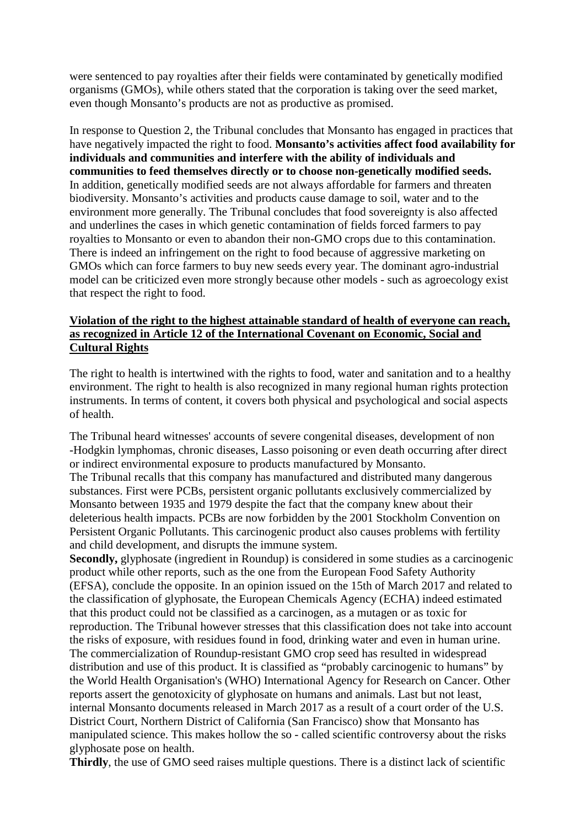were sentenced to pay royalties after their fields were contaminated by genetically modified organisms (GMOs), while others stated that the corporation is taking over the seed market, even though Monsanto's products are not as productive as promised.

In response to Question 2, the Tribunal concludes that Monsanto has engaged in practices that have negatively impacted the right to food. **Monsanto's activities affect food availability for individuals and communities and interfere with the ability of individuals and communities to feed themselves directly or to choose non-genetically modified seeds.** In addition, genetically modified seeds are not always affordable for farmers and threaten biodiversity. Monsanto's activities and products cause damage to soil, water and to the environment more generally. The Tribunal concludes that food sovereignty is also affected and underlines the cases in which genetic contamination of fields forced farmers to pay royalties to Monsanto or even to abandon their non-GMO crops due to this contamination. There is indeed an infringement on the right to food because of aggressive marketing on GMOs which can force farmers to buy new seeds every year. The dominant agro-industrial model can be criticized even more strongly because other models - such as agroecology exist that respect the right to food.

### **Violation of the right to the highest attainable standard of health of everyone can reach, as recognized in Article 12 of the International Covenant on Economic, Social and Cultural Rights**

The right to health is intertwined with the rights to food, water and sanitation and to a healthy environment. The right to health is also recognized in many regional human rights protection instruments. In terms of content, it covers both physical and psychological and social aspects of health.

The Tribunal heard witnesses' accounts of severe congenital diseases, development of non -Hodgkin lymphomas, chronic diseases, Lasso poisoning or even death occurring after direct or indirect environmental exposure to products manufactured by Monsanto. The Tribunal recalls that this company has manufactured and distributed many dangerous

substances. First were PCBs, persistent organic pollutants exclusively commercialized by Monsanto between 1935 and 1979 despite the fact that the company knew about their deleterious health impacts. PCBs are now forbidden by the 2001 Stockholm Convention on Persistent Organic Pollutants. This carcinogenic product also causes problems with fertility and child development, and disrupts the immune system.

**Secondly,** glyphosate (ingredient in Roundup) is considered in some studies as a carcinogenic product while other reports, such as the one from the European Food Safety Authority (EFSA), conclude the opposite. In an opinion issued on the 15th of March 2017 and related to the classification of glyphosate, the European Chemicals Agency (ECHA) indeed estimated that this product could not be classified as a carcinogen, as a mutagen or as toxic for reproduction. The Tribunal however stresses that this classification does not take into account the risks of exposure, with residues found in food, drinking water and even in human urine. The commercialization of Roundup-resistant GMO crop seed has resulted in widespread distribution and use of this product. It is classified as "probably carcinogenic to humans" by the World Health Organisation's (WHO) International Agency for Research on Cancer. Other reports assert the genotoxicity of glyphosate on humans and animals. Last but not least, internal Monsanto documents released in March 2017 as a result of a court order of the U.S. District Court, Northern District of California (San Francisco) show that Monsanto has manipulated science. This makes hollow the so - called scientific controversy about the risks glyphosate pose on health.

**Thirdly**, the use of GMO seed raises multiple questions. There is a distinct lack of scientific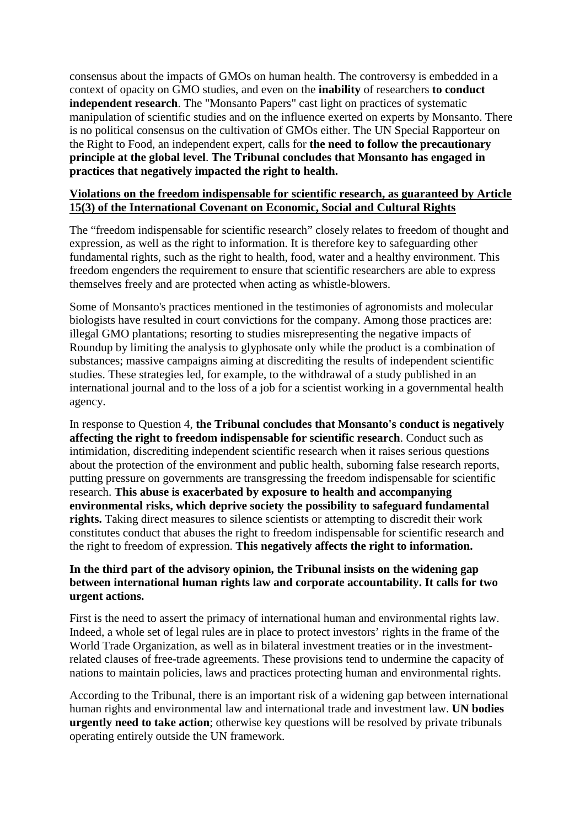consensus about the impacts of GMOs on human health. The controversy is embedded in a context of opacity on GMO studies, and even on the **inability** of researchers **to conduct independent research**. The "Monsanto Papers" cast light on practices of systematic manipulation of scientific studies and on the influence exerted on experts by Monsanto. There is no political consensus on the cultivation of GMOs either. The UN Special Rapporteur on the Right to Food, an independent expert, calls for **the need to follow the precautionary principle at the global level**. **The Tribunal concludes that Monsanto has engaged in practices that negatively impacted the right to health.**

#### **Violations on the freedom indispensable for scientific research, as guaranteed by Article 15(3) of the International Covenant on Economic, Social and Cultural Rights**

The "freedom indispensable for scientific research" closely relates to freedom of thought and expression, as well as the right to information. It is therefore key to safeguarding other fundamental rights, such as the right to health, food, water and a healthy environment. This freedom engenders the requirement to ensure that scientific researchers are able to express themselves freely and are protected when acting as whistle-blowers.

Some of Monsanto's practices mentioned in the testimonies of agronomists and molecular biologists have resulted in court convictions for the company. Among those practices are: illegal GMO plantations; resorting to studies misrepresenting the negative impacts of Roundup by limiting the analysis to glyphosate only while the product is a combination of substances; massive campaigns aiming at discrediting the results of independent scientific studies. These strategies led, for example, to the withdrawal of a study published in an international journal and to the loss of a job for a scientist working in a governmental health agency.

In response to Question 4, **the Tribunal concludes that Monsanto's conduct is negatively affecting the right to freedom indispensable for scientific research**. Conduct such as intimidation, discrediting independent scientific research when it raises serious questions about the protection of the environment and public health, suborning false research reports, putting pressure on governments are transgressing the freedom indispensable for scientific research. **This abuse is exacerbated by exposure to health and accompanying environmental risks, which deprive society the possibility to safeguard fundamental rights.** Taking direct measures to silence scientists or attempting to discredit their work constitutes conduct that abuses the right to freedom indispensable for scientific research and the right to freedom of expression. **This negatively affects the right to information.**

### **In the third part of the advisory opinion, the Tribunal insists on the widening gap between international human rights law and corporate accountability. It calls for two urgent actions.**

First is the need to assert the primacy of international human and environmental rights law. Indeed, a whole set of legal rules are in place to protect investors' rights in the frame of the World Trade Organization, as well as in bilateral investment treaties or in the investmentrelated clauses of free-trade agreements. These provisions tend to undermine the capacity of nations to maintain policies, laws and practices protecting human and environmental rights.

According to the Tribunal, there is an important risk of a widening gap between international human rights and environmental law and international trade and investment law. **UN bodies urgently need to take action**; otherwise key questions will be resolved by private tribunals operating entirely outside the UN framework.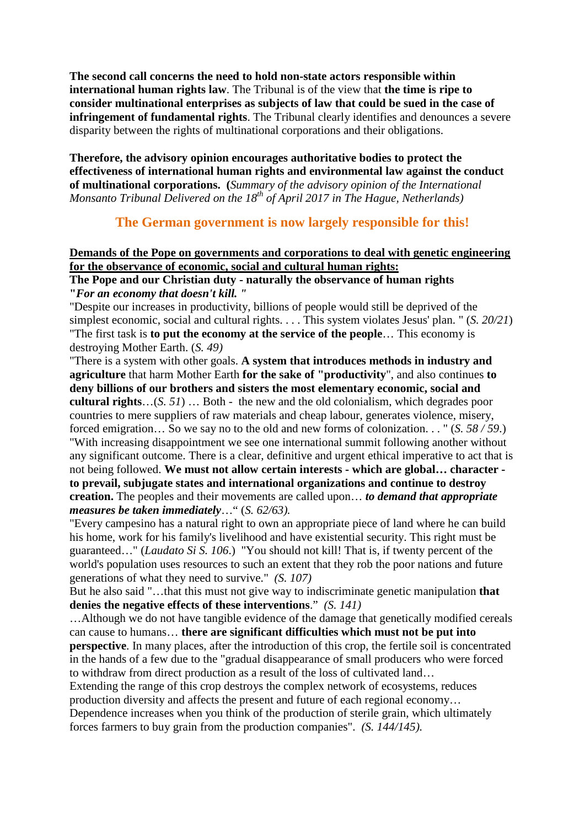**The second call concerns the need to hold non-state actors responsible within international human rights law**. The Tribunal is of the view that **the time is ripe to consider multinational enterprises as subjects of law that could be sued in the case of infringement of fundamental rights**. The Tribunal clearly identifies and denounces a severe disparity between the rights of multinational corporations and their obligations.

**Therefore, the advisory opinion encourages authoritative bodies to protect the effectiveness of international human rights and environmental law against the conduct of multinational corporations. (***Summary of the advisory opinion of the International Monsanto Tribunal Delivered on the 18th of April 2017 in The Hague, Netherlands)*

### **[The](https://de.pons.com/übersetzung/englisch-deutsch/The) [German](https://de.pons.com/übersetzung/englisch-deutsch/German) [government](https://de.pons.com/übersetzung/englisch-deutsch/government) [is](https://de.pons.com/übersetzung/englisch-deutsch/is) [now](https://de.pons.com/übersetzung/englisch-deutsch/now) [largely](https://de.pons.com/übersetzung/englisch-deutsch/largely) [responsible](https://de.pons.com/übersetzung/englisch-deutsch/responsible) [for](https://de.pons.com/übersetzung/englisch-deutsch/for) [this!](https://de.pons.com/übersetzung/englisch-deutsch/this)**

#### **[Demands](https://de.pons.com/übersetzung/englisch-deutsch/Demands) [of](https://de.pons.com/übersetzung/englisch-deutsch/of) [the](https://de.pons.com/übersetzung/englisch-deutsch/the) [Pope](https://de.pons.com/übersetzung/englisch-deutsch/Pope) [on](https://de.pons.com/übersetzung/englisch-deutsch/on) [governments](https://de.pons.com/übersetzung/englisch-deutsch/governments) [and](https://de.pons.com/übersetzung/englisch-deutsch/and) [corporations](https://de.pons.com/übersetzung/englisch-deutsch/corporations) [to](https://de.pons.com/übersetzung/englisch-deutsch/to) [deal](https://de.pons.com/übersetzung/englisch-deutsch/deal) [with](https://de.pons.com/übersetzung/englisch-deutsch/with) [genetic](https://de.pons.com/übersetzung/englisch-deutsch/genetic) [engineering](https://de.pons.com/übersetzung/englisch-deutsch/engineering) [for](https://de.pons.com/übersetzung/englisch-deutsch/for) [the](https://de.pons.com/übersetzung/englisch-deutsch/the) [observance](https://de.pons.com/übersetzung/englisch-deutsch/observance) [of](https://de.pons.com/übersetzung/englisch-deutsch/of) [economic,](https://de.pons.com/übersetzung/englisch-deutsch/economic) [social](https://de.pons.com/übersetzung/englisch-deutsch/social) [and](https://de.pons.com/übersetzung/englisch-deutsch/and) [cultural](https://de.pons.com/übersetzung/englisch-deutsch/cultural) [human](https://de.pons.com/übersetzung/englisch-deutsch/human) [rights:](https://de.pons.com/übersetzung/englisch-deutsch/rights)**

#### **[The](https://de.pons.com/übersetzung/englisch-deutsch/The) [Pope](https://de.pons.com/übersetzung/englisch-deutsch/Pope) [and](https://de.pons.com/übersetzung/englisch-deutsch/and) [our](https://de.pons.com/übersetzung/englisch-deutsch/our) [Christian](https://de.pons.com/übersetzung/englisch-deutsch/Christian) [duty](https://de.pons.com/übersetzung/englisch-deutsch/duty) [-](https://de.pons.com/übersetzung/englisch-deutsch/-) [naturally](https://de.pons.com/übersetzung/englisch-deutsch/naturally) [the](https://de.pons.com/übersetzung/englisch-deutsch/the) [observance](https://de.pons.com/übersetzung/englisch-deutsch/observance) [of](https://de.pons.com/übersetzung/englisch-deutsch/of) [human](https://de.pons.com/übersetzung/englisch-deutsch/human) [rights](https://de.pons.com/übersetzung/englisch-deutsch/rights) "***[For](https://de.pons.com/übersetzung/englisch-deutsch/For) [an](https://de.pons.com/übersetzung/englisch-deutsch/an) [economy](https://de.pons.com/übersetzung/englisch-deutsch/economy) [that](https://de.pons.com/übersetzung/englisch-deutsch/that) [doesn't](https://de.pons.com/übersetzung/englisch-deutsch/doesn) [kill.](https://de.pons.com/übersetzung/englisch-deutsch/kill) ["](https://de.pons.com/übersetzung/englisch-deutsch/)*

["Despite](https://de.pons.com/übersetzung/englisch-deutsch/Despite) [our](https://de.pons.com/übersetzung/englisch-deutsch/our) [increases](https://de.pons.com/übersetzung/englisch-deutsch/increases) [in](https://de.pons.com/übersetzung/englisch-deutsch/in) [productivity,](https://de.pons.com/übersetzung/englisch-deutsch/productivity) [billions](https://de.pons.com/übersetzung/englisch-deutsch/illions) [of](https://de.pons.com/übersetzung/englisch-deutsch/of) [people](https://de.pons.com/übersetzung/englisch-deutsch/people) [would](https://de.pons.com/übersetzung/englisch-deutsch/would) [still](https://de.pons.com/übersetzung/englisch-deutsch/still) [be](https://de.pons.com/übersetzung/englisch-deutsch/be) [deprived](https://de.pons.com/übersetzung/englisch-deutsch/deprived) [of](https://de.pons.com/übersetzung/englisch-deutsch/of) [the](https://de.pons.com/übersetzung/englisch-deutsch/the) [simplest](https://de.pons.com/übersetzung/englisch-deutsch/simplest) [economic,](https://de.pons.com/übersetzung/englisch-deutsch/economic) [social](https://de.pons.com/übersetzung/englisch-deutsch/social) [and](https://de.pons.com/übersetzung/englisch-deutsch/and) [cultural](https://de.pons.com/übersetzung/englisch-deutsch/cultural) [rights.](https://de.pons.com/übersetzung/englisch-deutsch/rights) [.](https://de.pons.com/übersetzung/englisch-deutsch/) [.](https://de.pons.com/übersetzung/englisch-deutsch/) [.](https://de.pons.com/übersetzung/englisch-deutsch/) [This](https://de.pons.com/übersetzung/englisch-deutsch/This) [system](https://de.pons.com/übersetzung/englisch-deutsch/system) [violates](https://de.pons.com/übersetzung/englisch-deutsch/violates) [Jesus'](https://de.pons.com/übersetzung/englisch-deutsch/Jesus) [plan.](https://de.pons.com/übersetzung/englisch-deutsch/plan) ["](https://de.pons.com/übersetzung/englisch-deutsch/) (*S. 20/21*) ["The](https://de.pons.com/übersetzung/englisch-deutsch/The) [first](https://de.pons.com/übersetzung/englisch-deutsch/first) [task](https://de.pons.com/übersetzung/englisch-deutsch/task) [is](https://de.pons.com/übersetzung/englisch-deutsch/is) **[to](https://de.pons.com/übersetzung/englisch-deutsch/to) [put](https://de.pons.com/übersetzung/englisch-deutsch/put) [the](https://de.pons.com/übersetzung/englisch-deutsch/the) [economy](https://de.pons.com/übersetzung/englisch-deutsch/economy) [at](https://de.pons.com/übersetzung/englisch-deutsch/at) [the](https://de.pons.com/übersetzung/englisch-deutsch/the) [service](https://de.pons.com/übersetzung/englisch-deutsch/service) [of](https://de.pons.com/übersetzung/englisch-deutsch/of) [the](https://de.pons.com/übersetzung/englisch-deutsch/the) [people](https://de.pons.com/übersetzung/englisch-deutsch/people)**… [This](https://de.pons.com/übersetzung/englisch-deutsch/This) [economy](https://de.pons.com/übersetzung/englisch-deutsch/economy) [is](https://de.pons.com/übersetzung/englisch-deutsch/is) [destroying](https://de.pons.com/übersetzung/englisch-deutsch/destroying) [Mother](https://de.pons.com/übersetzung/englisch-deutsch/Mother) [Earth.](https://de.pons.com/übersetzung/englisch-deutsch/Earth) (*S. 49)*

["There](https://de.pons.com/übersetzung/englisch-deutsch/There) [is](https://de.pons.com/übersetzung/englisch-deutsch/is) [a](https://de.pons.com/übersetzung/englisch-deutsch/a) [system](https://de.pons.com/übersetzung/englisch-deutsch/system) [with](https://de.pons.com/übersetzung/englisch-deutsch/with) [other](https://de.pons.com/übersetzung/englisch-deutsch/other) [goals.](https://de.pons.com/übersetzung/englisch-deutsch/goals) **[A](https://de.pons.com/übersetzung/englisch-deutsch/A) [system](https://de.pons.com/übersetzung/englisch-deutsch/system) [that](https://de.pons.com/übersetzung/englisch-deutsch/that) [introduces](https://de.pons.com/übersetzung/englisch-deutsch/introduces) [methods](https://de.pons.com/übersetzung/englisch-deutsch/methods) [in](https://de.pons.com/übersetzung/englisch-deutsch/in) [industry](https://de.pons.com/übersetzung/englisch-deutsch/industry) [and](https://de.pons.com/übersetzung/englisch-deutsch/and) [agriculture](https://de.pons.com/übersetzung/englisch-deutsch/agriculture)** [that](https://de.pons.com/übersetzung/englisch-deutsch/that) [harm](https://de.pons.com/übersetzung/englisch-deutsch/harm) [Mother](https://de.pons.com/übersetzung/englisch-deutsch/Mother) [Earth](https://de.pons.com/übersetzung/englisch-deutsch/Earth) **[for](https://de.pons.com/übersetzung/englisch-deutsch/for) [the](https://de.pons.com/übersetzung/englisch-deutsch/the) [sake](https://de.pons.com/übersetzung/englisch-deutsch/sake) [of](https://de.pons.com/übersetzung/englisch-deutsch/of) ["productivity](https://de.pons.com/übersetzung/englisch-deutsch/productivity)**", [and](https://de.pons.com/übersetzung/englisch-deutsch/and) [also](https://de.pons.com/übersetzung/englisch-deutsch/also) [continues](https://de.pons.com/übersetzung/englisch-deutsch/continues) **[to](https://de.pons.com/übersetzung/englisch-deutsch/to) deny [billions](https://de.pons.com/übersetzung/englisch-deutsch/illions) [of](https://de.pons.com/übersetzung/englisch-deutsch/of) [our](https://de.pons.com/übersetzung/englisch-deutsch/our) [brothers](https://de.pons.com/übersetzung/englisch-deutsch/rothers) [and](https://de.pons.com/übersetzung/englisch-deutsch/and) [sisters](https://de.pons.com/übersetzung/englisch-deutsch/sisters) [the](https://de.pons.com/übersetzung/englisch-deutsch/the) [most](https://de.pons.com/übersetzung/englisch-deutsch/most) [elementary](https://de.pons.com/übersetzung/englisch-deutsch/elementary) [economic,](https://de.pons.com/übersetzung/englisch-deutsch/economic) [social](https://de.pons.com/übersetzung/englisch-deutsch/social) [and](https://de.pons.com/übersetzung/englisch-deutsch/and) [cultural](https://de.pons.com/übersetzung/englisch-deutsch/cultural) [rights](https://de.pons.com/übersetzung/englisch-deutsch/rights)**…(*S. 51*) … [Both](https://de.pons.com/übersetzung/englisch-deutsch/Both) - [the](https://de.pons.com/übersetzung/englisch-deutsch/the) [new](https://de.pons.com/übersetzung/englisch-deutsch/new) [and](https://de.pons.com/übersetzung/englisch-deutsch/and) [the](https://de.pons.com/übersetzung/englisch-deutsch/the) [old](https://de.pons.com/übersetzung/englisch-deutsch/old) [colonialism,](https://de.pons.com/übersetzung/englisch-deutsch/colonialism) [which](https://de.pons.com/übersetzung/englisch-deutsch/which) [degrades](https://de.pons.com/übersetzung/englisch-deutsch/degrades) [poor](https://de.pons.com/übersetzung/englisch-deutsch/poor) [countries](https://de.pons.com/übersetzung/englisch-deutsch/countries) [to](https://de.pons.com/übersetzung/englisch-deutsch/to) [mere](https://de.pons.com/übersetzung/englisch-deutsch/mere) [suppliers](https://de.pons.com/übersetzung/englisch-deutsch/suppliers) [of](https://de.pons.com/übersetzung/englisch-deutsch/of) [raw](https://de.pons.com/übersetzung/englisch-deutsch/raw) [materials](https://de.pons.com/übersetzung/englisch-deutsch/materials) [and](https://de.pons.com/übersetzung/englisch-deutsch/and) [cheap](https://de.pons.com/übersetzung/englisch-deutsch/cheap) [labour,](https://de.pons.com/übersetzung/englisch-deutsch/labour) [generates](https://de.pons.com/übersetzung/englisch-deutsch/generates) [violence,](https://de.pons.com/übersetzung/englisch-deutsch/violence) [misery,](https://de.pons.com/übersetzung/englisch-deutsch/misery) [forced](https://de.pons.com/übersetzung/englisch-deutsch/forced) [emigration…](https://de.pons.com/übersetzung/englisch-deutsch/emigration) [So](https://de.pons.com/übersetzung/englisch-deutsch/So) [we](https://de.pons.com/übersetzung/englisch-deutsch/we) [say](https://de.pons.com/übersetzung/englisch-deutsch/say) [no](https://de.pons.com/übersetzung/englisch-deutsch/no) [to](https://de.pons.com/übersetzung/englisch-deutsch/to) [the](https://de.pons.com/übersetzung/englisch-deutsch/the) [old](https://de.pons.com/übersetzung/englisch-deutsch/old) [and](https://de.pons.com/übersetzung/englisch-deutsch/and) [new](https://de.pons.com/übersetzung/englisch-deutsch/new) [forms](https://de.pons.com/übersetzung/englisch-deutsch/forms) [of](https://de.pons.com/übersetzung/englisch-deutsch/of) [colonization.](https://de.pons.com/übersetzung/englisch-deutsch/colonisation) [.](https://de.pons.com/übersetzung/englisch-deutsch/) [.](https://de.pons.com/übersetzung/englisch-deutsch/) ["](https://de.pons.com/übersetzung/englisch-deutsch/) (*S. 58 / 59*.) ["With](https://de.pons.com/übersetzung/englisch-deutsch/With) [increasing](https://de.pons.com/übersetzung/englisch-deutsch/increasing) [disappointment](https://de.pons.com/übersetzung/englisch-deutsch/disappointment) [we](https://de.pons.com/übersetzung/englisch-deutsch/we) [see](https://de.pons.com/übersetzung/englisch-deutsch/see) [one](https://de.pons.com/übersetzung/englisch-deutsch/one) [international](https://de.pons.com/übersetzung/englisch-deutsch/international) [summit](https://de.pons.com/übersetzung/englisch-deutsch/summit) [following](https://de.pons.com/übersetzung/englisch-deutsch/following) [another](https://de.pons.com/übersetzung/englisch-deutsch/another) [without](https://de.pons.com/übersetzung/englisch-deutsch/without) [any](https://de.pons.com/übersetzung/englisch-deutsch/any) [significant](https://de.pons.com/übersetzung/englisch-deutsch/significant) [outcome.](https://de.pons.com/übersetzung/englisch-deutsch/outcome) [There](https://de.pons.com/übersetzung/englisch-deutsch/There) [is](https://de.pons.com/übersetzung/englisch-deutsch/is) [a](https://de.pons.com/übersetzung/englisch-deutsch/a) [clear,](https://de.pons.com/übersetzung/englisch-deutsch/clear) [definitive](https://de.pons.com/übersetzung/englisch-deutsch/definitive) [and](https://de.pons.com/übersetzung/englisch-deutsch/and) [urgent](https://de.pons.com/übersetzung/englisch-deutsch/rgent) [ethical](https://de.pons.com/übersetzung/englisch-deutsch/ethical) [imperative](https://de.pons.com/übersetzung/englisch-deutsch/imperative) [to](https://de.pons.com/übersetzung/englisch-deutsch/to) [act](https://de.pons.com/übersetzung/englisch-deutsch/act) [that](https://de.pons.com/übersetzung/englisch-deutsch/that) [is](https://de.pons.com/übersetzung/englisch-deutsch/is) [not](https://de.pons.com/übersetzung/englisch-deutsch/not) [being](https://de.pons.com/übersetzung/englisch-deutsch/eing) [followed.](https://de.pons.com/übersetzung/englisch-deutsch/followed) **[We](https://de.pons.com/übersetzung/englisch-deutsch/We) [must](https://de.pons.com/übersetzung/englisch-deutsch/must) [not](https://de.pons.com/übersetzung/englisch-deutsch/not) [allow](https://de.pons.com/übersetzung/englisch-deutsch/allow) [certain](https://de.pons.com/übersetzung/englisch-deutsch/certain) [interests](https://de.pons.com/übersetzung/englisch-deutsch/interests) [-](https://de.pons.com/übersetzung/englisch-deutsch/-) [which](https://de.pons.com/übersetzung/englisch-deutsch/which) [are](https://de.pons.com/übersetzung/englisch-deutsch/are) [global…](https://de.pons.com/übersetzung/englisch-deutsch/global) [character](https://de.pons.com/übersetzung/englisch-deutsch/character)  [to](https://de.pons.com/übersetzung/englisch-deutsch/to) [prevail,](https://de.pons.com/übersetzung/englisch-deutsch/prevail) [subjugate](https://de.pons.com/übersetzung/englisch-deutsch/subjugate) [states](https://de.pons.com/übersetzung/englisch-deutsch/states) [and](https://de.pons.com/übersetzung/englisch-deutsch/and) [international](https://de.pons.com/übersetzung/englisch-deutsch/international) [organizations](https://de.pons.com/übersetzung/englisch-deutsch/organizations) [and](https://de.pons.com/übersetzung/englisch-deutsch/and) [continue](https://de.pons.com/übersetzung/englisch-deutsch/continue) [to](https://de.pons.com/übersetzung/englisch-deutsch/to) [destroy](https://de.pons.com/übersetzung/englisch-deutsch/destroy) [creation.](https://de.pons.com/übersetzung/englisch-deutsch/creation)** [The](https://de.pons.com/übersetzung/englisch-deutsch/The) [peoples](https://de.pons.com/übersetzung/englisch-deutsch/peoples) [and](https://de.pons.com/übersetzung/englisch-deutsch/and) [their](https://de.pons.com/übersetzung/englisch-deutsch/their) [movements](https://de.pons.com/übersetzung/englisch-deutsch/movements) [are](https://de.pons.com/übersetzung/englisch-deutsch/are) [called](https://de.pons.com/übersetzung/englisch-deutsch/called) [upon…](https://de.pons.com/übersetzung/englisch-deutsch/pon) *[to](https://de.pons.com/übersetzung/englisch-deutsch/to) [demand](https://de.pons.com/übersetzung/englisch-deutsch/demand) [that](https://de.pons.com/übersetzung/englisch-deutsch/that) [appropriate](https://de.pons.com/übersetzung/englisch-deutsch/appropriate) [measures](https://de.pons.com/übersetzung/englisch-deutsch/measures) [be](https://de.pons.com/übersetzung/englisch-deutsch/be) [taken](https://de.pons.com/übersetzung/englisch-deutsch/taken) [immediately](https://de.pons.com/übersetzung/englisch-deutsch/immediately)*…" (*S. 62/63).*

["Every](https://de.pons.com/übersetzung/englisch-deutsch/Every) [campesino](https://de.pons.com/übersetzung/englisch-deutsch/campesino) [has](https://de.pons.com/übersetzung/englisch-deutsch/has) [a](https://de.pons.com/übersetzung/englisch-deutsch/a) [natural](https://de.pons.com/übersetzung/englisch-deutsch/natural) [right](https://de.pons.com/übersetzung/englisch-deutsch/right) [to](https://de.pons.com/übersetzung/englisch-deutsch/to) [own](https://de.pons.com/übersetzung/englisch-deutsch/own) [an](https://de.pons.com/übersetzung/englisch-deutsch/an) [appropriate](https://de.pons.com/übersetzung/englisch-deutsch/appropriate) [piece](https://de.pons.com/übersetzung/englisch-deutsch/piece) [of](https://de.pons.com/übersetzung/englisch-deutsch/of) [land](https://de.pons.com/übersetzung/englisch-deutsch/land) [where](https://de.pons.com/übersetzung/englisch-deutsch/where) [he](https://de.pons.com/übersetzung/englisch-deutsch/he) [can](https://de.pons.com/übersetzung/englisch-deutsch/can) b[uild](https://de.pons.com/übersetzung/englisch-deutsch/ild) [his](https://de.pons.com/übersetzung/englisch-deutsch/his) [home,](https://de.pons.com/übersetzung/englisch-deutsch/home) [work](https://de.pons.com/übersetzung/englisch-deutsch/work) [for](https://de.pons.com/übersetzung/englisch-deutsch/for) [his](https://de.pons.com/übersetzung/englisch-deutsch/his) [family's](https://de.pons.com/übersetzung/englisch-deutsch/family) [livelihood](https://de.pons.com/übersetzung/englisch-deutsch/livelihood) [and](https://de.pons.com/übersetzung/englisch-deutsch/and) [have](https://de.pons.com/übersetzung/englisch-deutsch/have) [existential](https://de.pons.com/übersetzung/englisch-deutsch/existential) [security.](https://de.pons.com/übersetzung/englisch-deutsch/security) [This](https://de.pons.com/übersetzung/englisch-deutsch/This) [right](https://de.pons.com/übersetzung/englisch-deutsch/right) [must](https://de.pons.com/übersetzung/englisch-deutsch/must) [be](https://de.pons.com/übersetzung/englisch-deutsch/be) [guaranteed…](https://de.pons.com/übersetzung/englisch-deutsch/guaranteed)["](https://de.pons.com/übersetzung/englisch-deutsch/) (*Laudato Si S. 106*.) "You should not kill! That is, if twenty percent of the world's population uses resources to such an extent that they rob the poor nations and future generations of what they need to survive." *(S. 107)*

[But](https://de.pons.com/übersetzung/englisch-deutsch/But) [he](https://de.pons.com/übersetzung/englisch-deutsch/he) [also](https://de.pons.com/übersetzung/englisch-deutsch/also) [said](https://de.pons.com/übersetzung/englisch-deutsch/said) "[…that](https://de.pons.com/übersetzung/englisch-deutsch/that) [this](https://de.pons.com/übersetzung/englisch-deutsch/this) [must](https://de.pons.com/übersetzung/englisch-deutsch/must) [not](https://de.pons.com/übersetzung/englisch-deutsch/not) [give](https://de.pons.com/übersetzung/englisch-deutsch/give) [way](https://de.pons.com/übersetzung/englisch-deutsch/way) [to](https://de.pons.com/übersetzung/englisch-deutsch/to) [indiscriminate](https://de.pons.com/übersetzung/englisch-deutsch/indiscriminate) [genetic](https://de.pons.com/übersetzung/englisch-deutsch/genetic) [manipulation](https://de.pons.com/übersetzung/englisch-deutsch/manipulation) **[that](https://de.pons.com/übersetzung/englisch-deutsch/that) [denies](https://de.pons.com/übersetzung/englisch-deutsch/denies) [the](https://de.pons.com/übersetzung/englisch-deutsch/the) [negative](https://de.pons.com/übersetzung/englisch-deutsch/negative) [effects](https://de.pons.com/übersetzung/englisch-deutsch/effects) [of](https://de.pons.com/übersetzung/englisch-deutsch/of) [these](https://de.pons.com/übersetzung/englisch-deutsch/these) [interventions](https://de.pons.com/übersetzung/englisch-deutsch/interventions)**." *(S. 141)*

[…Although](https://de.pons.com/übersetzung/englisch-deutsch/Although) [we](https://de.pons.com/übersetzung/englisch-deutsch/we) [do](https://de.pons.com/übersetzung/englisch-deutsch/do) [not](https://de.pons.com/übersetzung/englisch-deutsch/not) [have](https://de.pons.com/übersetzung/englisch-deutsch/have) [tangible](https://de.pons.com/übersetzung/englisch-deutsch/tangible) [evidence](https://de.pons.com/übersetzung/englisch-deutsch/evidence) [of](https://de.pons.com/übersetzung/englisch-deutsch/of) [the](https://de.pons.com/übersetzung/englisch-deutsch/the) [damage](https://de.pons.com/übersetzung/englisch-deutsch/damage) [that](https://de.pons.com/übersetzung/englisch-deutsch/that) [genetically](https://de.pons.com/übersetzung/englisch-deutsch/genetically) [modified](https://de.pons.com/übersetzung/englisch-deutsch/modified) [cereals](https://de.pons.com/übersetzung/englisch-deutsch/cereals) [can](https://de.pons.com/übersetzung/englisch-deutsch/can) [cause](https://de.pons.com/übersetzung/englisch-deutsch/cause) [to](https://de.pons.com/übersetzung/englisch-deutsch/to) [humans…](https://de.pons.com/übersetzung/englisch-deutsch/humans) **[there](https://de.pons.com/übersetzung/englisch-deutsch/there) [are](https://de.pons.com/übersetzung/englisch-deutsch/are) [significant](https://de.pons.com/übersetzung/englisch-deutsch/significant) [difficulties](https://de.pons.com/übersetzung/englisch-deutsch/difficulties) [which](https://de.pons.com/übersetzung/englisch-deutsch/which) [must](https://de.pons.com/übersetzung/englisch-deutsch/must) [not](https://de.pons.com/übersetzung/englisch-deutsch/not) [be](https://de.pons.com/übersetzung/englisch-deutsch/be) [put](https://de.pons.com/übersetzung/englisch-deutsch/put) [into](https://de.pons.com/übersetzung/englisch-deutsch/into) [perspective](https://de.pons.com/übersetzung/englisch-deutsch/perspective)**. [In](https://de.pons.com/übersetzung/englisch-deutsch/In) [many](https://de.pons.com/übersetzung/englisch-deutsch/many) [places,](https://de.pons.com/übersetzung/englisch-deutsch/places) [after](https://de.pons.com/übersetzung/englisch-deutsch/after) [the](https://de.pons.com/übersetzung/englisch-deutsch/the) [introduction](https://de.pons.com/übersetzung/englisch-deutsch/introduction) [of](https://de.pons.com/übersetzung/englisch-deutsch/of) [this](https://de.pons.com/übersetzung/englisch-deutsch/this) [crop,](https://de.pons.com/übersetzung/englisch-deutsch/crop) [the](https://de.pons.com/übersetzung/englisch-deutsch/the) [fertile](https://de.pons.com/übersetzung/englisch-deutsch/fertile) [soil](https://de.pons.com/übersetzung/englisch-deutsch/soil) [is](https://de.pons.com/übersetzung/englisch-deutsch/is) [concentrated](https://de.pons.com/übersetzung/englisch-deutsch/concentrated) [in](https://de.pons.com/übersetzung/englisch-deutsch/in) [the](https://de.pons.com/übersetzung/englisch-deutsch/the) [hands](https://de.pons.com/übersetzung/englisch-deutsch/hands) [of](https://de.pons.com/übersetzung/englisch-deutsch/of) [a](https://de.pons.com/übersetzung/englisch-deutsch/a) [few](https://de.pons.com/übersetzung/englisch-deutsch/few) [due](https://de.pons.com/übersetzung/englisch-deutsch/due) [to](https://de.pons.com/übersetzung/englisch-deutsch/to) [the](https://de.pons.com/übersetzung/englisch-deutsch/the) ["gradual](https://de.pons.com/übersetzung/englisch-deutsch/gradual) [disappearance](https://de.pons.com/übersetzung/englisch-deutsch/disappearance) [of](https://de.pons.com/übersetzung/englisch-deutsch/of) [small](https://de.pons.com/übersetzung/englisch-deutsch/small) [producers](https://de.pons.com/übersetzung/englisch-deutsch/producers) [who](https://de.pons.com/übersetzung/englisch-deutsch/who) [were](https://de.pons.com/übersetzung/englisch-deutsch/were) [forced](https://de.pons.com/übersetzung/englisch-deutsch/forced) [to](https://de.pons.com/übersetzung/englisch-deutsch/to) [withdraw](https://de.pons.com/übersetzung/englisch-deutsch/withdraw) [from](https://de.pons.com/übersetzung/englisch-deutsch/from) [direct](https://de.pons.com/übersetzung/englisch-deutsch/direct) [production](https://de.pons.com/übersetzung/englisch-deutsch/production) [as](https://de.pons.com/übersetzung/englisch-deutsch/as) [a](https://de.pons.com/übersetzung/englisch-deutsch/a) [result](https://de.pons.com/übersetzung/englisch-deutsch/result) [of](https://de.pons.com/übersetzung/englisch-deutsch/of) [the](https://de.pons.com/übersetzung/englisch-deutsch/the) [loss](https://de.pons.com/übersetzung/englisch-deutsch/loss) [of](https://de.pons.com/übersetzung/englisch-deutsch/of) [cultivated](https://de.pons.com/übersetzung/englisch-deutsch/cultivated) [land…](https://de.pons.com/übersetzung/englisch-deutsch/land)

[Extending](https://de.pons.com/übersetzung/englisch-deutsch/Extending) [the](https://de.pons.com/übersetzung/englisch-deutsch/the) [range](https://de.pons.com/übersetzung/englisch-deutsch/range) [of](https://de.pons.com/übersetzung/englisch-deutsch/of) [this](https://de.pons.com/übersetzung/englisch-deutsch/this) [crop](https://de.pons.com/übersetzung/englisch-deutsch/crop) [destroys](https://de.pons.com/übersetzung/englisch-deutsch/destroys) [the](https://de.pons.com/übersetzung/englisch-deutsch/the) [complex](https://de.pons.com/übersetzung/englisch-deutsch/complex) [network](https://de.pons.com/übersetzung/englisch-deutsch/network) [of](https://de.pons.com/übersetzung/englisch-deutsch/of) [ecosystems,](https://de.pons.com/übersetzung/englisch-deutsch/ecosystems) [reduces](https://de.pons.com/übersetzung/englisch-deutsch/reduces) [production](https://de.pons.com/übersetzung/englisch-deutsch/production) [diversity](https://de.pons.com/übersetzung/englisch-deutsch/diversity) [and](https://de.pons.com/übersetzung/englisch-deutsch/and) [affects](https://de.pons.com/übersetzung/englisch-deutsch/affects) [the](https://de.pons.com/übersetzung/englisch-deutsch/the) [present](https://de.pons.com/übersetzung/englisch-deutsch/present) [and](https://de.pons.com/übersetzung/englisch-deutsch/and) [future](https://de.pons.com/übersetzung/englisch-deutsch/future) [of](https://de.pons.com/übersetzung/englisch-deutsch/of) [each](https://de.pons.com/übersetzung/englisch-deutsch/each) [regional](https://de.pons.com/übersetzung/englisch-deutsch/regional) [economy…](https://de.pons.com/übersetzung/englisch-deutsch/economy)

[Dependence](https://de.pons.com/übersetzung/englisch-deutsch/Dependence) [increases](https://de.pons.com/übersetzung/englisch-deutsch/increases) [when](https://de.pons.com/übersetzung/englisch-deutsch/when) [you](https://de.pons.com/übersetzung/englisch-deutsch/yo) [think](https://de.pons.com/übersetzung/englisch-deutsch/think) [of](https://de.pons.com/übersetzung/englisch-deutsch/of) [the](https://de.pons.com/übersetzung/englisch-deutsch/the) [production](https://de.pons.com/übersetzung/englisch-deutsch/production) [of](https://de.pons.com/übersetzung/englisch-deutsch/of) [sterile](https://de.pons.com/übersetzung/englisch-deutsch/sterile) [grain,](https://de.pons.com/übersetzung/englisch-deutsch/grain) [which](https://de.pons.com/übersetzung/englisch-deutsch/which) [ultimately](https://de.pons.com/übersetzung/englisch-deutsch/ltimately) [forces](https://de.pons.com/übersetzung/englisch-deutsch/forces) [farmers](https://de.pons.com/übersetzung/englisch-deutsch/farmers) [to](https://de.pons.com/übersetzung/englisch-deutsch/to) [buy](https://de.pons.com/übersetzung/englisch-deutsch/uy) [grain](https://de.pons.com/übersetzung/englisch-deutsch/grain) [from](https://de.pons.com/übersetzung/englisch-deutsch/from) [the](https://de.pons.com/übersetzung/englisch-deutsch/the) [production](https://de.pons.com/übersetzung/englisch-deutsch/production) [companies"](https://de.pons.com/übersetzung/englisch-deutsch/companies). *(S. 144/145).*